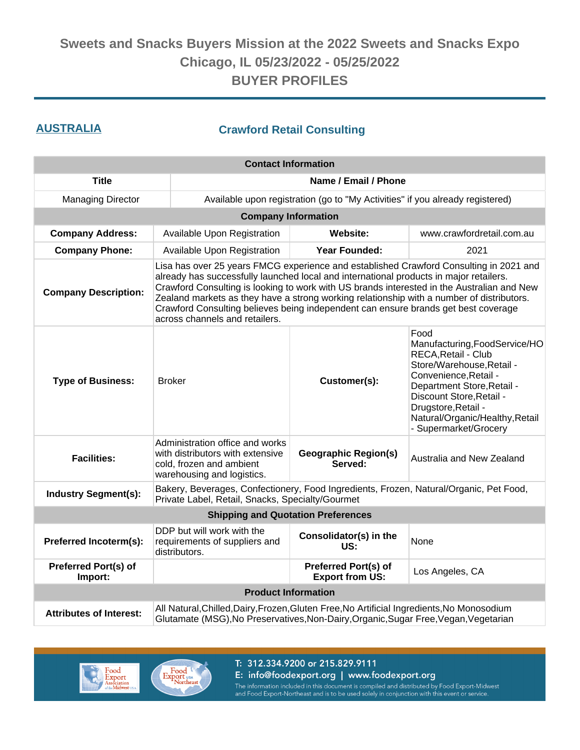### **AUSTRALIA Crawford Retail Consulting**

| <b>Contact Information</b>             |                                                                                                                                                                                                                                                                                                                                                                                                                                                                                                     |                                                                                                                                                                                    |                                                                                                                                                                                                                                                                 |  |  |  |  |
|----------------------------------------|-----------------------------------------------------------------------------------------------------------------------------------------------------------------------------------------------------------------------------------------------------------------------------------------------------------------------------------------------------------------------------------------------------------------------------------------------------------------------------------------------------|------------------------------------------------------------------------------------------------------------------------------------------------------------------------------------|-----------------------------------------------------------------------------------------------------------------------------------------------------------------------------------------------------------------------------------------------------------------|--|--|--|--|
| <b>Title</b>                           |                                                                                                                                                                                                                                                                                                                                                                                                                                                                                                     | Name / Email / Phone                                                                                                                                                               |                                                                                                                                                                                                                                                                 |  |  |  |  |
| <b>Managing Director</b>               |                                                                                                                                                                                                                                                                                                                                                                                                                                                                                                     | Available upon registration (go to "My Activities" if you already registered)                                                                                                      |                                                                                                                                                                                                                                                                 |  |  |  |  |
|                                        | <b>Company Information</b>                                                                                                                                                                                                                                                                                                                                                                                                                                                                          |                                                                                                                                                                                    |                                                                                                                                                                                                                                                                 |  |  |  |  |
| <b>Company Address:</b>                | Available Upon Registration                                                                                                                                                                                                                                                                                                                                                                                                                                                                         | <b>Website:</b>                                                                                                                                                                    | www.crawfordretail.com.au                                                                                                                                                                                                                                       |  |  |  |  |
| <b>Company Phone:</b>                  | Available Upon Registration                                                                                                                                                                                                                                                                                                                                                                                                                                                                         | <b>Year Founded:</b>                                                                                                                                                               | 2021                                                                                                                                                                                                                                                            |  |  |  |  |
| <b>Company Description:</b>            | Lisa has over 25 years FMCG experience and established Crawford Consulting in 2021 and<br>already has successfully launched local and international products in major retailers.<br>Crawford Consulting is looking to work with US brands interested in the Australian and New<br>Zealand markets as they have a strong working relationship with a number of distributors.<br>Crawford Consulting believes being independent can ensure brands get best coverage<br>across channels and retailers. |                                                                                                                                                                                    |                                                                                                                                                                                                                                                                 |  |  |  |  |
| <b>Type of Business:</b>               | <b>Broker</b>                                                                                                                                                                                                                                                                                                                                                                                                                                                                                       | Customer(s):                                                                                                                                                                       | Food<br>Manufacturing, FoodService/HO<br>RECA, Retail - Club<br>Store/Warehouse, Retail -<br>Convenience, Retail -<br>Department Store, Retail -<br>Discount Store, Retail -<br>Drugstore, Retail -<br>Natural/Organic/Healthy, Retail<br>- Supermarket/Grocery |  |  |  |  |
| <b>Facilities:</b>                     | Administration office and works<br>with distributors with extensive<br>cold, frozen and ambient<br>warehousing and logistics.                                                                                                                                                                                                                                                                                                                                                                       | <b>Geographic Region(s)</b><br>Australia and New Zealand<br>Served:                                                                                                                |                                                                                                                                                                                                                                                                 |  |  |  |  |
| <b>Industry Segment(s):</b>            | Bakery, Beverages, Confectionery, Food Ingredients, Frozen, Natural/Organic, Pet Food,<br>Private Label, Retail, Snacks, Specialty/Gourmet                                                                                                                                                                                                                                                                                                                                                          |                                                                                                                                                                                    |                                                                                                                                                                                                                                                                 |  |  |  |  |
|                                        | <b>Shipping and Quotation Preferences</b>                                                                                                                                                                                                                                                                                                                                                                                                                                                           |                                                                                                                                                                                    |                                                                                                                                                                                                                                                                 |  |  |  |  |
| Preferred Incoterm(s):                 | DDP but will work with the<br>requirements of suppliers and<br>distributors.                                                                                                                                                                                                                                                                                                                                                                                                                        | Consolidator(s) in the<br>None<br>US:                                                                                                                                              |                                                                                                                                                                                                                                                                 |  |  |  |  |
| <b>Preferred Port(s) of</b><br>Import: | <b>Preferred Port(s) of</b><br>Los Angeles, CA<br><b>Export from US:</b>                                                                                                                                                                                                                                                                                                                                                                                                                            |                                                                                                                                                                                    |                                                                                                                                                                                                                                                                 |  |  |  |  |
|                                        | <b>Product Information</b>                                                                                                                                                                                                                                                                                                                                                                                                                                                                          |                                                                                                                                                                                    |                                                                                                                                                                                                                                                                 |  |  |  |  |
| <b>Attributes of Interest:</b>         |                                                                                                                                                                                                                                                                                                                                                                                                                                                                                                     | All Natural, Chilled, Dairy, Frozen, Gluten Free, No Artificial Ingredients, No Monosodium<br>Glutamate (MSG), No Preservatives, Non-Dairy, Organic, Sugar Free, Vegan, Vegetarian |                                                                                                                                                                                                                                                                 |  |  |  |  |





T: 312.334.9200 or 215.829.9111 E: info@foodexport.org | www.foodexport.org

The information included in this document is compiled and distributed by Food Export-Midwest<br>and Food Export-Northeast and is to be used solely in conjunction with this event or service.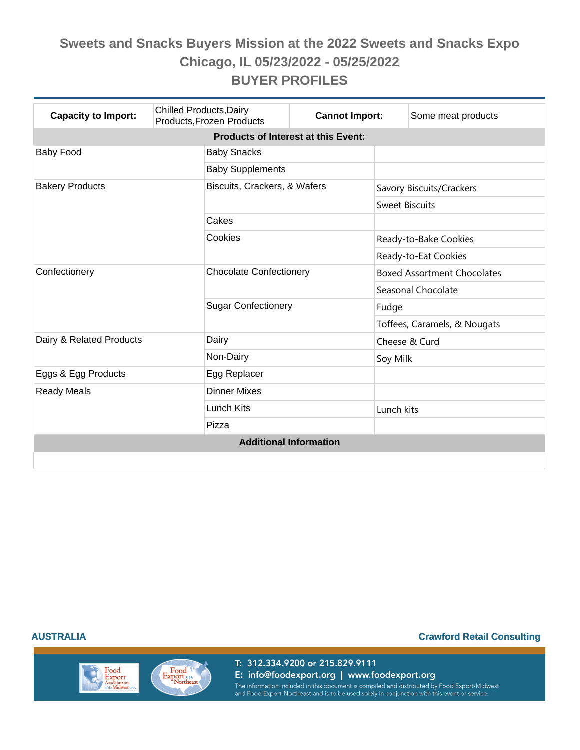| <b>Capacity to Import:</b>                 | <b>Chilled Products, Dairy</b><br>Products, Frozen Products | <b>Cannot Import:</b>          |                       | Some meat products                 |  |  |  |  |
|--------------------------------------------|-------------------------------------------------------------|--------------------------------|-----------------------|------------------------------------|--|--|--|--|
| <b>Products of Interest at this Event:</b> |                                                             |                                |                       |                                    |  |  |  |  |
| <b>Baby Food</b>                           | <b>Baby Snacks</b>                                          |                                |                       |                                    |  |  |  |  |
|                                            | <b>Baby Supplements</b>                                     |                                |                       |                                    |  |  |  |  |
| <b>Bakery Products</b>                     |                                                             | Biscuits, Crackers, & Wafers   |                       | Savory Biscuits/Crackers           |  |  |  |  |
|                                            |                                                             |                                | <b>Sweet Biscuits</b> |                                    |  |  |  |  |
|                                            | Cakes                                                       |                                |                       |                                    |  |  |  |  |
|                                            | Cookies                                                     |                                |                       | Ready-to-Bake Cookies              |  |  |  |  |
|                                            |                                                             |                                |                       | Ready-to-Eat Cookies               |  |  |  |  |
| Confectionery                              |                                                             | <b>Chocolate Confectionery</b> |                       | <b>Boxed Assortment Chocolates</b> |  |  |  |  |
|                                            |                                                             |                                |                       | Seasonal Chocolate                 |  |  |  |  |
|                                            |                                                             | <b>Sugar Confectionery</b>     |                       |                                    |  |  |  |  |
|                                            |                                                             |                                |                       | Toffees, Caramels, & Nougats       |  |  |  |  |
| Dairy & Related Products                   | Dairy                                                       |                                |                       | Cheese & Curd                      |  |  |  |  |
|                                            | Non-Dairy                                                   |                                |                       | Soy Milk                           |  |  |  |  |
| Eggs & Egg Products                        | Egg Replacer                                                |                                |                       |                                    |  |  |  |  |
| <b>Ready Meals</b>                         | <b>Dinner Mixes</b>                                         |                                |                       |                                    |  |  |  |  |
|                                            | Lunch Kits                                                  |                                | Lunch kits            |                                    |  |  |  |  |
|                                            | Pizza                                                       |                                |                       |                                    |  |  |  |  |
| <b>Additional Information</b>              |                                                             |                                |                       |                                    |  |  |  |  |
|                                            |                                                             |                                |                       |                                    |  |  |  |  |

Food

Export<br>Association<br>of the Midwest u

Export USA

#### **AUSTRALIA Crawford Retail Consulting**

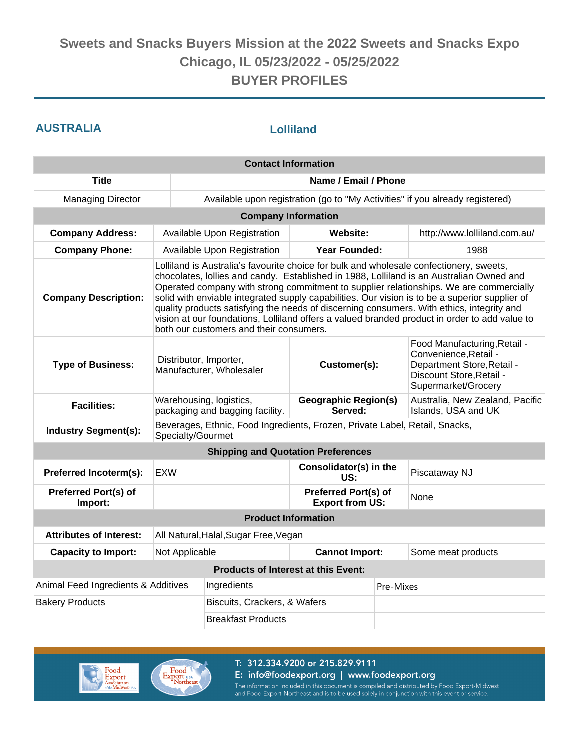### **AUSTRALIA Lolliland**

| <b>Contact Information</b>             |                                                                                                                                                                                                                                                                                                                                                                                                                                                                                                                                                                                                                          |                                                                             |                                                |                    |                                                                                                                                        |  |
|----------------------------------------|--------------------------------------------------------------------------------------------------------------------------------------------------------------------------------------------------------------------------------------------------------------------------------------------------------------------------------------------------------------------------------------------------------------------------------------------------------------------------------------------------------------------------------------------------------------------------------------------------------------------------|-----------------------------------------------------------------------------|------------------------------------------------|--------------------|----------------------------------------------------------------------------------------------------------------------------------------|--|
| <b>Title</b>                           |                                                                                                                                                                                                                                                                                                                                                                                                                                                                                                                                                                                                                          | Name / Email / Phone                                                        |                                                |                    |                                                                                                                                        |  |
| <b>Managing Director</b>               |                                                                                                                                                                                                                                                                                                                                                                                                                                                                                                                                                                                                                          |                                                                             |                                                |                    | Available upon registration (go to "My Activities" if you already registered)                                                          |  |
|                                        |                                                                                                                                                                                                                                                                                                                                                                                                                                                                                                                                                                                                                          | <b>Company Information</b>                                                  |                                                |                    |                                                                                                                                        |  |
| <b>Company Address:</b>                |                                                                                                                                                                                                                                                                                                                                                                                                                                                                                                                                                                                                                          | Available Upon Registration                                                 | Website:                                       |                    | http://www.lolliland.com.au/                                                                                                           |  |
| <b>Company Phone:</b>                  |                                                                                                                                                                                                                                                                                                                                                                                                                                                                                                                                                                                                                          | Available Upon Registration                                                 | Year Founded:                                  |                    | 1988                                                                                                                                   |  |
| <b>Company Description:</b>            | Lolliland is Australia's favourite choice for bulk and wholesale confectionery, sweets,<br>chocolates, lollies and candy. Established in 1988, Lolliland is an Australian Owned and<br>Operated company with strong commitment to supplier relationships. We are commercially<br>solid with enviable integrated supply capabilities. Our vision is to be a superior supplier of<br>quality products satisfying the needs of discerning consumers. With ethics, integrity and<br>vision at our foundations, Lolliland offers a valued branded product in order to add value to<br>both our customers and their consumers. |                                                                             |                                                |                    |                                                                                                                                        |  |
| <b>Type of Business:</b>               | Distributor, Importer,<br>Manufacturer, Wholesaler                                                                                                                                                                                                                                                                                                                                                                                                                                                                                                                                                                       |                                                                             | Customer(s):                                   |                    | Food Manufacturing, Retail -<br>Convenience, Retail -<br>Department Store, Retail -<br>Discount Store, Retail -<br>Supermarket/Grocery |  |
| <b>Facilities:</b>                     | Warehousing, logistics,<br>packaging and bagging facility.                                                                                                                                                                                                                                                                                                                                                                                                                                                                                                                                                               |                                                                             | <b>Geographic Region(s)</b><br>Served:         |                    | Australia, New Zealand, Pacific<br>Islands, USA and UK                                                                                 |  |
| <b>Industry Segment(s):</b>            | Specialty/Gourmet                                                                                                                                                                                                                                                                                                                                                                                                                                                                                                                                                                                                        | Beverages, Ethnic, Food Ingredients, Frozen, Private Label, Retail, Snacks, |                                                |                    |                                                                                                                                        |  |
|                                        |                                                                                                                                                                                                                                                                                                                                                                                                                                                                                                                                                                                                                          | <b>Shipping and Quotation Preferences</b>                                   |                                                |                    |                                                                                                                                        |  |
| Preferred Incoterm(s):                 | <b>EXW</b>                                                                                                                                                                                                                                                                                                                                                                                                                                                                                                                                                                                                               |                                                                             | Consolidator(s) in the<br>US:                  |                    | Piscataway NJ                                                                                                                          |  |
| <b>Preferred Port(s) of</b><br>Import: |                                                                                                                                                                                                                                                                                                                                                                                                                                                                                                                                                                                                                          |                                                                             | Preferred Port(s) of<br><b>Export from US:</b> |                    | None                                                                                                                                   |  |
|                                        |                                                                                                                                                                                                                                                                                                                                                                                                                                                                                                                                                                                                                          | <b>Product Information</b>                                                  |                                                |                    |                                                                                                                                        |  |
| <b>Attributes of Interest:</b>         | All Natural, Halal, Sugar Free, Vegan                                                                                                                                                                                                                                                                                                                                                                                                                                                                                                                                                                                    |                                                                             |                                                |                    |                                                                                                                                        |  |
| <b>Capacity to Import:</b>             | <b>Cannot Import:</b><br>Not Applicable                                                                                                                                                                                                                                                                                                                                                                                                                                                                                                                                                                                  |                                                                             |                                                | Some meat products |                                                                                                                                        |  |
|                                        |                                                                                                                                                                                                                                                                                                                                                                                                                                                                                                                                                                                                                          | <b>Products of Interest at this Event:</b>                                  |                                                |                    |                                                                                                                                        |  |
| Animal Feed Ingredients & Additives    |                                                                                                                                                                                                                                                                                                                                                                                                                                                                                                                                                                                                                          | Ingredients                                                                 |                                                |                    | Pre-Mixes                                                                                                                              |  |
| <b>Bakery Products</b>                 |                                                                                                                                                                                                                                                                                                                                                                                                                                                                                                                                                                                                                          | Biscuits, Crackers, & Wafers                                                |                                                |                    |                                                                                                                                        |  |
| <b>Breakfast Products</b>              |                                                                                                                                                                                                                                                                                                                                                                                                                                                                                                                                                                                                                          |                                                                             |                                                |                    |                                                                                                                                        |  |



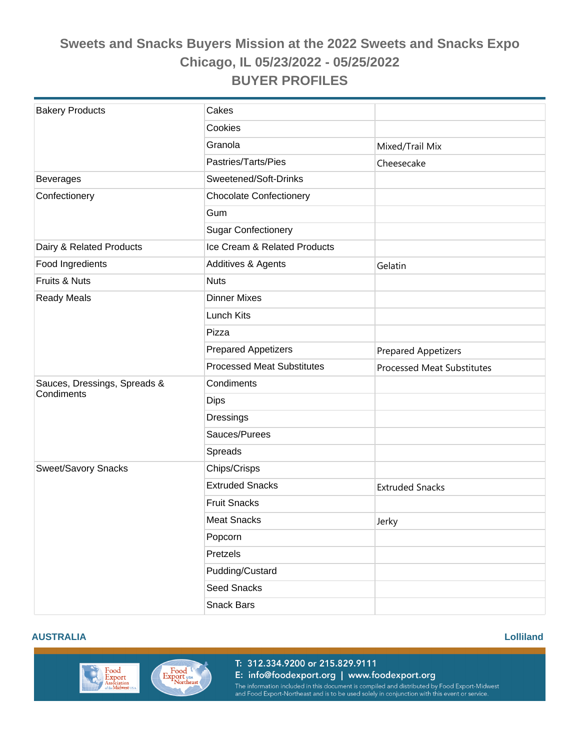| <b>Bakery Products</b>       | Cakes                             |                                   |
|------------------------------|-----------------------------------|-----------------------------------|
|                              | Cookies                           |                                   |
|                              | Granola                           | Mixed/Trail Mix                   |
|                              | Pastries/Tarts/Pies               | Cheesecake                        |
| <b>Beverages</b>             | Sweetened/Soft-Drinks             |                                   |
| Confectionery                | <b>Chocolate Confectionery</b>    |                                   |
|                              | Gum                               |                                   |
|                              | <b>Sugar Confectionery</b>        |                                   |
| Dairy & Related Products     | Ice Cream & Related Products      |                                   |
| Food Ingredients             | Additives & Agents                | Gelatin                           |
| Fruits & Nuts                | <b>Nuts</b>                       |                                   |
| <b>Ready Meals</b>           | <b>Dinner Mixes</b>               |                                   |
|                              | Lunch Kits                        |                                   |
|                              | Pizza                             |                                   |
|                              | <b>Prepared Appetizers</b>        | <b>Prepared Appetizers</b>        |
|                              | <b>Processed Meat Substitutes</b> | <b>Processed Meat Substitutes</b> |
| Sauces, Dressings, Spreads & | Condiments                        |                                   |
| Condiments                   | <b>Dips</b>                       |                                   |
|                              | Dressings                         |                                   |
|                              | Sauces/Purees                     |                                   |
|                              | Spreads                           |                                   |
| Sweet/Savory Snacks          | Chips/Crisps                      |                                   |
|                              | <b>Extruded Snacks</b>            | <b>Extruded Snacks</b>            |
|                              | <b>Fruit Snacks</b>               |                                   |
|                              | <b>Meat Snacks</b>                | Jerky                             |
|                              | Popcorn                           |                                   |
|                              | Pretzels                          |                                   |
|                              | Pudding/Custard                   |                                   |
|                              | Seed Snacks                       |                                   |
|                              | <b>Snack Bars</b>                 |                                   |

#### **AUSTRALIA Lolliland**





Export USA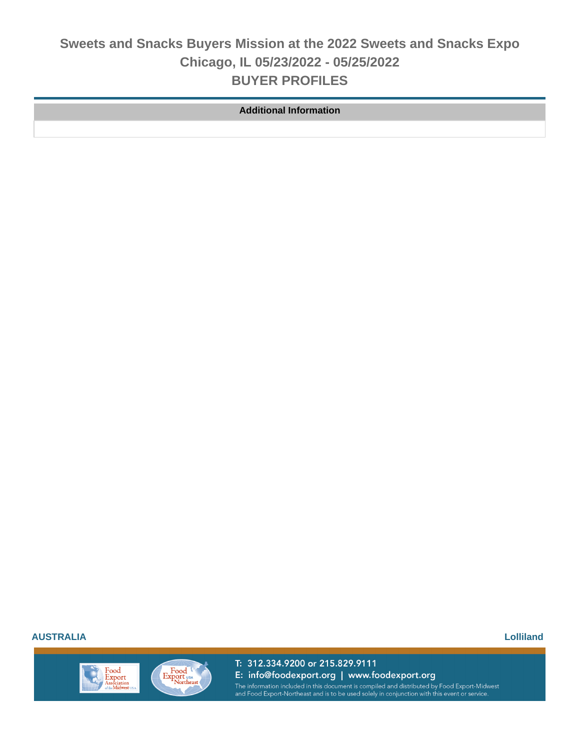**Additional Information**

**AUSTRALIA Lolliland**

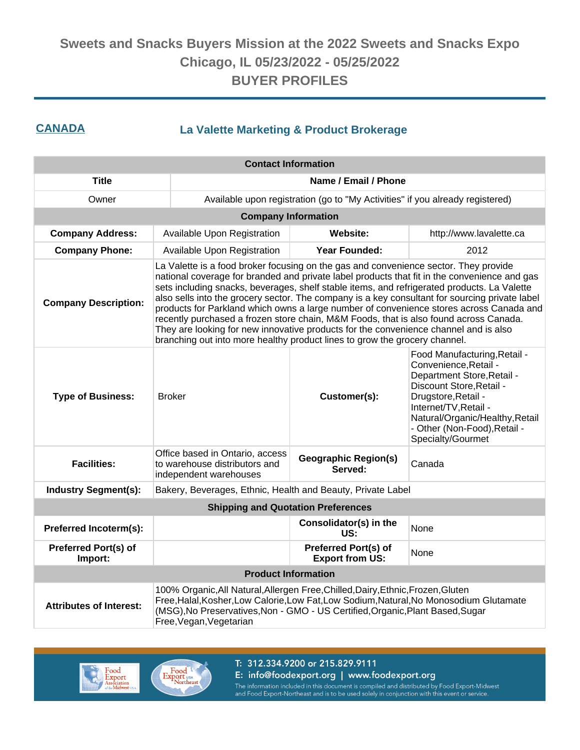### **CANADA La Valette Marketing & Product Brokerage**

| <b>Contact Information</b>                                                                                                                                                                                                                                                                                                 |                                                                                                                                                                                                                                                                                                                                                                                                                                                                                                                                                                                                                                                                                                                                                 |                                                                                                                                                                                                                                                                         |                         |  |  |
|----------------------------------------------------------------------------------------------------------------------------------------------------------------------------------------------------------------------------------------------------------------------------------------------------------------------------|-------------------------------------------------------------------------------------------------------------------------------------------------------------------------------------------------------------------------------------------------------------------------------------------------------------------------------------------------------------------------------------------------------------------------------------------------------------------------------------------------------------------------------------------------------------------------------------------------------------------------------------------------------------------------------------------------------------------------------------------------|-------------------------------------------------------------------------------------------------------------------------------------------------------------------------------------------------------------------------------------------------------------------------|-------------------------|--|--|
| <b>Title</b>                                                                                                                                                                                                                                                                                                               | Name / Email / Phone                                                                                                                                                                                                                                                                                                                                                                                                                                                                                                                                                                                                                                                                                                                            |                                                                                                                                                                                                                                                                         |                         |  |  |
| Owner                                                                                                                                                                                                                                                                                                                      |                                                                                                                                                                                                                                                                                                                                                                                                                                                                                                                                                                                                                                                                                                                                                 | Available upon registration (go to "My Activities" if you already registered)                                                                                                                                                                                           |                         |  |  |
|                                                                                                                                                                                                                                                                                                                            |                                                                                                                                                                                                                                                                                                                                                                                                                                                                                                                                                                                                                                                                                                                                                 | <b>Company Information</b>                                                                                                                                                                                                                                              |                         |  |  |
| <b>Company Address:</b>                                                                                                                                                                                                                                                                                                    | Available Upon Registration                                                                                                                                                                                                                                                                                                                                                                                                                                                                                                                                                                                                                                                                                                                     | <b>Website:</b>                                                                                                                                                                                                                                                         | http://www.lavalette.ca |  |  |
| <b>Company Phone:</b>                                                                                                                                                                                                                                                                                                      | Available Upon Registration                                                                                                                                                                                                                                                                                                                                                                                                                                                                                                                                                                                                                                                                                                                     | Year Founded:                                                                                                                                                                                                                                                           | 2012                    |  |  |
| <b>Company Description:</b>                                                                                                                                                                                                                                                                                                | La Valette is a food broker focusing on the gas and convenience sector. They provide<br>national coverage for branded and private label products that fit in the convenience and gas<br>sets including snacks, beverages, shelf stable items, and refrigerated products. La Valette<br>also sells into the grocery sector. The company is a key consultant for sourcing private label<br>products for Parkland which owns a large number of convenience stores across Canada and<br>recently purchased a frozen store chain, M&M Foods, that is also found across Canada.<br>They are looking for new innovative products for the convenience channel and is also<br>branching out into more healthy product lines to grow the grocery channel. |                                                                                                                                                                                                                                                                         |                         |  |  |
| <b>Type of Business:</b>                                                                                                                                                                                                                                                                                                   | <b>Broker</b>                                                                                                                                                                                                                                                                                                                                                                                                                                                                                                                                                                                                                                                                                                                                   | Food Manufacturing, Retail -<br>Convenience, Retail -<br>Department Store, Retail -<br>Discount Store, Retail -<br>Drugstore, Retail -<br>Customer(s):<br>Internet/TV, Retail -<br>Natural/Organic/Healthy, Retail<br>- Other (Non-Food), Retail -<br>Specialty/Gourmet |                         |  |  |
| <b>Facilities:</b>                                                                                                                                                                                                                                                                                                         | Office based in Ontario, access<br>to warehouse distributors and<br>independent warehouses                                                                                                                                                                                                                                                                                                                                                                                                                                                                                                                                                                                                                                                      | <b>Geographic Region(s)</b><br>Served:                                                                                                                                                                                                                                  | Canada                  |  |  |
| <b>Industry Segment(s):</b>                                                                                                                                                                                                                                                                                                | Bakery, Beverages, Ethnic, Health and Beauty, Private Label                                                                                                                                                                                                                                                                                                                                                                                                                                                                                                                                                                                                                                                                                     |                                                                                                                                                                                                                                                                         |                         |  |  |
|                                                                                                                                                                                                                                                                                                                            |                                                                                                                                                                                                                                                                                                                                                                                                                                                                                                                                                                                                                                                                                                                                                 | <b>Shipping and Quotation Preferences</b>                                                                                                                                                                                                                               |                         |  |  |
| Preferred Incoterm(s):                                                                                                                                                                                                                                                                                                     |                                                                                                                                                                                                                                                                                                                                                                                                                                                                                                                                                                                                                                                                                                                                                 | Consolidator(s) in the<br>US:                                                                                                                                                                                                                                           | None                    |  |  |
| <b>Preferred Port(s) of</b><br>Import:                                                                                                                                                                                                                                                                                     | <b>Preferred Port(s) of</b><br>None<br><b>Export from US:</b>                                                                                                                                                                                                                                                                                                                                                                                                                                                                                                                                                                                                                                                                                   |                                                                                                                                                                                                                                                                         |                         |  |  |
|                                                                                                                                                                                                                                                                                                                            |                                                                                                                                                                                                                                                                                                                                                                                                                                                                                                                                                                                                                                                                                                                                                 | <b>Product Information</b>                                                                                                                                                                                                                                              |                         |  |  |
| 100% Organic, All Natural, Allergen Free, Chilled, Dairy, Ethnic, Frozen, Gluten<br>Free, Halal, Kosher, Low Calorie, Low Fat, Low Sodium, Natural, No Monosodium Glutamate<br><b>Attributes of Interest:</b><br>(MSG), No Preservatives, Non - GMO - US Certified, Organic, Plant Based, Sugar<br>Free, Vegan, Vegetarian |                                                                                                                                                                                                                                                                                                                                                                                                                                                                                                                                                                                                                                                                                                                                                 |                                                                                                                                                                                                                                                                         |                         |  |  |



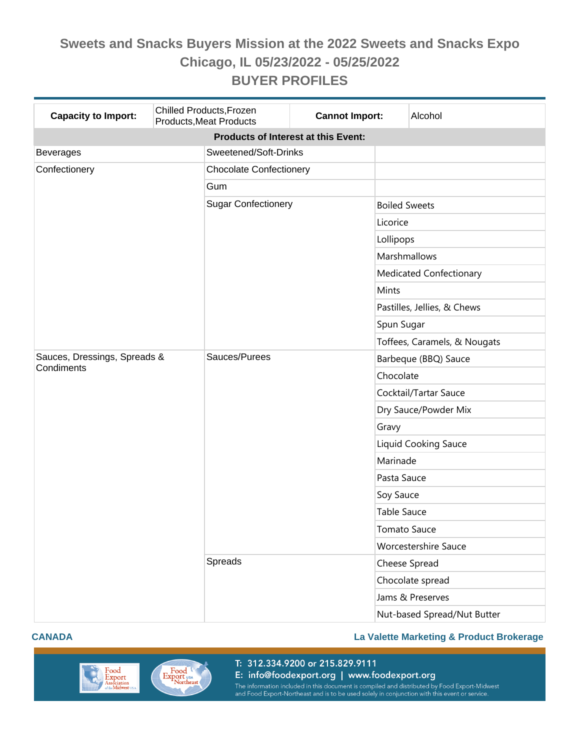| <b>Capacity to Import:</b>                 | Chilled Products, Frozen<br><b>Products, Meat Products</b> | <b>Cannot Import:</b><br>Alcohol |                                |                              |  |  |  |
|--------------------------------------------|------------------------------------------------------------|----------------------------------|--------------------------------|------------------------------|--|--|--|
| <b>Products of Interest at this Event:</b> |                                                            |                                  |                                |                              |  |  |  |
| <b>Beverages</b>                           | Sweetened/Soft-Drinks                                      |                                  |                                |                              |  |  |  |
| Confectionery                              |                                                            | <b>Chocolate Confectionery</b>   |                                |                              |  |  |  |
|                                            | Gum                                                        |                                  |                                |                              |  |  |  |
|                                            | <b>Sugar Confectionery</b>                                 |                                  |                                | <b>Boiled Sweets</b>         |  |  |  |
|                                            |                                                            |                                  | Licorice                       |                              |  |  |  |
|                                            |                                                            |                                  | Lollipops                      |                              |  |  |  |
|                                            |                                                            |                                  | Marshmallows                   |                              |  |  |  |
|                                            |                                                            |                                  | <b>Medicated Confectionary</b> |                              |  |  |  |
|                                            |                                                            |                                  | Mints                          |                              |  |  |  |
|                                            |                                                            |                                  | Pastilles, Jellies, & Chews    |                              |  |  |  |
|                                            |                                                            |                                  | Spun Sugar                     |                              |  |  |  |
|                                            |                                                            |                                  |                                | Toffees, Caramels, & Nougats |  |  |  |
| Sauces, Dressings, Spreads &<br>Condiments | Sauces/Purees                                              |                                  |                                | Barbeque (BBQ) Sauce         |  |  |  |
|                                            |                                                            |                                  | Chocolate                      |                              |  |  |  |
|                                            |                                                            |                                  |                                | Cocktail/Tartar Sauce        |  |  |  |
|                                            |                                                            |                                  | Dry Sauce/Powder Mix           |                              |  |  |  |
|                                            |                                                            |                                  | Gravy                          |                              |  |  |  |
|                                            |                                                            |                                  | Liquid Cooking Sauce           |                              |  |  |  |
|                                            |                                                            |                                  | Marinade                       |                              |  |  |  |
|                                            |                                                            |                                  | Pasta Sauce                    |                              |  |  |  |
|                                            |                                                            |                                  | Soy Sauce                      |                              |  |  |  |
|                                            |                                                            |                                  | <b>Table Sauce</b>             |                              |  |  |  |
|                                            |                                                            |                                  | <b>Tomato Sauce</b>            |                              |  |  |  |
|                                            |                                                            |                                  | <b>Worcestershire Sauce</b>    |                              |  |  |  |
|                                            | Spreads                                                    |                                  | Cheese Spread                  |                              |  |  |  |
|                                            |                                                            |                                  | Chocolate spread               |                              |  |  |  |
|                                            |                                                            |                                  | Jams & Preserves               |                              |  |  |  |
|                                            |                                                            |                                  |                                | Nut-based Spread/Nut Butter  |  |  |  |

#### **CANADA La Valette Marketing & Product Brokerage**

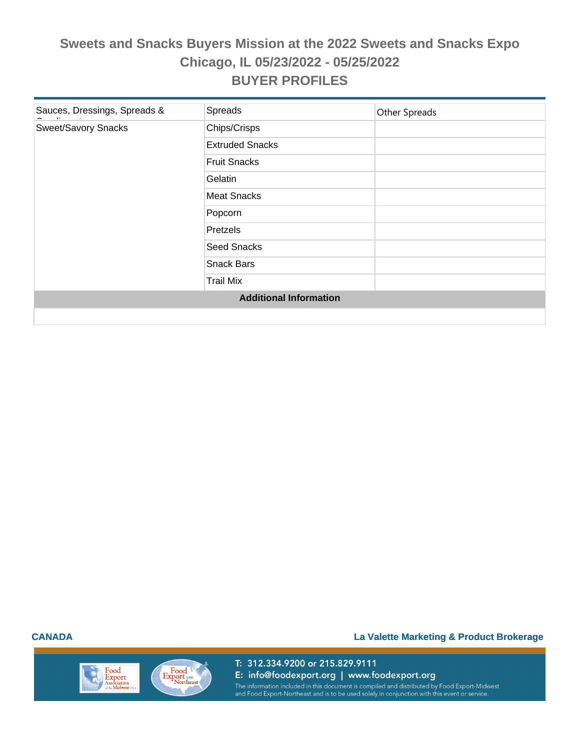| Sauces, Dressings, Spreads & | Spreads                       | Other Spreads |
|------------------------------|-------------------------------|---------------|
| <b>Sweet/Savory Snacks</b>   | Chips/Crisps                  |               |
|                              | <b>Extruded Snacks</b>        |               |
|                              | <b>Fruit Snacks</b>           |               |
|                              | Gelatin                       |               |
|                              | <b>Meat Snacks</b>            |               |
|                              | Popcorn                       |               |
|                              | Pretzels                      |               |
|                              | <b>Seed Snacks</b>            |               |
|                              | <b>Snack Bars</b>             |               |
|                              | <b>Trail Mix</b>              |               |
|                              | <b>Additional Information</b> |               |
|                              |                               |               |

#### **CANADA La Valette Marketing & Product Brokerage**

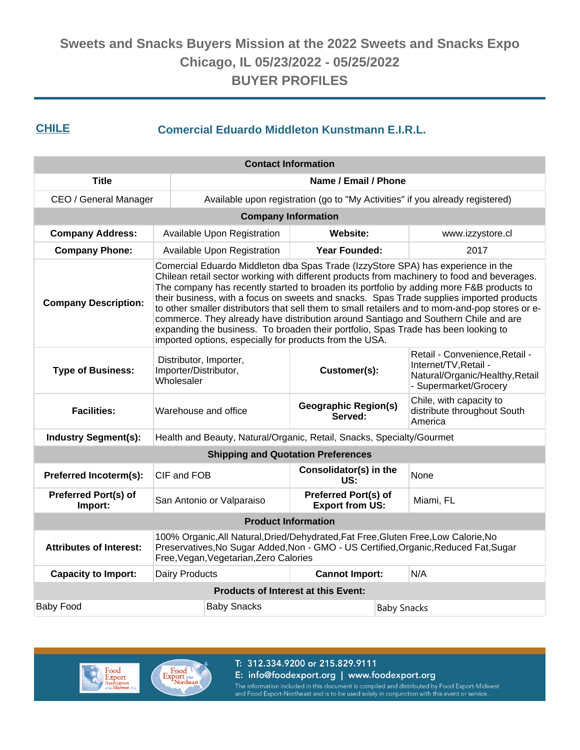### **CHILE Comercial Eduardo Middleton Kunstmann E.I.R.L.**

| <b>Contact Information</b>             |                                                                                                                                                                                                                                                                                                                                                                                                                                                                                                                                                                                                                                                                                                                    |                                                                       |                                                       |  |                                                                                                                     |  |  |
|----------------------------------------|--------------------------------------------------------------------------------------------------------------------------------------------------------------------------------------------------------------------------------------------------------------------------------------------------------------------------------------------------------------------------------------------------------------------------------------------------------------------------------------------------------------------------------------------------------------------------------------------------------------------------------------------------------------------------------------------------------------------|-----------------------------------------------------------------------|-------------------------------------------------------|--|---------------------------------------------------------------------------------------------------------------------|--|--|
| <b>Title</b>                           |                                                                                                                                                                                                                                                                                                                                                                                                                                                                                                                                                                                                                                                                                                                    | Name / Email / Phone                                                  |                                                       |  |                                                                                                                     |  |  |
| CEO / General Manager                  |                                                                                                                                                                                                                                                                                                                                                                                                                                                                                                                                                                                                                                                                                                                    |                                                                       |                                                       |  | Available upon registration (go to "My Activities" if you already registered)                                       |  |  |
| <b>Company Information</b>             |                                                                                                                                                                                                                                                                                                                                                                                                                                                                                                                                                                                                                                                                                                                    |                                                                       |                                                       |  |                                                                                                                     |  |  |
| <b>Company Address:</b>                |                                                                                                                                                                                                                                                                                                                                                                                                                                                                                                                                                                                                                                                                                                                    | Available Upon Registration                                           | Website:                                              |  | www.izzystore.cl                                                                                                    |  |  |
| <b>Company Phone:</b>                  |                                                                                                                                                                                                                                                                                                                                                                                                                                                                                                                                                                                                                                                                                                                    | Available Upon Registration                                           | <b>Year Founded:</b>                                  |  | 2017                                                                                                                |  |  |
| <b>Company Description:</b>            | Comercial Eduardo Middleton dba Spas Trade (IzzyStore SPA) has experience in the<br>Chilean retail sector working with different products from machinery to food and beverages.<br>The company has recently started to broaden its portfolio by adding more F&B products to<br>their business, with a focus on sweets and snacks. Spas Trade supplies imported products<br>to other smaller distributors that sell them to small retailers and to mom-and-pop stores or e-<br>commerce. They already have distribution around Santiago and Southern Chile and are<br>expanding the business. To broaden their portfolio, Spas Trade has been looking to<br>imported options, especially for products from the USA. |                                                                       |                                                       |  |                                                                                                                     |  |  |
| <b>Type of Business:</b>               | Distributor, Importer,<br>Importer/Distributor,<br>Wholesaler                                                                                                                                                                                                                                                                                                                                                                                                                                                                                                                                                                                                                                                      |                                                                       | Customer(s):                                          |  | Retail - Convenience, Retail -<br>Internet/TV, Retail -<br>Natural/Organic/Healthy, Retail<br>- Supermarket/Grocery |  |  |
| <b>Facilities:</b>                     | Warehouse and office                                                                                                                                                                                                                                                                                                                                                                                                                                                                                                                                                                                                                                                                                               |                                                                       | <b>Geographic Region(s)</b><br>Served:                |  | Chile, with capacity to<br>distribute throughout South<br>America                                                   |  |  |
| <b>Industry Segment(s):</b>            |                                                                                                                                                                                                                                                                                                                                                                                                                                                                                                                                                                                                                                                                                                                    | Health and Beauty, Natural/Organic, Retail, Snacks, Specialty/Gourmet |                                                       |  |                                                                                                                     |  |  |
|                                        |                                                                                                                                                                                                                                                                                                                                                                                                                                                                                                                                                                                                                                                                                                                    | <b>Shipping and Quotation Preferences</b>                             |                                                       |  |                                                                                                                     |  |  |
| Preferred Incoterm(s):                 | CIF and FOB                                                                                                                                                                                                                                                                                                                                                                                                                                                                                                                                                                                                                                                                                                        |                                                                       | Consolidator(s) in the<br>US:                         |  | None                                                                                                                |  |  |
| <b>Preferred Port(s) of</b><br>Import: |                                                                                                                                                                                                                                                                                                                                                                                                                                                                                                                                                                                                                                                                                                                    | San Antonio or Valparaiso                                             | <b>Preferred Port(s) of</b><br><b>Export from US:</b> |  | Miami, FL                                                                                                           |  |  |
|                                        |                                                                                                                                                                                                                                                                                                                                                                                                                                                                                                                                                                                                                                                                                                                    |                                                                       | <b>Product Information</b>                            |  |                                                                                                                     |  |  |
| <b>Attributes of Interest:</b>         | 100% Organic, All Natural, Dried/Dehydrated, Fat Free, Gluten Free, Low Calorie, No<br>Preservatives, No Sugar Added, Non - GMO - US Certified, Organic, Reduced Fat, Sugar<br>Free, Vegan, Vegetarian, Zero Calories                                                                                                                                                                                                                                                                                                                                                                                                                                                                                              |                                                                       |                                                       |  |                                                                                                                     |  |  |
| <b>Capacity to Import:</b>             | Dairy Products                                                                                                                                                                                                                                                                                                                                                                                                                                                                                                                                                                                                                                                                                                     |                                                                       | <b>Cannot Import:</b>                                 |  | N/A                                                                                                                 |  |  |
|                                        |                                                                                                                                                                                                                                                                                                                                                                                                                                                                                                                                                                                                                                                                                                                    | <b>Products of Interest at this Event:</b>                            |                                                       |  |                                                                                                                     |  |  |
| <b>Baby Food</b>                       |                                                                                                                                                                                                                                                                                                                                                                                                                                                                                                                                                                                                                                                                                                                    | <b>Baby Snacks</b><br><b>Baby Snacks</b>                              |                                                       |  |                                                                                                                     |  |  |



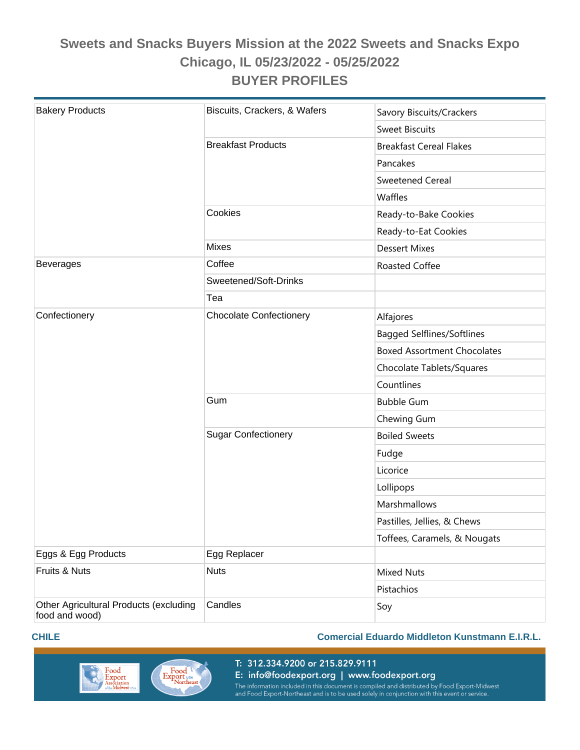| <b>Bakery Products</b>                                   | Biscuits, Crackers, & Wafers   | Savory Biscuits/Crackers           |  |
|----------------------------------------------------------|--------------------------------|------------------------------------|--|
|                                                          |                                | <b>Sweet Biscuits</b>              |  |
|                                                          | <b>Breakfast Products</b>      | <b>Breakfast Cereal Flakes</b>     |  |
|                                                          |                                | Pancakes                           |  |
|                                                          |                                | <b>Sweetened Cereal</b>            |  |
|                                                          |                                | Waffles                            |  |
|                                                          | Cookies                        | Ready-to-Bake Cookies              |  |
|                                                          |                                | Ready-to-Eat Cookies               |  |
|                                                          | <b>Mixes</b>                   | <b>Dessert Mixes</b>               |  |
| <b>Beverages</b>                                         | Coffee                         | Roasted Coffee                     |  |
|                                                          | Sweetened/Soft-Drinks          |                                    |  |
|                                                          | Tea                            |                                    |  |
| Confectionery                                            | <b>Chocolate Confectionery</b> | Alfajores                          |  |
|                                                          |                                | <b>Bagged Selflines/Softlines</b>  |  |
|                                                          |                                | <b>Boxed Assortment Chocolates</b> |  |
|                                                          |                                | Chocolate Tablets/Squares          |  |
|                                                          |                                | Countlines                         |  |
|                                                          | Gum                            | <b>Bubble Gum</b>                  |  |
|                                                          |                                | Chewing Gum                        |  |
|                                                          | <b>Sugar Confectionery</b>     | <b>Boiled Sweets</b>               |  |
|                                                          |                                | Fudge                              |  |
|                                                          |                                | Licorice                           |  |
|                                                          |                                | Lollipops                          |  |
|                                                          |                                | Marshmallows                       |  |
|                                                          |                                | Pastilles, Jellies, & Chews        |  |
|                                                          |                                | Toffees, Caramels, & Nougats       |  |
| Eggs & Egg Products                                      | Egg Replacer                   |                                    |  |
| Fruits & Nuts                                            | <b>Nuts</b>                    | <b>Mixed Nuts</b>                  |  |
|                                                          |                                | Pistachios                         |  |
| Other Agricultural Products (excluding<br>food and wood) | Candles                        | Soy                                |  |

#### **CHILE Comercial Eduardo Middleton Kunstmann E.I.R.L.**



E: info@foodexport.org | www.foodexport.org The information included in this document is compiled and distributed by Food Export-Midwest<br>and Food Export-Northeast and is to be used solely in conjunction with this event or service.

T: 312.334.9200 or 215.829.9111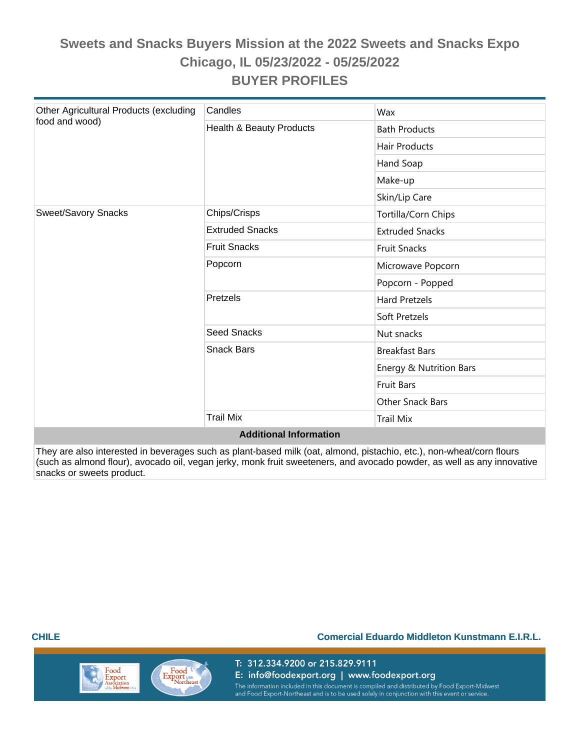| Other Agricultural Products (excluding | Candles                  | Wax                     |  |  |  |  |
|----------------------------------------|--------------------------|-------------------------|--|--|--|--|
| food and wood)                         | Health & Beauty Products | <b>Bath Products</b>    |  |  |  |  |
|                                        |                          | <b>Hair Products</b>    |  |  |  |  |
|                                        |                          | Hand Soap               |  |  |  |  |
|                                        |                          | Make-up                 |  |  |  |  |
|                                        |                          | Skin/Lip Care           |  |  |  |  |
| <b>Sweet/Savory Snacks</b>             | Chips/Crisps             | Tortilla/Corn Chips     |  |  |  |  |
|                                        | <b>Extruded Snacks</b>   | <b>Extruded Snacks</b>  |  |  |  |  |
|                                        | <b>Fruit Snacks</b>      | <b>Fruit Snacks</b>     |  |  |  |  |
|                                        | Popcorn                  | Microwave Popcorn       |  |  |  |  |
|                                        |                          | Popcorn - Popped        |  |  |  |  |
|                                        | Pretzels                 | <b>Hard Pretzels</b>    |  |  |  |  |
|                                        |                          | Soft Pretzels           |  |  |  |  |
|                                        | <b>Seed Snacks</b>       | Nut snacks              |  |  |  |  |
|                                        | <b>Snack Bars</b>        | <b>Breakfast Bars</b>   |  |  |  |  |
|                                        |                          | Energy & Nutrition Bars |  |  |  |  |
|                                        |                          | <b>Fruit Bars</b>       |  |  |  |  |
|                                        |                          | Other Snack Bars        |  |  |  |  |
|                                        | <b>Trail Mix</b>         | <b>Trail Mix</b>        |  |  |  |  |
| <b>Additional Information</b>          |                          |                         |  |  |  |  |

They are also interested in beverages such as plant-based milk (oat, almond, pistachio, etc.), non-wheat/corn flours (such as almond flour), avocado oil, vegan jerky, monk fruit sweeteners, and avocado powder, as well as any innovative snacks or sweets product.

#### **CHILE Comercial Eduardo Middleton Kunstmann E.I.R.L.**

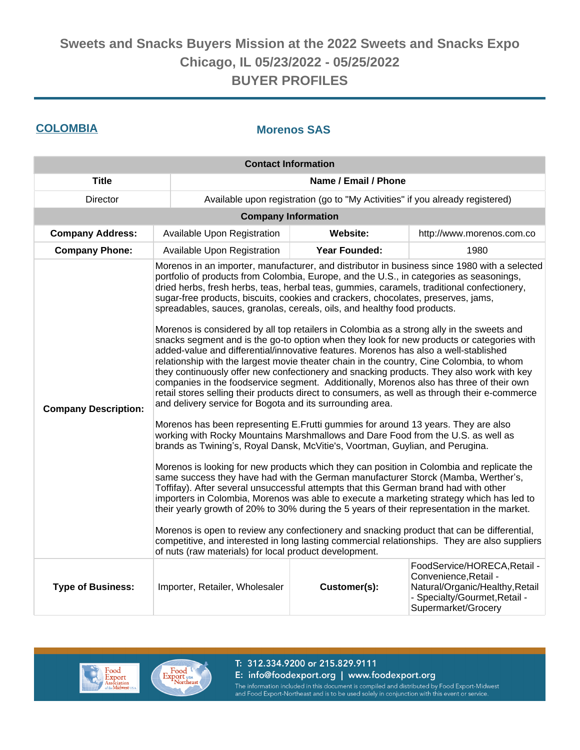### **COLOMBIA Morenos SAS**

| <b>Contact Information</b>  |                                                                                                                                                                                                                                                                                                                                                                                                                                                                                                                                                                                                                                                                                                                                                                                                                                                                                                                                                                                                                                                                                                                                                                                                                                                                                                                                                                                                                                                                                                                                                                                                                                                                                                                                                                                                                                                                                                                                                                                                                                                                                   |                                                                               |                                                                                                                                                  |  |  |  |
|-----------------------------|-----------------------------------------------------------------------------------------------------------------------------------------------------------------------------------------------------------------------------------------------------------------------------------------------------------------------------------------------------------------------------------------------------------------------------------------------------------------------------------------------------------------------------------------------------------------------------------------------------------------------------------------------------------------------------------------------------------------------------------------------------------------------------------------------------------------------------------------------------------------------------------------------------------------------------------------------------------------------------------------------------------------------------------------------------------------------------------------------------------------------------------------------------------------------------------------------------------------------------------------------------------------------------------------------------------------------------------------------------------------------------------------------------------------------------------------------------------------------------------------------------------------------------------------------------------------------------------------------------------------------------------------------------------------------------------------------------------------------------------------------------------------------------------------------------------------------------------------------------------------------------------------------------------------------------------------------------------------------------------------------------------------------------------------------------------------------------------|-------------------------------------------------------------------------------|--------------------------------------------------------------------------------------------------------------------------------------------------|--|--|--|
| <b>Title</b>                | Name / Email / Phone                                                                                                                                                                                                                                                                                                                                                                                                                                                                                                                                                                                                                                                                                                                                                                                                                                                                                                                                                                                                                                                                                                                                                                                                                                                                                                                                                                                                                                                                                                                                                                                                                                                                                                                                                                                                                                                                                                                                                                                                                                                              |                                                                               |                                                                                                                                                  |  |  |  |
| <b>Director</b>             |                                                                                                                                                                                                                                                                                                                                                                                                                                                                                                                                                                                                                                                                                                                                                                                                                                                                                                                                                                                                                                                                                                                                                                                                                                                                                                                                                                                                                                                                                                                                                                                                                                                                                                                                                                                                                                                                                                                                                                                                                                                                                   | Available upon registration (go to "My Activities" if you already registered) |                                                                                                                                                  |  |  |  |
|                             |                                                                                                                                                                                                                                                                                                                                                                                                                                                                                                                                                                                                                                                                                                                                                                                                                                                                                                                                                                                                                                                                                                                                                                                                                                                                                                                                                                                                                                                                                                                                                                                                                                                                                                                                                                                                                                                                                                                                                                                                                                                                                   | <b>Company Information</b>                                                    |                                                                                                                                                  |  |  |  |
| <b>Company Address:</b>     | Available Upon Registration<br>Website:<br>http://www.morenos.com.co                                                                                                                                                                                                                                                                                                                                                                                                                                                                                                                                                                                                                                                                                                                                                                                                                                                                                                                                                                                                                                                                                                                                                                                                                                                                                                                                                                                                                                                                                                                                                                                                                                                                                                                                                                                                                                                                                                                                                                                                              |                                                                               |                                                                                                                                                  |  |  |  |
| <b>Company Phone:</b>       | Available Upon Registration                                                                                                                                                                                                                                                                                                                                                                                                                                                                                                                                                                                                                                                                                                                                                                                                                                                                                                                                                                                                                                                                                                                                                                                                                                                                                                                                                                                                                                                                                                                                                                                                                                                                                                                                                                                                                                                                                                                                                                                                                                                       | <b>Year Founded:</b>                                                          | 1980                                                                                                                                             |  |  |  |
| <b>Company Description:</b> | portfolio of products from Colombia, Europe, and the U.S., in categories as seasonings,<br>dried herbs, fresh herbs, teas, herbal teas, gummies, caramels, traditional confectionery,<br>sugar-free products, biscuits, cookies and crackers, chocolates, preserves, jams,<br>spreadables, sauces, granolas, cereals, oils, and healthy food products.<br>Morenos is considered by all top retailers in Colombia as a strong ally in the sweets and<br>snacks segment and is the go-to option when they look for new products or categories with<br>added-value and differential/innovative features. Morenos has also a well-stablished<br>relationship with the largest movie theater chain in the country, Cine Colombia, to whom<br>they continuously offer new confectionery and snacking products. They also work with key<br>companies in the foodservice segment. Additionally, Morenos also has three of their own<br>retail stores selling their products direct to consumers, as well as through their e-commerce<br>and delivery service for Bogota and its surrounding area.<br>Morenos has been representing E.Frutti gummies for around 13 years. They are also<br>working with Rocky Mountains Marshmallows and Dare Food from the U.S. as well as<br>brands as Twining's, Royal Dansk, McVitie's, Voortman, Guylian, and Perugina.<br>Morenos is looking for new products which they can position in Colombia and replicate the<br>same success they have had with the German manufacturer Storck (Mamba, Werther's,<br>Toffifay). After several unsuccessful attempts that this German brand had with other<br>importers in Colombia, Morenos was able to execute a marketing strategy which has led to<br>their yearly growth of 20% to 30% during the 5 years of their representation in the market.<br>Morenos is open to review any confectionery and snacking product that can be differential,<br>competitive, and interested in long lasting commercial relationships. They are also suppliers<br>of nuts (raw materials) for local product development. |                                                                               | Morenos in an importer, manufacturer, and distributor in business since 1980 with a selected                                                     |  |  |  |
| <b>Type of Business:</b>    | Importer, Retailer, Wholesaler                                                                                                                                                                                                                                                                                                                                                                                                                                                                                                                                                                                                                                                                                                                                                                                                                                                                                                                                                                                                                                                                                                                                                                                                                                                                                                                                                                                                                                                                                                                                                                                                                                                                                                                                                                                                                                                                                                                                                                                                                                                    | Customer(s):                                                                  | FoodService/HORECA, Retail -<br>Convenience, Retail -<br>Natural/Organic/Healthy, Retail<br>- Specialty/Gourmet, Retail -<br>Supermarket/Grocery |  |  |  |



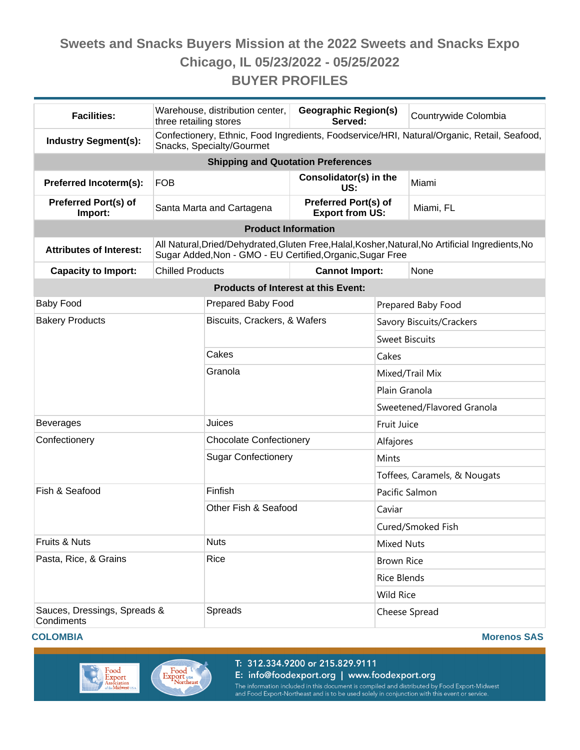| <b>Facilities:</b>                         | three retailing stores                                                                                                   | Warehouse, distribution center,                            | <b>Geographic Region(s)</b><br>Served:                |                              | Countrywide Colombia                                                                              |  |  |
|--------------------------------------------|--------------------------------------------------------------------------------------------------------------------------|------------------------------------------------------------|-------------------------------------------------------|------------------------------|---------------------------------------------------------------------------------------------------|--|--|
| <b>Industry Segment(s):</b>                | Confectionery, Ethnic, Food Ingredients, Foodservice/HRI, Natural/Organic, Retail, Seafood,<br>Snacks, Specialty/Gourmet |                                                            |                                                       |                              |                                                                                                   |  |  |
|                                            |                                                                                                                          | <b>Shipping and Quotation Preferences</b>                  |                                                       |                              |                                                                                                   |  |  |
| <b>Preferred Incoterm(s):</b>              | <b>FOB</b>                                                                                                               |                                                            | Consolidator(s) in the<br>US:                         |                              | Miami                                                                                             |  |  |
| <b>Preferred Port(s) of</b><br>Import:     |                                                                                                                          | Santa Marta and Cartagena                                  | <b>Preferred Port(s) of</b><br><b>Export from US:</b> |                              | Miami, FL                                                                                         |  |  |
|                                            |                                                                                                                          | <b>Product Information</b>                                 |                                                       |                              |                                                                                                   |  |  |
| <b>Attributes of Interest:</b>             |                                                                                                                          | Sugar Added, Non - GMO - EU Certified, Organic, Sugar Free |                                                       |                              | All Natural, Dried/Dehydrated, Gluten Free, Halal, Kosher, Natural, No Artificial Ingredients, No |  |  |
| <b>Capacity to Import:</b>                 | <b>Chilled Products</b>                                                                                                  |                                                            | <b>Cannot Import:</b>                                 |                              | None                                                                                              |  |  |
|                                            |                                                                                                                          | <b>Products of Interest at this Event:</b>                 |                                                       |                              |                                                                                                   |  |  |
| <b>Baby Food</b>                           |                                                                                                                          | Prepared Baby Food                                         |                                                       |                              | Prepared Baby Food                                                                                |  |  |
| <b>Bakery Products</b>                     |                                                                                                                          | Biscuits, Crackers, & Wafers                               |                                                       | Savory Biscuits/Crackers     |                                                                                                   |  |  |
|                                            |                                                                                                                          |                                                            |                                                       | <b>Sweet Biscuits</b>        |                                                                                                   |  |  |
|                                            |                                                                                                                          | Cakes                                                      |                                                       | Cakes                        |                                                                                                   |  |  |
|                                            |                                                                                                                          | Granola                                                    |                                                       | Mixed/Trail Mix              |                                                                                                   |  |  |
|                                            |                                                                                                                          |                                                            |                                                       | Plain Granola                |                                                                                                   |  |  |
|                                            |                                                                                                                          |                                                            |                                                       | Sweetened/Flavored Granola   |                                                                                                   |  |  |
| <b>Beverages</b>                           |                                                                                                                          | Juices                                                     |                                                       | Fruit Juice                  |                                                                                                   |  |  |
| Confectionery                              |                                                                                                                          | <b>Chocolate Confectionery</b>                             |                                                       | Alfajores                    |                                                                                                   |  |  |
|                                            |                                                                                                                          | <b>Sugar Confectionery</b>                                 |                                                       | Mints                        |                                                                                                   |  |  |
|                                            |                                                                                                                          |                                                            |                                                       | Toffees, Caramels, & Nougats |                                                                                                   |  |  |
| Fish & Seafood                             |                                                                                                                          | Finfish                                                    |                                                       | Pacific Salmon               |                                                                                                   |  |  |
|                                            |                                                                                                                          | Other Fish & Seafood                                       |                                                       | Caviar                       |                                                                                                   |  |  |
|                                            |                                                                                                                          |                                                            |                                                       | Cured/Smoked Fish            |                                                                                                   |  |  |
| Fruits & Nuts                              |                                                                                                                          | <b>Nuts</b>                                                |                                                       | <b>Mixed Nuts</b>            |                                                                                                   |  |  |
| Pasta, Rice, & Grains                      |                                                                                                                          | Rice                                                       |                                                       | <b>Brown Rice</b>            |                                                                                                   |  |  |
|                                            |                                                                                                                          |                                                            |                                                       | <b>Rice Blends</b>           |                                                                                                   |  |  |
|                                            |                                                                                                                          |                                                            |                                                       | <b>Wild Rice</b>             |                                                                                                   |  |  |
| Sauces, Dressings, Spreads &<br>Condiments |                                                                                                                          | Spreads                                                    |                                                       | Cheese Spread                |                                                                                                   |  |  |





T: 312.334.9200 or 215.829.9111 E: info@foodexport.org | www.foodexport.org The information included in this document is compiled and distributed by Food Export-Midwest<br>and Food Export-Northeast and is to be used solely in conjunction with this event or service.

**COLOMBIA Morenos SAS**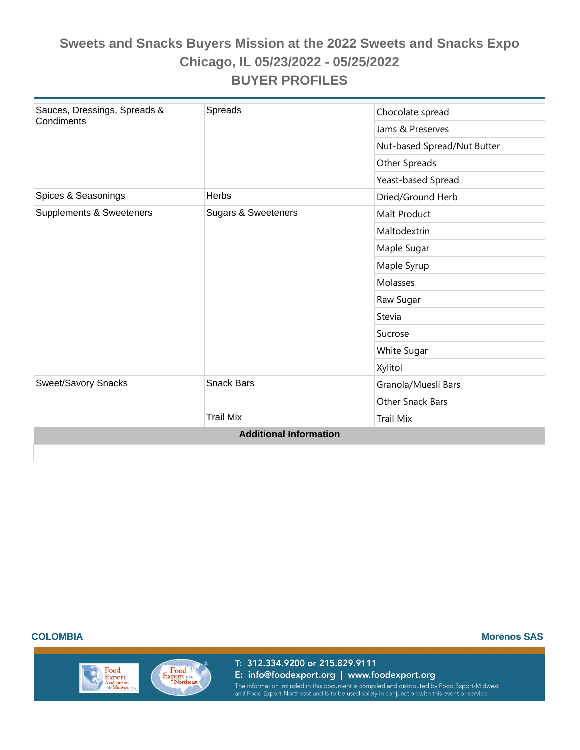| Sauces, Dressings, Spreads &<br>Condiments | Spreads                        | Chocolate spread            |
|--------------------------------------------|--------------------------------|-----------------------------|
|                                            |                                | Jams & Preserves            |
|                                            |                                | Nut-based Spread/Nut Butter |
|                                            |                                | Other Spreads               |
|                                            |                                | Yeast-based Spread          |
| Spices & Seasonings                        | Herbs                          | Dried/Ground Herb           |
| Supplements & Sweeteners                   | <b>Sugars &amp; Sweeteners</b> | Malt Product                |
|                                            |                                | Maltodextrin                |
|                                            |                                | Maple Sugar                 |
|                                            |                                | Maple Syrup                 |
|                                            |                                | Molasses                    |
|                                            |                                | Raw Sugar                   |
|                                            |                                | Stevia                      |
|                                            |                                | Sucrose                     |
|                                            |                                | White Sugar                 |
|                                            |                                | Xylitol                     |
| Sweet/Savory Snacks                        | <b>Snack Bars</b>              | Granola/Muesli Bars         |
|                                            |                                | <b>Other Snack Bars</b>     |
|                                            | <b>Trail Mix</b>               | <b>Trail Mix</b>            |
|                                            | <b>Additional Information</b>  |                             |

Food

Export<br>Association<br>ofthe Midwest us

Export USA

**COLOMBIA Morenos SAS**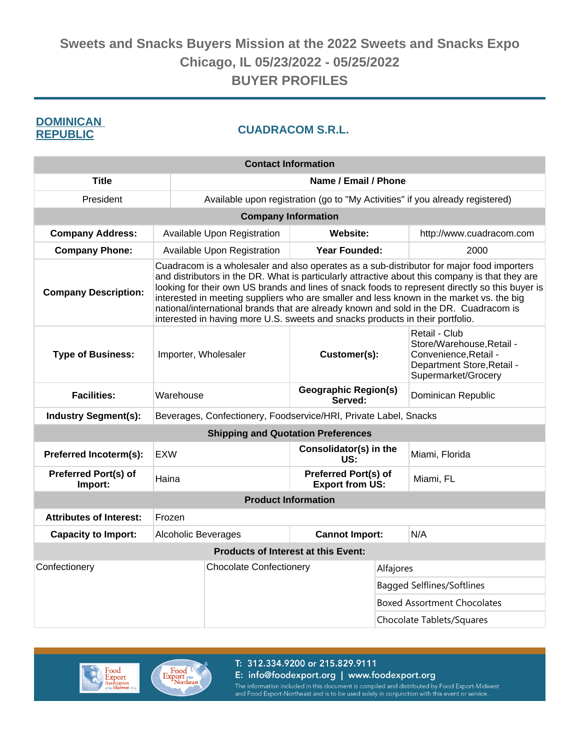## **REPUBLIC**

## **CUADRACOM S.R.L.**<br>**DEBUBLIC**

| <b>Contact Information</b>             |                                                                                                                                                                                                                                                                                                                                                                                                                                                                                                                                                                       |                                                                            |                                                       |                                   |                                                                                                                          |  |
|----------------------------------------|-----------------------------------------------------------------------------------------------------------------------------------------------------------------------------------------------------------------------------------------------------------------------------------------------------------------------------------------------------------------------------------------------------------------------------------------------------------------------------------------------------------------------------------------------------------------------|----------------------------------------------------------------------------|-------------------------------------------------------|-----------------------------------|--------------------------------------------------------------------------------------------------------------------------|--|
| <b>Title</b>                           | Name / Email / Phone                                                                                                                                                                                                                                                                                                                                                                                                                                                                                                                                                  |                                                                            |                                                       |                                   |                                                                                                                          |  |
| President                              | Available upon registration (go to "My Activities" if you already registered)                                                                                                                                                                                                                                                                                                                                                                                                                                                                                         |                                                                            |                                                       |                                   |                                                                                                                          |  |
|                                        |                                                                                                                                                                                                                                                                                                                                                                                                                                                                                                                                                                       |                                                                            | <b>Company Information</b>                            |                                   |                                                                                                                          |  |
| <b>Company Address:</b>                |                                                                                                                                                                                                                                                                                                                                                                                                                                                                                                                                                                       | <b>Available Upon Registration</b><br>Website:<br>http://www.cuadracom.com |                                                       |                                   |                                                                                                                          |  |
| <b>Company Phone:</b>                  |                                                                                                                                                                                                                                                                                                                                                                                                                                                                                                                                                                       | Available Upon Registration                                                | <b>Year Founded:</b>                                  |                                   | 2000                                                                                                                     |  |
| <b>Company Description:</b>            | Cuadracom is a wholesaler and also operates as a sub-distributor for major food importers<br>and distributors in the DR. What is particularly attractive about this company is that they are<br>looking for their own US brands and lines of snack foods to represent directly so this buyer is<br>interested in meeting suppliers who are smaller and less known in the market vs. the big<br>national/international brands that are already known and sold in the DR. Cuadracom is<br>interested in having more U.S. sweets and snacks products in their portfolio. |                                                                            |                                                       |                                   |                                                                                                                          |  |
| <b>Type of Business:</b>               |                                                                                                                                                                                                                                                                                                                                                                                                                                                                                                                                                                       | Customer(s):<br>Importer, Wholesaler                                       |                                                       |                                   | Retail - Club<br>Store/Warehouse, Retail -<br>Convenience, Retail -<br>Department Store, Retail -<br>Supermarket/Grocery |  |
| <b>Facilities:</b>                     | Warehouse                                                                                                                                                                                                                                                                                                                                                                                                                                                                                                                                                             | <b>Geographic Region(s)</b><br>Served:                                     |                                                       |                                   | Dominican Republic                                                                                                       |  |
| <b>Industry Segment(s):</b>            | Beverages, Confectionery, Foodservice/HRI, Private Label, Snacks                                                                                                                                                                                                                                                                                                                                                                                                                                                                                                      |                                                                            |                                                       |                                   |                                                                                                                          |  |
|                                        |                                                                                                                                                                                                                                                                                                                                                                                                                                                                                                                                                                       |                                                                            | <b>Shipping and Quotation Preferences</b>             |                                   |                                                                                                                          |  |
| Preferred Incoterm(s):                 | <b>EXW</b>                                                                                                                                                                                                                                                                                                                                                                                                                                                                                                                                                            |                                                                            | Consolidator(s) in the<br>US:                         |                                   | Miami, Florida                                                                                                           |  |
| <b>Preferred Port(s) of</b><br>Import: | Haina                                                                                                                                                                                                                                                                                                                                                                                                                                                                                                                                                                 |                                                                            | <b>Preferred Port(s) of</b><br><b>Export from US:</b> |                                   | Miami, FL                                                                                                                |  |
|                                        |                                                                                                                                                                                                                                                                                                                                                                                                                                                                                                                                                                       |                                                                            | <b>Product Information</b>                            |                                   |                                                                                                                          |  |
| <b>Attributes of Interest:</b>         | Frozen                                                                                                                                                                                                                                                                                                                                                                                                                                                                                                                                                                |                                                                            |                                                       |                                   |                                                                                                                          |  |
| <b>Capacity to Import:</b>             | <b>Alcoholic Beverages</b>                                                                                                                                                                                                                                                                                                                                                                                                                                                                                                                                            |                                                                            | <b>Cannot Import:</b>                                 |                                   | N/A                                                                                                                      |  |
|                                        |                                                                                                                                                                                                                                                                                                                                                                                                                                                                                                                                                                       |                                                                            | <b>Products of Interest at this Event:</b>            |                                   |                                                                                                                          |  |
| Confectionery                          |                                                                                                                                                                                                                                                                                                                                                                                                                                                                                                                                                                       | <b>Chocolate Confectionery</b>                                             |                                                       | Alfajores                         |                                                                                                                          |  |
|                                        |                                                                                                                                                                                                                                                                                                                                                                                                                                                                                                                                                                       |                                                                            |                                                       | <b>Bagged Selflines/Softlines</b> |                                                                                                                          |  |
|                                        |                                                                                                                                                                                                                                                                                                                                                                                                                                                                                                                                                                       |                                                                            |                                                       |                                   | <b>Boxed Assortment Chocolates</b>                                                                                       |  |
|                                        |                                                                                                                                                                                                                                                                                                                                                                                                                                                                                                                                                                       |                                                                            |                                                       | Chocolate Tablets/Squares         |                                                                                                                          |  |



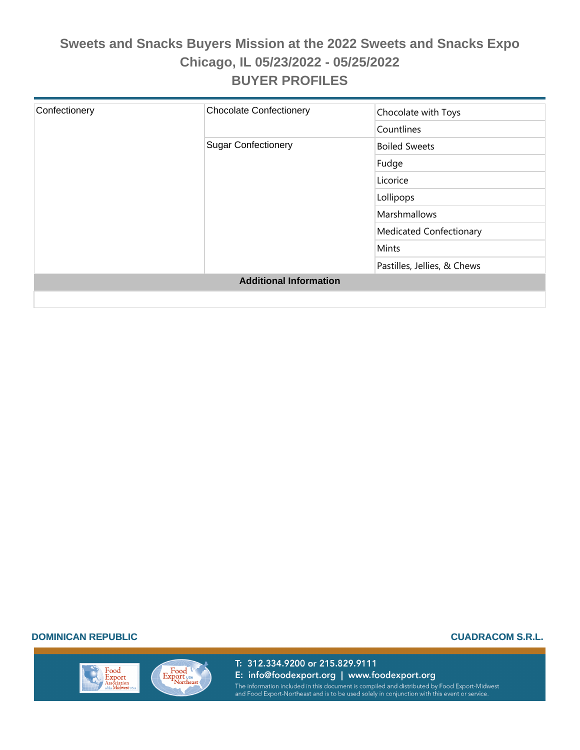| Confectionery | <b>Chocolate Confectionery</b> | Chocolate with Toys            |
|---------------|--------------------------------|--------------------------------|
|               |                                |                                |
|               |                                | Countlines                     |
|               | <b>Sugar Confectionery</b>     | <b>Boiled Sweets</b>           |
|               |                                | Fudge                          |
|               |                                | Licorice                       |
|               |                                | Lollipops                      |
|               |                                | Marshmallows                   |
|               |                                | <b>Medicated Confectionary</b> |
|               |                                | Mints                          |
|               |                                | Pastilles, Jellies, & Chews    |
|               | <b>Additional Information</b>  |                                |
|               |                                |                                |

#### **DOMINICAN REPUBLIC CUADRACOM S.R.L.**

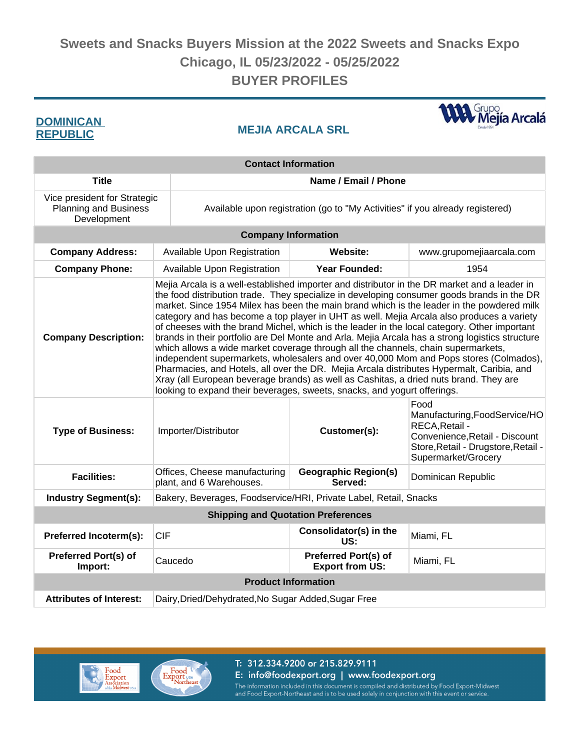## **REPUBLIC**

**MEJIA ARCALA SRL DOMINICAN** 

**WA** Grupo<br>Mejía Arcalá

| <b>Contact Information</b>                                                  |                                                                                                                                                                                                                                                                                                                                                                                                                                                                                                                                                                                                                                                                                                                                                                                                                                                                                                                                                                                                                                         |                                                                               |                          |  |  |  |
|-----------------------------------------------------------------------------|-----------------------------------------------------------------------------------------------------------------------------------------------------------------------------------------------------------------------------------------------------------------------------------------------------------------------------------------------------------------------------------------------------------------------------------------------------------------------------------------------------------------------------------------------------------------------------------------------------------------------------------------------------------------------------------------------------------------------------------------------------------------------------------------------------------------------------------------------------------------------------------------------------------------------------------------------------------------------------------------------------------------------------------------|-------------------------------------------------------------------------------|--------------------------|--|--|--|
| <b>Title</b>                                                                | Name / Email / Phone                                                                                                                                                                                                                                                                                                                                                                                                                                                                                                                                                                                                                                                                                                                                                                                                                                                                                                                                                                                                                    |                                                                               |                          |  |  |  |
| Vice president for Strategic<br><b>Planning and Business</b><br>Development |                                                                                                                                                                                                                                                                                                                                                                                                                                                                                                                                                                                                                                                                                                                                                                                                                                                                                                                                                                                                                                         | Available upon registration (go to "My Activities" if you already registered) |                          |  |  |  |
|                                                                             | <b>Company Information</b>                                                                                                                                                                                                                                                                                                                                                                                                                                                                                                                                                                                                                                                                                                                                                                                                                                                                                                                                                                                                              |                                                                               |                          |  |  |  |
| <b>Company Address:</b>                                                     | Available Upon Registration                                                                                                                                                                                                                                                                                                                                                                                                                                                                                                                                                                                                                                                                                                                                                                                                                                                                                                                                                                                                             | Website:                                                                      | www.grupomejiaarcala.com |  |  |  |
| <b>Company Phone:</b>                                                       | Available Upon Registration                                                                                                                                                                                                                                                                                                                                                                                                                                                                                                                                                                                                                                                                                                                                                                                                                                                                                                                                                                                                             | <b>Year Founded:</b>                                                          | 1954                     |  |  |  |
| <b>Company Description:</b>                                                 | Mejia Arcala is a well-established importer and distributor in the DR market and a leader in<br>the food distribution trade. They specialize in developing consumer goods brands in the DR<br>market. Since 1954 Milex has been the main brand which is the leader in the powdered milk<br>category and has become a top player in UHT as well. Mejia Arcala also produces a variety<br>of cheeses with the brand Michel, which is the leader in the local category. Other important<br>brands in their portfolio are Del Monte and Arla. Mejia Arcala has a strong logistics structure<br>which allows a wide market coverage through all the channels, chain supermarkets,<br>independent supermarkets, wholesalers and over 40,000 Mom and Pops stores (Colmados),<br>Pharmacies, and Hotels, all over the DR. Mejia Arcala distributes Hypermalt, Caribia, and<br>Xray (all European beverage brands) as well as Cashitas, a dried nuts brand. They are<br>looking to expand their beverages, sweets, snacks, and yogurt offerings. |                                                                               |                          |  |  |  |
| <b>Type of Business:</b>                                                    | Food<br>Manufacturing, FoodService/HO<br>RECA, Retail -<br>Customer(s):<br>Importer/Distributor<br>Convenience, Retail - Discount<br>Store, Retail - Drugstore, Retail -<br>Supermarket/Grocery                                                                                                                                                                                                                                                                                                                                                                                                                                                                                                                                                                                                                                                                                                                                                                                                                                         |                                                                               |                          |  |  |  |
| <b>Facilities:</b>                                                          | Offices, Cheese manufacturing<br>plant, and 6 Warehouses.                                                                                                                                                                                                                                                                                                                                                                                                                                                                                                                                                                                                                                                                                                                                                                                                                                                                                                                                                                               | <b>Geographic Region(s)</b><br>Dominican Republic<br>Served:                  |                          |  |  |  |
| <b>Industry Segment(s):</b>                                                 | Bakery, Beverages, Foodservice/HRI, Private Label, Retail, Snacks                                                                                                                                                                                                                                                                                                                                                                                                                                                                                                                                                                                                                                                                                                                                                                                                                                                                                                                                                                       |                                                                               |                          |  |  |  |
|                                                                             | <b>Shipping and Quotation Preferences</b>                                                                                                                                                                                                                                                                                                                                                                                                                                                                                                                                                                                                                                                                                                                                                                                                                                                                                                                                                                                               |                                                                               |                          |  |  |  |
| Preferred Incoterm(s):                                                      | <b>CIF</b>                                                                                                                                                                                                                                                                                                                                                                                                                                                                                                                                                                                                                                                                                                                                                                                                                                                                                                                                                                                                                              | Consolidator(s) in the<br>Miami, FL<br>US:                                    |                          |  |  |  |
| <b>Preferred Port(s) of</b><br>Import:                                      | Caucedo                                                                                                                                                                                                                                                                                                                                                                                                                                                                                                                                                                                                                                                                                                                                                                                                                                                                                                                                                                                                                                 | <b>Preferred Port(s) of</b><br>Miami, FL<br><b>Export from US:</b>            |                          |  |  |  |
|                                                                             | <b>Product Information</b>                                                                                                                                                                                                                                                                                                                                                                                                                                                                                                                                                                                                                                                                                                                                                                                                                                                                                                                                                                                                              |                                                                               |                          |  |  |  |
| <b>Attributes of Interest:</b>                                              | Dairy, Dried/Dehydrated, No Sugar Added, Sugar Free                                                                                                                                                                                                                                                                                                                                                                                                                                                                                                                                                                                                                                                                                                                                                                                                                                                                                                                                                                                     |                                                                               |                          |  |  |  |



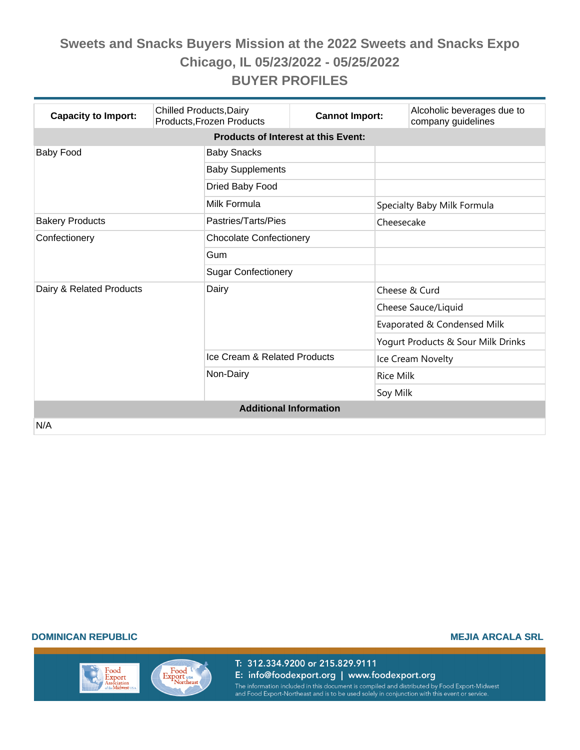| <b>Capacity to Import:</b>                 | <b>Chilled Products, Dairy</b><br>Products, Frozen Products | <b>Cannot Import:</b>          |                                    | Alcoholic beverages due to<br>company guidelines |  |  |  |
|--------------------------------------------|-------------------------------------------------------------|--------------------------------|------------------------------------|--------------------------------------------------|--|--|--|
| <b>Products of Interest at this Event:</b> |                                                             |                                |                                    |                                                  |  |  |  |
| <b>Baby Food</b>                           | <b>Baby Snacks</b>                                          |                                |                                    |                                                  |  |  |  |
|                                            | <b>Baby Supplements</b>                                     |                                |                                    |                                                  |  |  |  |
|                                            | Dried Baby Food                                             |                                |                                    |                                                  |  |  |  |
|                                            | Milk Formula                                                |                                |                                    | Specialty Baby Milk Formula                      |  |  |  |
| <b>Bakery Products</b>                     | Pastries/Tarts/Pies                                         |                                | Cheesecake                         |                                                  |  |  |  |
| Confectionery                              |                                                             | <b>Chocolate Confectionery</b> |                                    |                                                  |  |  |  |
|                                            | Gum                                                         |                                |                                    |                                                  |  |  |  |
|                                            |                                                             | <b>Sugar Confectionery</b>     |                                    |                                                  |  |  |  |
| Dairy & Related Products                   | Dairy                                                       |                                |                                    | Cheese & Curd                                    |  |  |  |
|                                            |                                                             |                                |                                    | Cheese Sauce/Liquid                              |  |  |  |
|                                            |                                                             |                                |                                    | Evaporated & Condensed Milk                      |  |  |  |
|                                            |                                                             |                                | Yogurt Products & Sour Milk Drinks |                                                  |  |  |  |
|                                            | Ice Cream & Related Products                                |                                | Ice Cream Novelty                  |                                                  |  |  |  |
|                                            | Non-Dairy                                                   |                                | <b>Rice Milk</b>                   |                                                  |  |  |  |
|                                            |                                                             |                                | Soy Milk                           |                                                  |  |  |  |
| <b>Additional Information</b>              |                                                             |                                |                                    |                                                  |  |  |  |
| N/A                                        |                                                             |                                |                                    |                                                  |  |  |  |

#### **DOMINICAN REPUBLIC MEJIA ARCALA SRL**

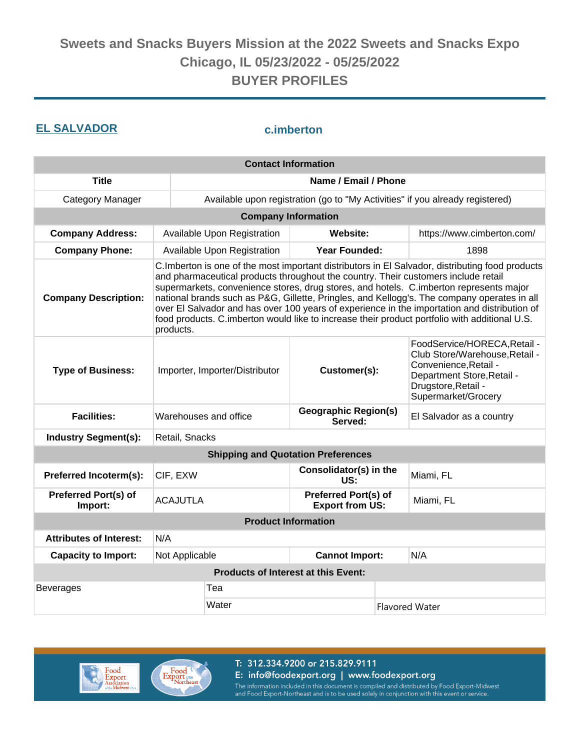### **EL SALVADOR c.imberton**

| <b>Contact Information</b>      |                                                                                                                                                                                                                                                                                                                                                                                                                                                                                                                                                                                               |                                                                 |                                                |                                                                                                                                                                     |                            |  |
|---------------------------------|-----------------------------------------------------------------------------------------------------------------------------------------------------------------------------------------------------------------------------------------------------------------------------------------------------------------------------------------------------------------------------------------------------------------------------------------------------------------------------------------------------------------------------------------------------------------------------------------------|-----------------------------------------------------------------|------------------------------------------------|---------------------------------------------------------------------------------------------------------------------------------------------------------------------|----------------------------|--|
| <b>Title</b>                    | Name / Email / Phone                                                                                                                                                                                                                                                                                                                                                                                                                                                                                                                                                                          |                                                                 |                                                |                                                                                                                                                                     |                            |  |
| <b>Category Manager</b>         | Available upon registration (go to "My Activities" if you already registered)                                                                                                                                                                                                                                                                                                                                                                                                                                                                                                                 |                                                                 |                                                |                                                                                                                                                                     |                            |  |
|                                 |                                                                                                                                                                                                                                                                                                                                                                                                                                                                                                                                                                                               |                                                                 | <b>Company Information</b>                     |                                                                                                                                                                     |                            |  |
| <b>Company Address:</b>         |                                                                                                                                                                                                                                                                                                                                                                                                                                                                                                                                                                                               | Available Upon Registration                                     | Website:                                       |                                                                                                                                                                     | https://www.cimberton.com/ |  |
| <b>Company Phone:</b>           |                                                                                                                                                                                                                                                                                                                                                                                                                                                                                                                                                                                               | Available Upon Registration                                     | <b>Year Founded:</b>                           |                                                                                                                                                                     | 1898                       |  |
| <b>Company Description:</b>     | C. Imberton is one of the most important distributors in El Salvador, distributing food products<br>and pharmaceutical products throughout the country. Their customers include retail<br>supermarkets, convenience stores, drug stores, and hotels. C.imberton represents major<br>national brands such as P&G, Gillette, Pringles, and Kellogg's. The company operates in all<br>over El Salvador and has over 100 years of experience in the importation and distribution of<br>food products. C.imberton would like to increase their product portfolio with additional U.S.<br>products. |                                                                 |                                                |                                                                                                                                                                     |                            |  |
| <b>Type of Business:</b>        |                                                                                                                                                                                                                                                                                                                                                                                                                                                                                                                                                                                               | Importer, Importer/Distributor<br>Customer(s):                  |                                                | FoodService/HORECA, Retail -<br>Club Store/Warehouse, Retail -<br>Convenience, Retail -<br>Department Store, Retail -<br>Drugstore, Retail -<br>Supermarket/Grocery |                            |  |
| <b>Facilities:</b>              |                                                                                                                                                                                                                                                                                                                                                                                                                                                                                                                                                                                               | <b>Geographic Region(s)</b><br>Warehouses and office<br>Served: |                                                |                                                                                                                                                                     | El Salvador as a country   |  |
| <b>Industry Segment(s):</b>     | Retail, Snacks                                                                                                                                                                                                                                                                                                                                                                                                                                                                                                                                                                                |                                                                 |                                                |                                                                                                                                                                     |                            |  |
|                                 |                                                                                                                                                                                                                                                                                                                                                                                                                                                                                                                                                                                               |                                                                 | <b>Shipping and Quotation Preferences</b>      |                                                                                                                                                                     |                            |  |
| Preferred Incoterm(s):          | CIF, EXW                                                                                                                                                                                                                                                                                                                                                                                                                                                                                                                                                                                      |                                                                 | Consolidator(s) in the<br>US:                  |                                                                                                                                                                     | Miami, FL                  |  |
| Preferred Port(s) of<br>Import: | <b>ACAJUTLA</b>                                                                                                                                                                                                                                                                                                                                                                                                                                                                                                                                                                               |                                                                 | Preferred Port(s) of<br><b>Export from US:</b> |                                                                                                                                                                     | Miami, FL                  |  |
|                                 |                                                                                                                                                                                                                                                                                                                                                                                                                                                                                                                                                                                               |                                                                 | <b>Product Information</b>                     |                                                                                                                                                                     |                            |  |
| <b>Attributes of Interest:</b>  | N/A                                                                                                                                                                                                                                                                                                                                                                                                                                                                                                                                                                                           |                                                                 |                                                |                                                                                                                                                                     |                            |  |
| <b>Capacity to Import:</b>      |                                                                                                                                                                                                                                                                                                                                                                                                                                                                                                                                                                                               | Not Applicable<br><b>Cannot Import:</b>                         |                                                |                                                                                                                                                                     | N/A                        |  |
|                                 |                                                                                                                                                                                                                                                                                                                                                                                                                                                                                                                                                                                               |                                                                 | <b>Products of Interest at this Event:</b>     |                                                                                                                                                                     |                            |  |
| <b>Beverages</b>                |                                                                                                                                                                                                                                                                                                                                                                                                                                                                                                                                                                                               | Tea                                                             |                                                |                                                                                                                                                                     |                            |  |
|                                 | Water                                                                                                                                                                                                                                                                                                                                                                                                                                                                                                                                                                                         |                                                                 | <b>Flavored Water</b>                          |                                                                                                                                                                     |                            |  |



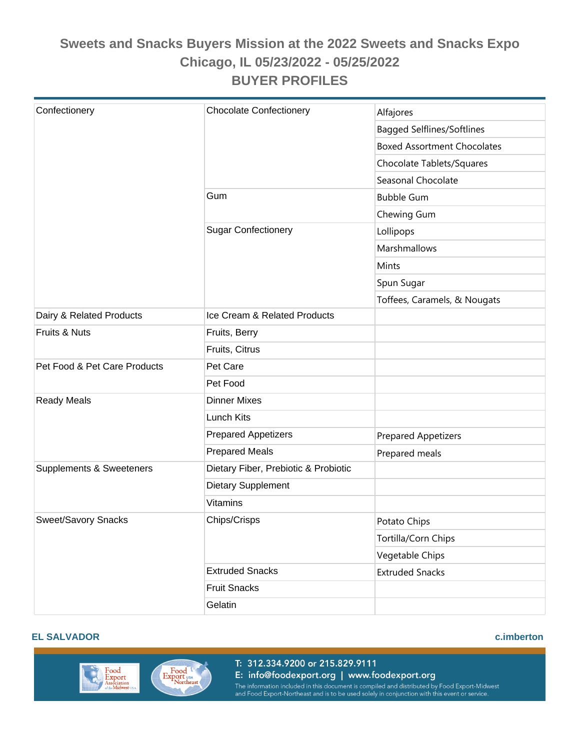| Confectionery                | <b>Chocolate Confectionery</b>       | Alfajores                          |
|------------------------------|--------------------------------------|------------------------------------|
|                              |                                      | <b>Bagged Selflines/Softlines</b>  |
|                              |                                      | <b>Boxed Assortment Chocolates</b> |
|                              |                                      | Chocolate Tablets/Squares          |
|                              |                                      | Seasonal Chocolate                 |
|                              | Gum                                  | <b>Bubble Gum</b>                  |
|                              |                                      | Chewing Gum                        |
|                              | <b>Sugar Confectionery</b>           | Lollipops                          |
|                              |                                      | Marshmallows                       |
|                              |                                      | Mints                              |
|                              |                                      | Spun Sugar                         |
|                              |                                      | Toffees, Caramels, & Nougats       |
| Dairy & Related Products     | Ice Cream & Related Products         |                                    |
| Fruits & Nuts                | Fruits, Berry                        |                                    |
|                              | Fruits, Citrus                       |                                    |
| Pet Food & Pet Care Products | Pet Care                             |                                    |
|                              | Pet Food                             |                                    |
| <b>Ready Meals</b>           | <b>Dinner Mixes</b>                  |                                    |
|                              | <b>Lunch Kits</b>                    |                                    |
|                              | <b>Prepared Appetizers</b>           |                                    |
|                              | <b>Prepared Meals</b>                | <b>Prepared Appetizers</b>         |
| Supplements & Sweeteners     | Dietary Fiber, Prebiotic & Probiotic | Prepared meals                     |
|                              |                                      |                                    |
|                              | <b>Dietary Supplement</b>            |                                    |
|                              | <b>Vitamins</b>                      |                                    |
| Sweet/Savory Snacks          | Chips/Crisps                         | Potato Chips                       |
|                              |                                      | Tortilla/Corn Chips                |
|                              |                                      | Vegetable Chips                    |
|                              | <b>Extruded Snacks</b>               | <b>Extruded Snacks</b>             |
|                              | <b>Fruit Snacks</b>                  |                                    |
|                              | Gelatin                              |                                    |

#### **EL SALVADOR c.imberton**

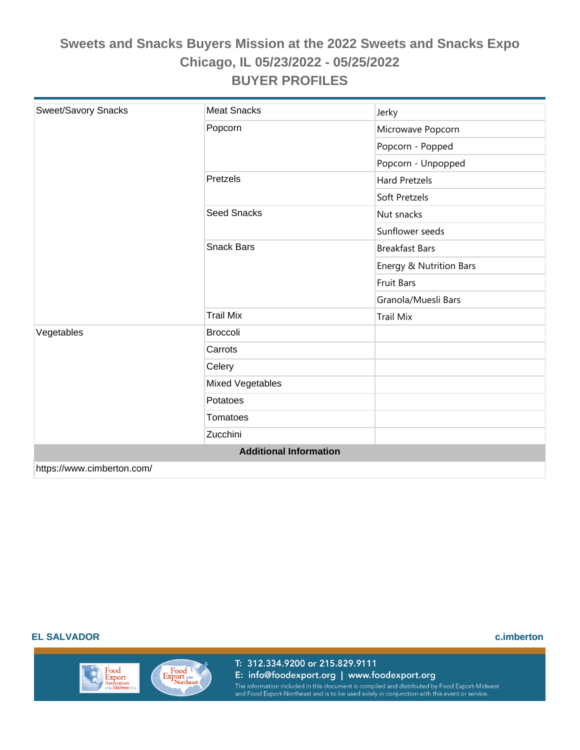| Sweet/Savory Snacks        | <b>Meat Snacks</b>            | Jerky                   |
|----------------------------|-------------------------------|-------------------------|
|                            | Popcorn                       | Microwave Popcorn       |
|                            |                               | Popcorn - Popped        |
|                            |                               | Popcorn - Unpopped      |
|                            | Pretzels                      | <b>Hard Pretzels</b>    |
|                            |                               | Soft Pretzels           |
|                            | <b>Seed Snacks</b>            | Nut snacks              |
|                            |                               | Sunflower seeds         |
|                            | <b>Snack Bars</b>             | <b>Breakfast Bars</b>   |
|                            |                               | Energy & Nutrition Bars |
|                            |                               | <b>Fruit Bars</b>       |
|                            |                               | Granola/Muesli Bars     |
|                            | <b>Trail Mix</b>              | <b>Trail Mix</b>        |
| Vegetables                 | <b>Broccoli</b>               |                         |
|                            | Carrots                       |                         |
|                            | Celery                        |                         |
|                            | <b>Mixed Vegetables</b>       |                         |
|                            | Potatoes                      |                         |
|                            | <b>Tomatoes</b>               |                         |
|                            | Zucchini                      |                         |
|                            | <b>Additional Information</b> |                         |
| https://www.cimberton.com/ |                               |                         |

#### **EL SALVADOR c.imberton**



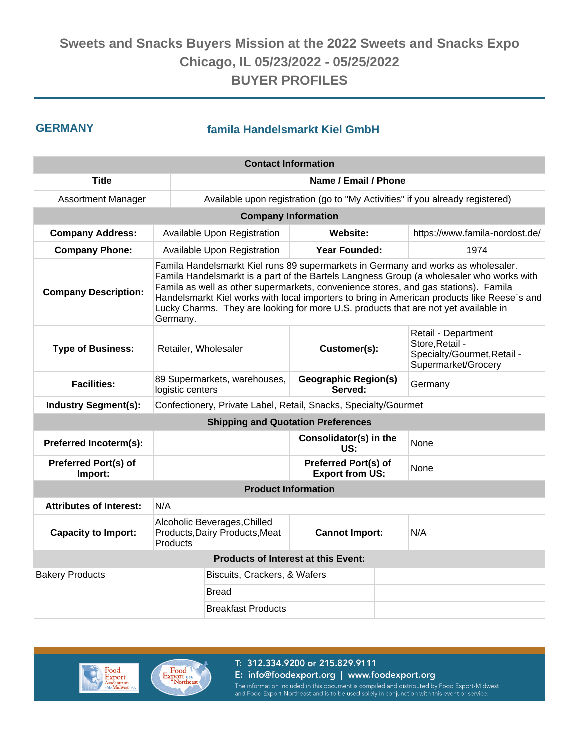### **GERMANY famila Handelsmarkt Kiel GmbH**

| <b>Contact Information</b>             |          |                                                                                                                                                                                                                                                                                                                                                                                                                                                            |                               |                                                                                              |                                                                               |  |  |
|----------------------------------------|----------|------------------------------------------------------------------------------------------------------------------------------------------------------------------------------------------------------------------------------------------------------------------------------------------------------------------------------------------------------------------------------------------------------------------------------------------------------------|-------------------------------|----------------------------------------------------------------------------------------------|-------------------------------------------------------------------------------|--|--|
| <b>Title</b>                           |          | Name / Email / Phone                                                                                                                                                                                                                                                                                                                                                                                                                                       |                               |                                                                                              |                                                                               |  |  |
| <b>Assortment Manager</b>              |          |                                                                                                                                                                                                                                                                                                                                                                                                                                                            |                               |                                                                                              | Available upon registration (go to "My Activities" if you already registered) |  |  |
|                                        |          | <b>Company Information</b>                                                                                                                                                                                                                                                                                                                                                                                                                                 |                               |                                                                                              |                                                                               |  |  |
| <b>Company Address:</b>                |          | Available Upon Registration                                                                                                                                                                                                                                                                                                                                                                                                                                | Website:                      |                                                                                              | https://www.famila-nordost.de/                                                |  |  |
| <b>Company Phone:</b>                  |          | Available Upon Registration                                                                                                                                                                                                                                                                                                                                                                                                                                | <b>Year Founded:</b>          |                                                                                              | 1974                                                                          |  |  |
| <b>Company Description:</b>            | Germany. | Famila Handelsmarkt Kiel runs 89 supermarkets in Germany and works as wholesaler.<br>Famila Handelsmarkt is a part of the Bartels Langness Group (a wholesaler who works with<br>Famila as well as other supermarkets, convenience stores, and gas stations). Famila<br>Handelsmarkt Kiel works with local importers to bring in American products like Reese's and<br>Lucky Charms. They are looking for more U.S. products that are not yet available in |                               |                                                                                              |                                                                               |  |  |
| <b>Type of Business:</b>               |          | Customer(s):<br>Retailer, Wholesaler                                                                                                                                                                                                                                                                                                                                                                                                                       |                               | Retail - Department<br>Store, Retail -<br>Specialty/Gourmet, Retail -<br>Supermarket/Grocery |                                                                               |  |  |
| <b>Facilities:</b>                     |          | 89 Supermarkets, warehouses,<br><b>Geographic Region(s)</b><br>Served:<br>logistic centers                                                                                                                                                                                                                                                                                                                                                                 |                               |                                                                                              | Germany                                                                       |  |  |
| <b>Industry Segment(s):</b>            |          | Confectionery, Private Label, Retail, Snacks, Specialty/Gourmet                                                                                                                                                                                                                                                                                                                                                                                            |                               |                                                                                              |                                                                               |  |  |
|                                        |          | <b>Shipping and Quotation Preferences</b>                                                                                                                                                                                                                                                                                                                                                                                                                  |                               |                                                                                              |                                                                               |  |  |
| Preferred Incoterm(s):                 |          |                                                                                                                                                                                                                                                                                                                                                                                                                                                            | Consolidator(s) in the<br>US: |                                                                                              | None                                                                          |  |  |
| <b>Preferred Port(s) of</b><br>Import: |          | Preferred Port(s) of<br><b>Export from US:</b>                                                                                                                                                                                                                                                                                                                                                                                                             |                               | None                                                                                         |                                                                               |  |  |
|                                        |          | <b>Product Information</b>                                                                                                                                                                                                                                                                                                                                                                                                                                 |                               |                                                                                              |                                                                               |  |  |
| <b>Attributes of Interest:</b>         | N/A      |                                                                                                                                                                                                                                                                                                                                                                                                                                                            |                               |                                                                                              |                                                                               |  |  |
| <b>Capacity to Import:</b>             | Products | Alcoholic Beverages, Chilled<br>Products, Dairy Products, Meat<br><b>Cannot Import:</b>                                                                                                                                                                                                                                                                                                                                                                    |                               | N/A                                                                                          |                                                                               |  |  |
|                                        |          | <b>Products of Interest at this Event:</b>                                                                                                                                                                                                                                                                                                                                                                                                                 |                               |                                                                                              |                                                                               |  |  |
| <b>Bakery Products</b>                 |          | Biscuits, Crackers, & Wafers                                                                                                                                                                                                                                                                                                                                                                                                                               |                               |                                                                                              |                                                                               |  |  |
|                                        |          | Bread                                                                                                                                                                                                                                                                                                                                                                                                                                                      |                               |                                                                                              |                                                                               |  |  |
|                                        |          | <b>Breakfast Products</b>                                                                                                                                                                                                                                                                                                                                                                                                                                  |                               |                                                                                              |                                                                               |  |  |



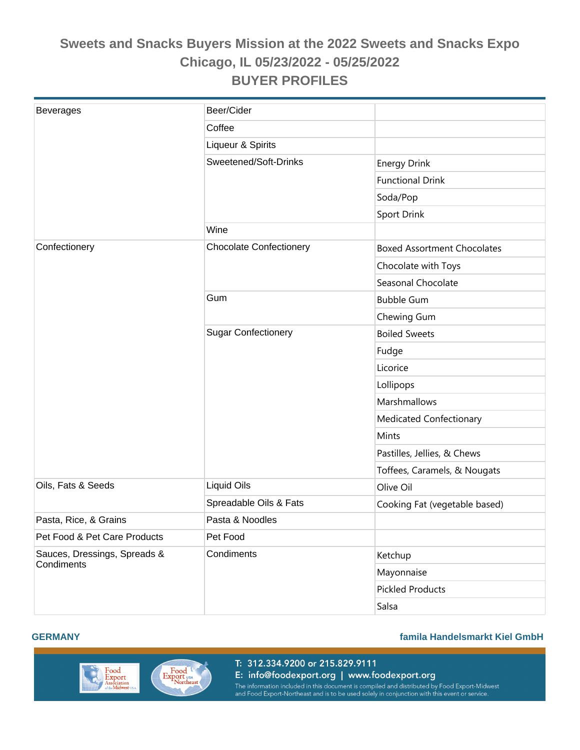| <b>Beverages</b>                           | Beer/Cider                     |                                    |
|--------------------------------------------|--------------------------------|------------------------------------|
|                                            | Coffee                         |                                    |
|                                            | Liqueur & Spirits              |                                    |
|                                            | Sweetened/Soft-Drinks          | <b>Energy Drink</b>                |
|                                            |                                | <b>Functional Drink</b>            |
|                                            |                                | Soda/Pop                           |
|                                            |                                | Sport Drink                        |
|                                            | Wine                           |                                    |
| Confectionery                              | <b>Chocolate Confectionery</b> | <b>Boxed Assortment Chocolates</b> |
|                                            |                                | Chocolate with Toys                |
|                                            |                                | Seasonal Chocolate                 |
|                                            | Gum                            | <b>Bubble Gum</b>                  |
|                                            |                                | Chewing Gum                        |
|                                            | <b>Sugar Confectionery</b>     | <b>Boiled Sweets</b>               |
|                                            |                                | Fudge                              |
|                                            |                                | Licorice                           |
|                                            |                                | Lollipops                          |
|                                            |                                | Marshmallows                       |
|                                            |                                | Medicated Confectionary            |
|                                            |                                | Mints                              |
|                                            |                                | Pastilles, Jellies, & Chews        |
|                                            |                                | Toffees, Caramels, & Nougats       |
| Oils, Fats & Seeds                         | <b>Liquid Oils</b>             | Olive Oil                          |
|                                            | Spreadable Oils & Fats         | Cooking Fat (vegetable based)      |
| Pasta, Rice, & Grains                      | Pasta & Noodles                |                                    |
| Pet Food & Pet Care Products               | Pet Food                       |                                    |
| Sauces, Dressings, Spreads &<br>Condiments | Condiments                     | Ketchup                            |
|                                            |                                | Mayonnaise                         |
|                                            |                                | <b>Pickled Products</b>            |
|                                            |                                | Salsa                              |



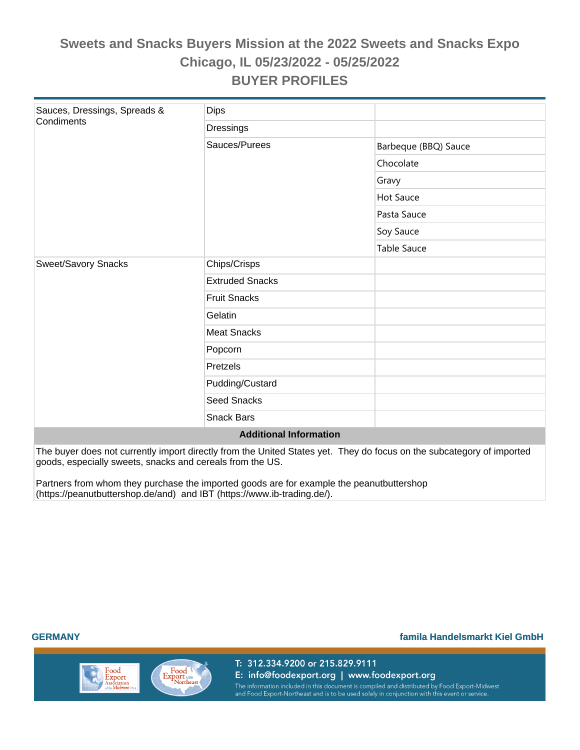| Sauces, Dressings, Spreads &  | <b>Dips</b>            |                      |  |  |  |  |
|-------------------------------|------------------------|----------------------|--|--|--|--|
| Condiments                    | Dressings              |                      |  |  |  |  |
|                               | Sauces/Purees          | Barbeque (BBQ) Sauce |  |  |  |  |
|                               |                        | Chocolate            |  |  |  |  |
|                               |                        | Gravy                |  |  |  |  |
|                               |                        | <b>Hot Sauce</b>     |  |  |  |  |
|                               |                        | Pasta Sauce          |  |  |  |  |
|                               |                        | Soy Sauce            |  |  |  |  |
|                               |                        | <b>Table Sauce</b>   |  |  |  |  |
| <b>Sweet/Savory Snacks</b>    | Chips/Crisps           |                      |  |  |  |  |
|                               | <b>Extruded Snacks</b> |                      |  |  |  |  |
|                               | <b>Fruit Snacks</b>    |                      |  |  |  |  |
|                               | Gelatin                |                      |  |  |  |  |
|                               | <b>Meat Snacks</b>     |                      |  |  |  |  |
|                               | Popcorn                |                      |  |  |  |  |
|                               | Pretzels               |                      |  |  |  |  |
|                               | Pudding/Custard        |                      |  |  |  |  |
|                               | <b>Seed Snacks</b>     |                      |  |  |  |  |
|                               | <b>Snack Bars</b>      |                      |  |  |  |  |
| <b>Additional Information</b> |                        |                      |  |  |  |  |

The buyer does not currently import directly from the United States yet. They do focus on the subcategory of imported goods, especially sweets, snacks and cereals from the US.

Partners from whom they purchase the imported goods are for example the peanutbuttershop (https://peanutbuttershop.de/and) and IBT (https://www.ib-trading.de/).

#### **GERMANY famila Handelsmarkt Kiel GmbH**

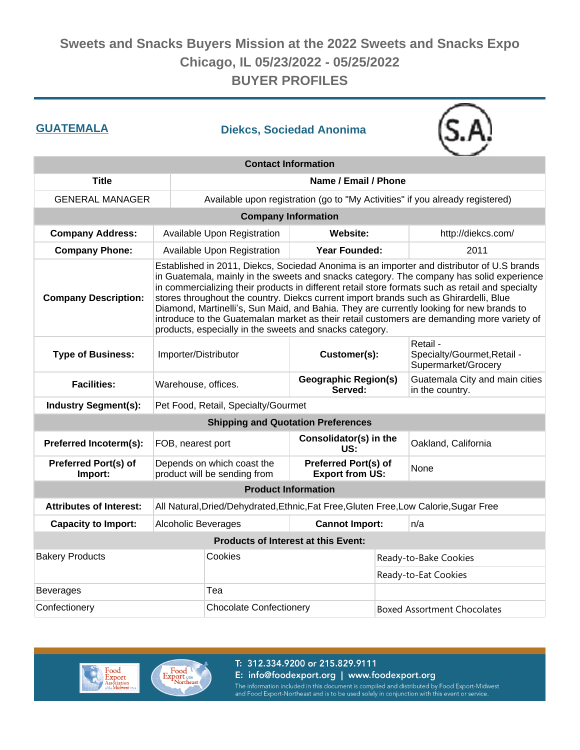| <b>GUATEMALA</b>                       |                                                                                                                                                                                                                                                                                                                                                                                                                                                                                                                                                                                                                                          | <b>Diekcs, Sociedad Anonima</b>                            |                                                |     |                                                                                       |  |
|----------------------------------------|------------------------------------------------------------------------------------------------------------------------------------------------------------------------------------------------------------------------------------------------------------------------------------------------------------------------------------------------------------------------------------------------------------------------------------------------------------------------------------------------------------------------------------------------------------------------------------------------------------------------------------------|------------------------------------------------------------|------------------------------------------------|-----|---------------------------------------------------------------------------------------|--|
|                                        |                                                                                                                                                                                                                                                                                                                                                                                                                                                                                                                                                                                                                                          | <b>Contact Information</b>                                 |                                                |     |                                                                                       |  |
| <b>Title</b>                           |                                                                                                                                                                                                                                                                                                                                                                                                                                                                                                                                                                                                                                          |                                                            | Name / Email / Phone                           |     |                                                                                       |  |
| <b>GENERAL MANAGER</b>                 |                                                                                                                                                                                                                                                                                                                                                                                                                                                                                                                                                                                                                                          |                                                            |                                                |     | Available upon registration (go to "My Activities" if you already registered)         |  |
|                                        |                                                                                                                                                                                                                                                                                                                                                                                                                                                                                                                                                                                                                                          | <b>Company Information</b>                                 |                                                |     |                                                                                       |  |
| <b>Company Address:</b>                |                                                                                                                                                                                                                                                                                                                                                                                                                                                                                                                                                                                                                                          | Available Upon Registration                                | Website:                                       |     | http://diekcs.com/                                                                    |  |
| <b>Company Phone:</b>                  |                                                                                                                                                                                                                                                                                                                                                                                                                                                                                                                                                                                                                                          | Available Upon Registration                                | <b>Year Founded:</b>                           |     | 2011                                                                                  |  |
| <b>Company Description:</b>            | Established in 2011, Diekcs, Sociedad Anonima is an importer and distributor of U.S brands<br>in Guatemala, mainly in the sweets and snacks category. The company has solid experience<br>in commercializing their products in different retail store formats such as retail and specialty<br>stores throughout the country. Diekcs current import brands such as Ghirardelli, Blue<br>Diamond, Martinelli's, Sun Maid, and Bahia. They are currently looking for new brands to<br>introduce to the Guatemalan market as their retail customers are demanding more variety of<br>products, especially in the sweets and snacks category. |                                                            |                                                |     |                                                                                       |  |
| <b>Type of Business:</b>               | Importer/Distributor                                                                                                                                                                                                                                                                                                                                                                                                                                                                                                                                                                                                                     |                                                            | Customer(s):                                   |     | Retail -<br>Specialty/Gourmet, Retail -<br>Supermarket/Grocery                        |  |
| <b>Facilities:</b>                     | Warehouse, offices.                                                                                                                                                                                                                                                                                                                                                                                                                                                                                                                                                                                                                      |                                                            | <b>Geographic Region(s)</b><br>Served:         |     | Guatemala City and main cities<br>in the country.                                     |  |
| <b>Industry Segment(s):</b>            |                                                                                                                                                                                                                                                                                                                                                                                                                                                                                                                                                                                                                                          | Pet Food, Retail, Specialty/Gourmet                        |                                                |     |                                                                                       |  |
|                                        |                                                                                                                                                                                                                                                                                                                                                                                                                                                                                                                                                                                                                                          |                                                            | <b>Shipping and Quotation Preferences</b>      |     |                                                                                       |  |
| Preferred Incoterm(s):                 | FOB, nearest port                                                                                                                                                                                                                                                                                                                                                                                                                                                                                                                                                                                                                        |                                                            | Consolidator(s) in the<br>US:                  |     | Oakland, California                                                                   |  |
| <b>Preferred Port(s) of</b><br>Import: |                                                                                                                                                                                                                                                                                                                                                                                                                                                                                                                                                                                                                                          | Depends on which coast the<br>product will be sending from | Preferred Port(s) of<br><b>Export from US:</b> |     | None                                                                                  |  |
|                                        |                                                                                                                                                                                                                                                                                                                                                                                                                                                                                                                                                                                                                                          | <b>Product Information</b>                                 |                                                |     |                                                                                       |  |
| <b>Attributes of Interest:</b>         |                                                                                                                                                                                                                                                                                                                                                                                                                                                                                                                                                                                                                                          |                                                            |                                                |     | All Natural, Dried/Dehydrated, Ethnic, Fat Free, Gluten Free, Low Calorie, Sugar Free |  |
| <b>Capacity to Import:</b>             | Alcoholic Beverages                                                                                                                                                                                                                                                                                                                                                                                                                                                                                                                                                                                                                      |                                                            | <b>Cannot Import:</b>                          | n/a |                                                                                       |  |
|                                        |                                                                                                                                                                                                                                                                                                                                                                                                                                                                                                                                                                                                                                          | <b>Products of Interest at this Event:</b>                 |                                                |     |                                                                                       |  |
| <b>Bakery Products</b>                 |                                                                                                                                                                                                                                                                                                                                                                                                                                                                                                                                                                                                                                          | Cookies                                                    |                                                |     | Ready-to-Bake Cookies                                                                 |  |
|                                        |                                                                                                                                                                                                                                                                                                                                                                                                                                                                                                                                                                                                                                          |                                                            |                                                |     | Ready-to-Eat Cookies                                                                  |  |
| <b>Beverages</b>                       |                                                                                                                                                                                                                                                                                                                                                                                                                                                                                                                                                                                                                                          | Tea                                                        |                                                |     |                                                                                       |  |
| Confectionery                          | <b>Chocolate Confectionery</b>                                                                                                                                                                                                                                                                                                                                                                                                                                                                                                                                                                                                           |                                                            | <b>Boxed Assortment Chocolates</b>             |     |                                                                                       |  |



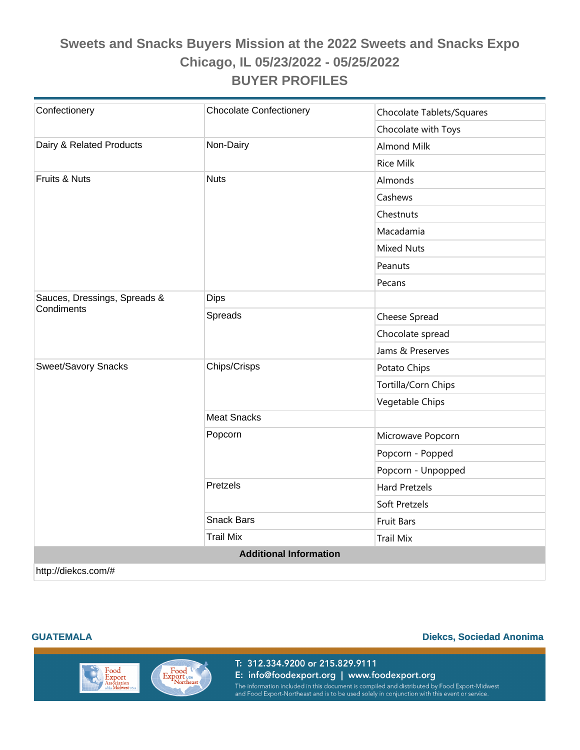| Confectionery                              | <b>Chocolate Confectionery</b> | Chocolate Tablets/Squares |  |
|--------------------------------------------|--------------------------------|---------------------------|--|
|                                            |                                | Chocolate with Toys       |  |
| Dairy & Related Products                   | Non-Dairy                      | <b>Almond Milk</b>        |  |
|                                            |                                | <b>Rice Milk</b>          |  |
| Fruits & Nuts                              | <b>Nuts</b>                    | Almonds                   |  |
|                                            |                                | Cashews                   |  |
|                                            |                                | Chestnuts                 |  |
|                                            |                                | Macadamia                 |  |
|                                            |                                | <b>Mixed Nuts</b>         |  |
|                                            |                                | Peanuts                   |  |
|                                            |                                | Pecans                    |  |
| Sauces, Dressings, Spreads &<br>Condiments | <b>Dips</b>                    |                           |  |
|                                            | Spreads                        | Cheese Spread             |  |
|                                            |                                | Chocolate spread          |  |
|                                            |                                | Jams & Preserves          |  |
| <b>Sweet/Savory Snacks</b>                 | Chips/Crisps                   | Potato Chips              |  |
|                                            |                                | Tortilla/Corn Chips       |  |
|                                            |                                | Vegetable Chips           |  |
|                                            | <b>Meat Snacks</b>             |                           |  |
|                                            | Popcorn                        | Microwave Popcorn         |  |
|                                            |                                | Popcorn - Popped          |  |
|                                            |                                | Popcorn - Unpopped        |  |
|                                            | Pretzels                       | <b>Hard Pretzels</b>      |  |
|                                            |                                | Soft Pretzels             |  |
|                                            | <b>Snack Bars</b>              | <b>Fruit Bars</b>         |  |
|                                            | <b>Trail Mix</b>               | <b>Trail Mix</b>          |  |
| <b>Additional Information</b>              |                                |                           |  |
| http://diekcs.com/#                        |                                |                           |  |

#### **GUATEMALA Diekcs, Sociedad Anonima**

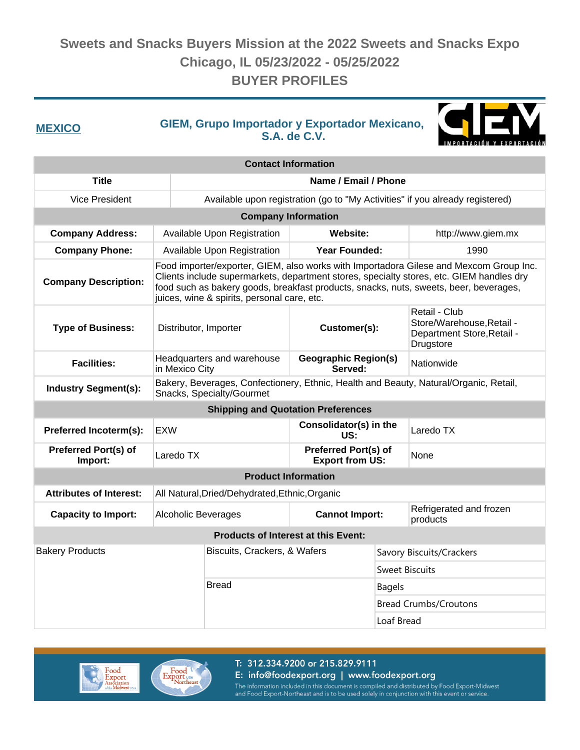**GIEM, Grupo Importador y Exportador Mexicano, S.A. de C.V. MEXICO**



| <b>Contact Information</b>                |                                                                                                                                                                                                                                                                                                                            |                                                                               |                                                |                       |                                                                                       |
|-------------------------------------------|----------------------------------------------------------------------------------------------------------------------------------------------------------------------------------------------------------------------------------------------------------------------------------------------------------------------------|-------------------------------------------------------------------------------|------------------------------------------------|-----------------------|---------------------------------------------------------------------------------------|
| <b>Title</b>                              |                                                                                                                                                                                                                                                                                                                            | Name / Email / Phone                                                          |                                                |                       |                                                                                       |
| <b>Vice President</b>                     |                                                                                                                                                                                                                                                                                                                            | Available upon registration (go to "My Activities" if you already registered) |                                                |                       |                                                                                       |
|                                           |                                                                                                                                                                                                                                                                                                                            | <b>Company Information</b>                                                    |                                                |                       |                                                                                       |
| <b>Company Address:</b>                   |                                                                                                                                                                                                                                                                                                                            | Available Upon Registration<br>Website:                                       |                                                | http://www.giem.mx    |                                                                                       |
| <b>Company Phone:</b>                     |                                                                                                                                                                                                                                                                                                                            | Available Upon Registration                                                   | <b>Year Founded:</b>                           |                       | 1990                                                                                  |
| <b>Company Description:</b>               | Food importer/exporter, GIEM, also works with Importadora Gilese and Mexcom Group Inc.<br>Clients include supermarkets, department stores, specialty stores, etc. GIEM handles dry<br>food such as bakery goods, breakfast products, snacks, nuts, sweets, beer, beverages,<br>juices, wine & spirits, personal care, etc. |                                                                               |                                                |                       |                                                                                       |
| <b>Type of Business:</b>                  | Distributor, Importer                                                                                                                                                                                                                                                                                                      |                                                                               | Customer(s):                                   |                       | Retail - Club<br>Store/Warehouse, Retail -<br>Department Store, Retail -<br>Drugstore |
| <b>Facilities:</b>                        | in Mexico City                                                                                                                                                                                                                                                                                                             | Headquarters and warehouse                                                    | <b>Geographic Region(s)</b><br>Served:         |                       | Nationwide                                                                            |
| <b>Industry Segment(s):</b>               | Bakery, Beverages, Confectionery, Ethnic, Health and Beauty, Natural/Organic, Retail,<br>Snacks, Specialty/Gourmet                                                                                                                                                                                                         |                                                                               |                                                |                       |                                                                                       |
| <b>Shipping and Quotation Preferences</b> |                                                                                                                                                                                                                                                                                                                            |                                                                               |                                                |                       |                                                                                       |
| Preferred Incoterm(s):                    | <b>EXW</b>                                                                                                                                                                                                                                                                                                                 |                                                                               | Consolidator(s) in the<br>US:                  |                       | Laredo TX                                                                             |
| Preferred Port(s) of<br>Import:           | Laredo TX                                                                                                                                                                                                                                                                                                                  |                                                                               | Preferred Port(s) of<br><b>Export from US:</b> |                       | None                                                                                  |
|                                           |                                                                                                                                                                                                                                                                                                                            | <b>Product Information</b>                                                    |                                                |                       |                                                                                       |
| <b>Attributes of Interest:</b>            |                                                                                                                                                                                                                                                                                                                            | All Natural, Dried/Dehydrated, Ethnic, Organic                                |                                                |                       |                                                                                       |
| <b>Capacity to Import:</b>                | <b>Alcoholic Beverages</b>                                                                                                                                                                                                                                                                                                 |                                                                               | <b>Cannot Import:</b>                          |                       | Refrigerated and frozen<br>products                                                   |
|                                           |                                                                                                                                                                                                                                                                                                                            | <b>Products of Interest at this Event:</b>                                    |                                                |                       |                                                                                       |
| <b>Bakery Products</b>                    |                                                                                                                                                                                                                                                                                                                            | Biscuits, Crackers, & Wafers                                                  |                                                |                       | Savory Biscuits/Crackers                                                              |
|                                           |                                                                                                                                                                                                                                                                                                                            |                                                                               |                                                | <b>Sweet Biscuits</b> |                                                                                       |
|                                           |                                                                                                                                                                                                                                                                                                                            | <b>Bread</b>                                                                  |                                                | <b>Bagels</b>         |                                                                                       |
|                                           |                                                                                                                                                                                                                                                                                                                            |                                                                               |                                                |                       | <b>Bread Crumbs/Croutons</b>                                                          |
|                                           |                                                                                                                                                                                                                                                                                                                            |                                                                               |                                                | Loaf Bread            |                                                                                       |



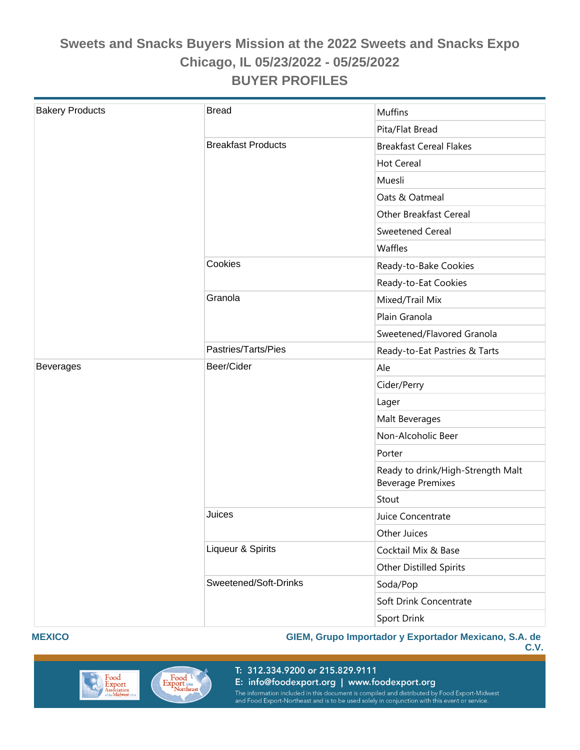| <b>Bakery Products</b> | <b>Bread</b>              | <b>Muffins</b>                                                |
|------------------------|---------------------------|---------------------------------------------------------------|
|                        |                           | Pita/Flat Bread                                               |
|                        | <b>Breakfast Products</b> | <b>Breakfast Cereal Flakes</b>                                |
|                        |                           | <b>Hot Cereal</b>                                             |
|                        |                           | Muesli                                                        |
|                        |                           | Oats & Oatmeal                                                |
|                        |                           | <b>Other Breakfast Cereal</b>                                 |
|                        |                           | Sweetened Cereal                                              |
|                        |                           | Waffles                                                       |
|                        | Cookies                   | Ready-to-Bake Cookies                                         |
|                        |                           | Ready-to-Eat Cookies                                          |
|                        | Granola                   | Mixed/Trail Mix                                               |
|                        |                           | Plain Granola                                                 |
|                        |                           | Sweetened/Flavored Granola                                    |
|                        | Pastries/Tarts/Pies       | Ready-to-Eat Pastries & Tarts                                 |
| <b>Beverages</b>       | Beer/Cider                | Ale                                                           |
|                        |                           | Cider/Perry                                                   |
|                        |                           | Lager                                                         |
|                        |                           | Malt Beverages                                                |
|                        |                           | Non-Alcoholic Beer                                            |
|                        |                           | Porter                                                        |
|                        |                           | Ready to drink/High-Strength Malt<br><b>Beverage Premixes</b> |
|                        |                           | Stout                                                         |
|                        | Juices                    | Juice Concentrate                                             |
|                        |                           | Other Juices                                                  |
|                        | Liqueur & Spirits         | Cocktail Mix & Base                                           |
|                        |                           | Other Distilled Spirits                                       |
|                        | Sweetened/Soft-Drinks     | Soda/Pop                                                      |
|                        |                           | Soft Drink Concentrate                                        |
|                        |                           | Sport Drink                                                   |

#### **MEXICO**

#### **GIEM, Grupo Importador y Exportador Mexicano, S.A. de**





T: 312.334.9200 or 215.829.9111

E: info@foodexport.org | www.foodexport.org

The information included in this document is compiled and distributed by Food Export-Midwest<br>and Food Export-Northeast and is to be used solely in conjunction with this event or service.

**C.V.**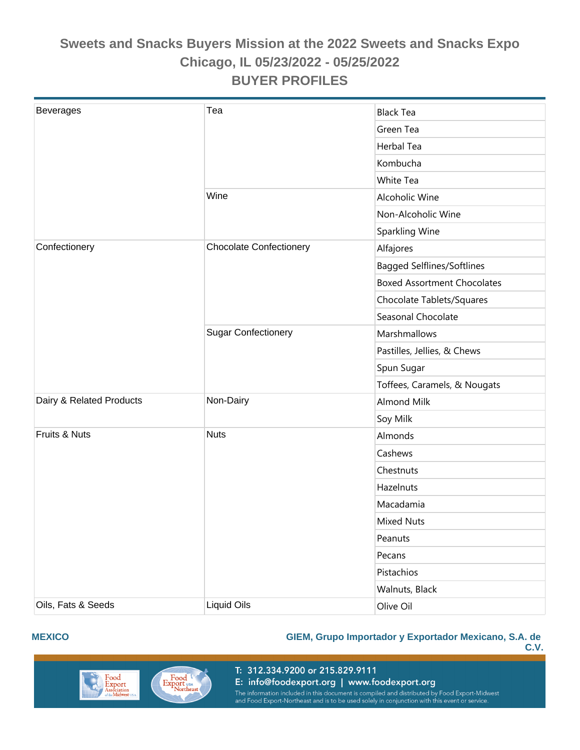| <b>Beverages</b>         | Tea                            | <b>Black Tea</b>                   |
|--------------------------|--------------------------------|------------------------------------|
|                          |                                | Green Tea                          |
|                          |                                | Herbal Tea                         |
|                          |                                | Kombucha                           |
|                          |                                | White Tea                          |
|                          | Wine                           | Alcoholic Wine                     |
|                          |                                | Non-Alcoholic Wine                 |
|                          |                                | Sparkling Wine                     |
| Confectionery            | <b>Chocolate Confectionery</b> | Alfajores                          |
|                          |                                | Bagged Selflines/Softlines         |
|                          |                                | <b>Boxed Assortment Chocolates</b> |
|                          |                                | Chocolate Tablets/Squares          |
|                          |                                | Seasonal Chocolate                 |
|                          | <b>Sugar Confectionery</b>     | Marshmallows                       |
|                          |                                | Pastilles, Jellies, & Chews        |
|                          |                                | Spun Sugar                         |
|                          |                                | Toffees, Caramels, & Nougats       |
| Dairy & Related Products | Non-Dairy                      | <b>Almond Milk</b>                 |
|                          |                                | Soy Milk                           |
| Fruits & Nuts            | <b>Nuts</b>                    | Almonds                            |
|                          |                                | Cashews                            |
|                          |                                | Chestnuts                          |
|                          |                                | Hazelnuts                          |
|                          |                                | Macadamia                          |
|                          |                                | <b>Mixed Nuts</b>                  |
|                          |                                | Peanuts                            |
|                          |                                | Pecans                             |
|                          |                                | Pistachios                         |
|                          |                                | Walnuts, Black                     |
| Oils, Fats & Seeds       | <b>Liquid Oils</b>             | Olive Oil                          |

#### **MEXICO**

#### **GIEM, Grupo Importador y Exportador Mexicano, S.A. de C.V.**



T: 312.334.9200 or 215.829.9111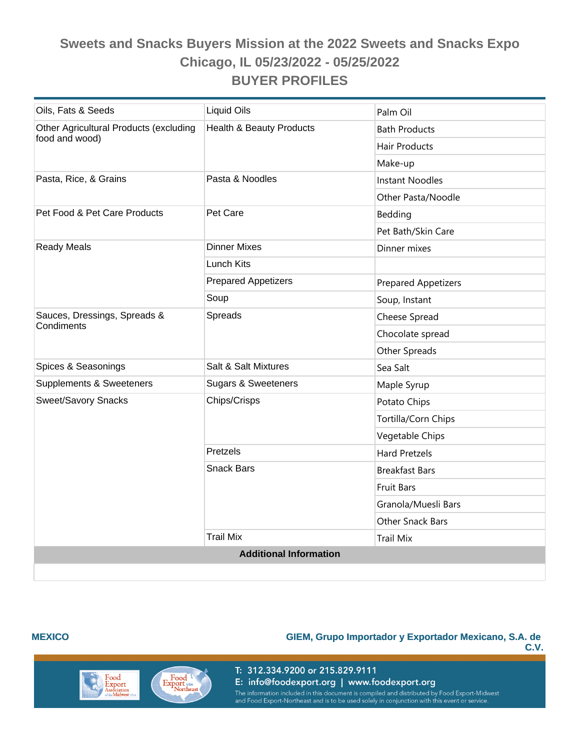| Oils, Fats & Seeds                     | Liquid Oils                         | Palm Oil                   |
|----------------------------------------|-------------------------------------|----------------------------|
| Other Agricultural Products (excluding | <b>Health &amp; Beauty Products</b> | <b>Bath Products</b>       |
| food and wood)                         |                                     | <b>Hair Products</b>       |
|                                        |                                     | Make-up                    |
| Pasta, Rice, & Grains                  | Pasta & Noodles                     | <b>Instant Noodles</b>     |
|                                        |                                     | Other Pasta/Noodle         |
| Pet Food & Pet Care Products           | Pet Care                            | Bedding                    |
|                                        |                                     | Pet Bath/Skin Care         |
| <b>Ready Meals</b>                     | <b>Dinner Mixes</b>                 | Dinner mixes               |
|                                        | <b>Lunch Kits</b>                   |                            |
|                                        | <b>Prepared Appetizers</b>          | <b>Prepared Appetizers</b> |
|                                        | Soup                                | Soup, Instant              |
| Sauces, Dressings, Spreads &           | Spreads                             | Cheese Spread              |
| Condiments                             |                                     | Chocolate spread           |
|                                        |                                     | Other Spreads              |
| Spices & Seasonings                    | Salt & Salt Mixtures                | Sea Salt                   |
| Supplements & Sweeteners               | <b>Sugars &amp; Sweeteners</b>      | Maple Syrup                |
| Sweet/Savory Snacks                    | Chips/Crisps                        | Potato Chips               |
|                                        |                                     | Tortilla/Corn Chips        |
|                                        |                                     | Vegetable Chips            |
|                                        | Pretzels                            | <b>Hard Pretzels</b>       |
|                                        | <b>Snack Bars</b>                   | <b>Breakfast Bars</b>      |
|                                        |                                     | <b>Fruit Bars</b>          |
|                                        |                                     | Granola/Muesli Bars        |
|                                        |                                     | <b>Other Snack Bars</b>    |
|                                        | <b>Trail Mix</b>                    | <b>Trail Mix</b>           |
|                                        | <b>Additional Information</b>       |                            |
|                                        |                                     |                            |

#### **MEXICO**

#### **GIEM, Grupo Importador y Exportador Mexicano, S.A. de**

**C.V.**



Export USA<br>
Northeast

E: info@foodexport.org | www.foodexport.org The information included in this document is compiled and distributed by Food Export-Midwest<br>and Food Export-Northeast and is to be used solely in conjunction with this event or service.

T: 312.334.9200 or 215.829.9111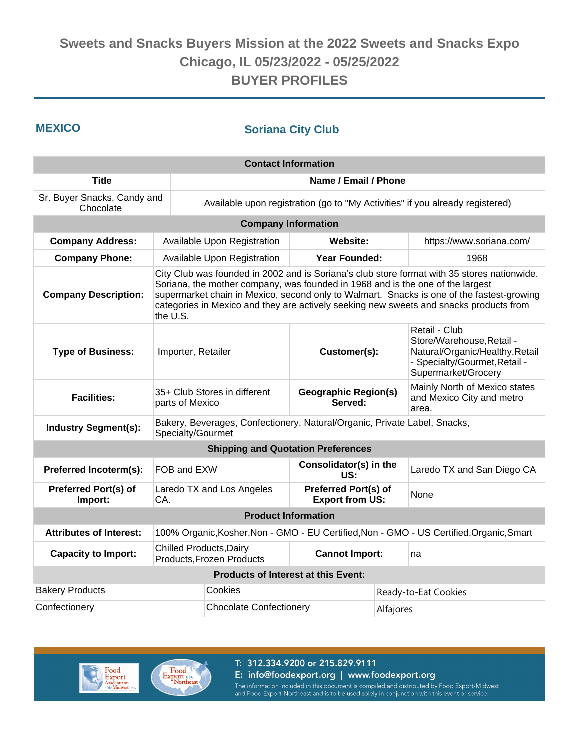### **MEXICO Soriana City Club**

| <b>Contact Information</b>               |                                                                                                                                                                                                                                                                                                                                                                                  |                                                                               |                                                       |           |                                                                                                                                       |
|------------------------------------------|----------------------------------------------------------------------------------------------------------------------------------------------------------------------------------------------------------------------------------------------------------------------------------------------------------------------------------------------------------------------------------|-------------------------------------------------------------------------------|-------------------------------------------------------|-----------|---------------------------------------------------------------------------------------------------------------------------------------|
| <b>Title</b>                             | Name / Email / Phone                                                                                                                                                                                                                                                                                                                                                             |                                                                               |                                                       |           |                                                                                                                                       |
| Sr. Buyer Snacks, Candy and<br>Chocolate |                                                                                                                                                                                                                                                                                                                                                                                  | Available upon registration (go to "My Activities" if you already registered) |                                                       |           |                                                                                                                                       |
|                                          |                                                                                                                                                                                                                                                                                                                                                                                  | <b>Company Information</b>                                                    |                                                       |           |                                                                                                                                       |
| <b>Company Address:</b>                  |                                                                                                                                                                                                                                                                                                                                                                                  | Available Upon Registration                                                   | <b>Website:</b>                                       |           | https://www.soriana.com/                                                                                                              |
| <b>Company Phone:</b>                    |                                                                                                                                                                                                                                                                                                                                                                                  | Available Upon Registration                                                   | <b>Year Founded:</b>                                  |           | 1968                                                                                                                                  |
| <b>Company Description:</b>              | City Club was founded in 2002 and is Soriana's club store format with 35 stores nationwide.<br>Soriana, the mother company, was founded in 1968 and is the one of the largest<br>supermarket chain in Mexico, second only to Walmart. Snacks is one of the fastest-growing<br>categories in Mexico and they are actively seeking new sweets and snacks products from<br>the U.S. |                                                                               |                                                       |           |                                                                                                                                       |
| <b>Type of Business:</b>                 | Importer, Retailer                                                                                                                                                                                                                                                                                                                                                               |                                                                               | Customer(s):                                          |           | Retail - Club<br>Store/Warehouse, Retail -<br>Natural/Organic/Healthy, Retail<br>- Specialty/Gourmet, Retail -<br>Supermarket/Grocery |
| <b>Facilities:</b>                       | parts of Mexico                                                                                                                                                                                                                                                                                                                                                                  | 35+ Club Stores in different                                                  | <b>Geographic Region(s)</b><br>Served:                |           | Mainly North of Mexico states<br>and Mexico City and metro<br>area.                                                                   |
| <b>Industry Segment(s):</b>              | Bakery, Beverages, Confectionery, Natural/Organic, Private Label, Snacks,<br>Specialty/Gourmet                                                                                                                                                                                                                                                                                   |                                                                               |                                                       |           |                                                                                                                                       |
|                                          |                                                                                                                                                                                                                                                                                                                                                                                  | <b>Shipping and Quotation Preferences</b>                                     |                                                       |           |                                                                                                                                       |
| Preferred Incoterm(s):                   | FOB and EXW                                                                                                                                                                                                                                                                                                                                                                      |                                                                               | Consolidator(s) in the<br>US:                         |           | Laredo TX and San Diego CA                                                                                                            |
| <b>Preferred Port(s) of</b><br>Import:   | CA.                                                                                                                                                                                                                                                                                                                                                                              | Laredo TX and Los Angeles                                                     | <b>Preferred Port(s) of</b><br><b>Export from US:</b> |           | None                                                                                                                                  |
|                                          |                                                                                                                                                                                                                                                                                                                                                                                  | <b>Product Information</b>                                                    |                                                       |           |                                                                                                                                       |
| <b>Attributes of Interest:</b>           |                                                                                                                                                                                                                                                                                                                                                                                  |                                                                               |                                                       |           | 100% Organic, Kosher, Non - GMO - EU Certified, Non - GMO - US Certified, Organic, Smart                                              |
| <b>Capacity to Import:</b>               | <b>Chilled Products, Dairy</b>                                                                                                                                                                                                                                                                                                                                                   | <b>Products, Frozen Products</b>                                              | <b>Cannot Import:</b>                                 |           | na                                                                                                                                    |
|                                          |                                                                                                                                                                                                                                                                                                                                                                                  | <b>Products of Interest at this Event:</b>                                    |                                                       |           |                                                                                                                                       |
| <b>Bakery Products</b>                   |                                                                                                                                                                                                                                                                                                                                                                                  | Cookies                                                                       |                                                       |           | Ready-to-Eat Cookies                                                                                                                  |
| Confectionery                            |                                                                                                                                                                                                                                                                                                                                                                                  | <b>Chocolate Confectionery</b>                                                |                                                       | Alfajores |                                                                                                                                       |



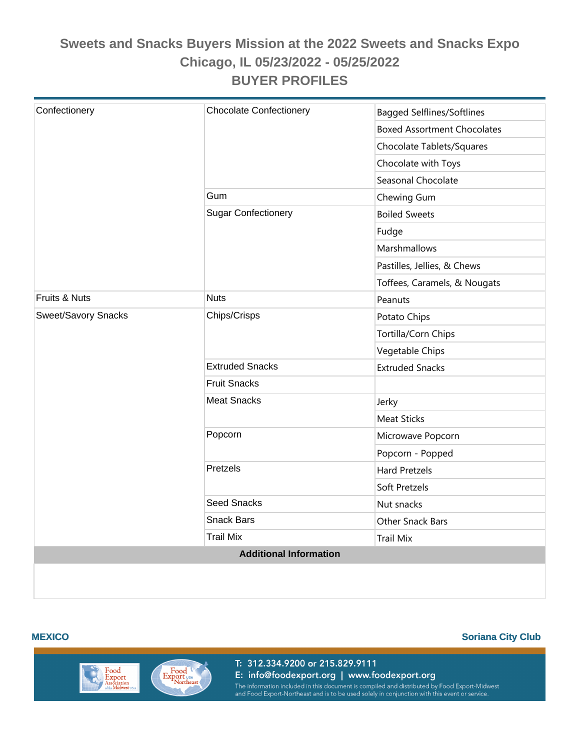| Confectionery              | <b>Chocolate Confectionery</b> | <b>Bagged Selflines/Softlines</b>  |
|----------------------------|--------------------------------|------------------------------------|
|                            |                                | <b>Boxed Assortment Chocolates</b> |
|                            |                                | Chocolate Tablets/Squares          |
|                            |                                | Chocolate with Toys                |
|                            |                                | Seasonal Chocolate                 |
|                            | Gum                            | Chewing Gum                        |
|                            | <b>Sugar Confectionery</b>     | <b>Boiled Sweets</b>               |
|                            |                                | Fudge                              |
|                            |                                | Marshmallows                       |
|                            |                                | Pastilles, Jellies, & Chews        |
|                            |                                | Toffees, Caramels, & Nougats       |
| Fruits & Nuts              | <b>Nuts</b>                    | Peanuts                            |
| <b>Sweet/Savory Snacks</b> | Chips/Crisps                   | Potato Chips                       |
|                            |                                | Tortilla/Corn Chips                |
|                            |                                | Vegetable Chips                    |
|                            | <b>Extruded Snacks</b>         | <b>Extruded Snacks</b>             |
|                            | <b>Fruit Snacks</b>            |                                    |
|                            | <b>Meat Snacks</b>             | Jerky                              |
|                            |                                | <b>Meat Sticks</b>                 |
|                            | Popcorn                        | Microwave Popcorn                  |
|                            |                                | Popcorn - Popped                   |
|                            | Pretzels                       | <b>Hard Pretzels</b>               |
|                            |                                | Soft Pretzels                      |
|                            | <b>Seed Snacks</b>             | Nut snacks                         |
|                            | Snack Bars                     | Other Snack Bars                   |
|                            | <b>Trail Mix</b>               | <b>Trail Mix</b>                   |
|                            | <b>Additional Information</b>  |                                    |
|                            |                                |                                    |

#### **MEXICO Soriana City Club**

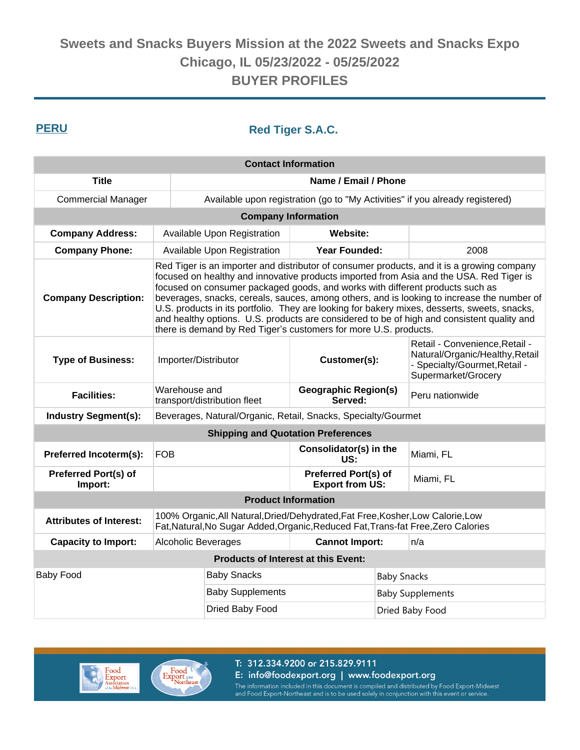### **PERU Red Tiger S.A.C.**

| <b>Contact Information</b>                |                                                                                                                                                                                                                                                                                                                                                                                                                                                                                                                                                                                                                                        |                                                                               |                                                |                    |                                                                                                                           |
|-------------------------------------------|----------------------------------------------------------------------------------------------------------------------------------------------------------------------------------------------------------------------------------------------------------------------------------------------------------------------------------------------------------------------------------------------------------------------------------------------------------------------------------------------------------------------------------------------------------------------------------------------------------------------------------------|-------------------------------------------------------------------------------|------------------------------------------------|--------------------|---------------------------------------------------------------------------------------------------------------------------|
| <b>Title</b>                              | Name / Email / Phone                                                                                                                                                                                                                                                                                                                                                                                                                                                                                                                                                                                                                   |                                                                               |                                                |                    |                                                                                                                           |
| <b>Commercial Manager</b>                 |                                                                                                                                                                                                                                                                                                                                                                                                                                                                                                                                                                                                                                        | Available upon registration (go to "My Activities" if you already registered) |                                                |                    |                                                                                                                           |
|                                           | <b>Company Information</b>                                                                                                                                                                                                                                                                                                                                                                                                                                                                                                                                                                                                             |                                                                               |                                                |                    |                                                                                                                           |
| <b>Company Address:</b>                   |                                                                                                                                                                                                                                                                                                                                                                                                                                                                                                                                                                                                                                        | Available Upon Registration                                                   | <b>Website:</b>                                |                    |                                                                                                                           |
| <b>Company Phone:</b>                     |                                                                                                                                                                                                                                                                                                                                                                                                                                                                                                                                                                                                                                        | Available Upon Registration                                                   | <b>Year Founded:</b>                           |                    | 2008                                                                                                                      |
| <b>Company Description:</b>               | Red Tiger is an importer and distributor of consumer products, and it is a growing company<br>focused on healthy and innovative products imported from Asia and the USA. Red Tiger is<br>focused on consumer packaged goods, and works with different products such as<br>beverages, snacks, cereals, sauces, among others, and is looking to increase the number of<br>U.S. products in its portfolio. They are looking for bakery mixes, desserts, sweets, snacks,<br>and healthy options. U.S. products are considered to be of high and consistent quality and<br>there is demand by Red Tiger's customers for more U.S. products. |                                                                               |                                                |                    |                                                                                                                           |
| <b>Type of Business:</b>                  | Importer/Distributor                                                                                                                                                                                                                                                                                                                                                                                                                                                                                                                                                                                                                   |                                                                               | Customer(s):                                   |                    | Retail - Convenience, Retail -<br>Natural/Organic/Healthy, Retail<br>- Specialty/Gourmet, Retail -<br>Supermarket/Grocery |
| <b>Facilities:</b>                        | Warehouse and                                                                                                                                                                                                                                                                                                                                                                                                                                                                                                                                                                                                                          | transport/distribution fleet                                                  | <b>Geographic Region(s)</b><br>Served:         |                    | Peru nationwide                                                                                                           |
| <b>Industry Segment(s):</b>               |                                                                                                                                                                                                                                                                                                                                                                                                                                                                                                                                                                                                                                        | Beverages, Natural/Organic, Retail, Snacks, Specialty/Gourmet                 |                                                |                    |                                                                                                                           |
| <b>Shipping and Quotation Preferences</b> |                                                                                                                                                                                                                                                                                                                                                                                                                                                                                                                                                                                                                                        |                                                                               |                                                |                    |                                                                                                                           |
| Preferred Incoterm(s):                    | <b>FOB</b>                                                                                                                                                                                                                                                                                                                                                                                                                                                                                                                                                                                                                             |                                                                               | Consolidator(s) in the<br>US:                  |                    | Miami, FL                                                                                                                 |
| <b>Preferred Port(s) of</b><br>Import:    |                                                                                                                                                                                                                                                                                                                                                                                                                                                                                                                                                                                                                                        |                                                                               | Preferred Port(s) of<br><b>Export from US:</b> |                    | Miami, FL                                                                                                                 |
|                                           |                                                                                                                                                                                                                                                                                                                                                                                                                                                                                                                                                                                                                                        | <b>Product Information</b>                                                    |                                                |                    |                                                                                                                           |
| <b>Attributes of Interest:</b>            | 100% Organic, All Natural, Dried/Dehydrated, Fat Free, Kosher, Low Calorie, Low<br>Fat, Natural, No Sugar Added, Organic, Reduced Fat, Trans-fat Free, Zero Calories                                                                                                                                                                                                                                                                                                                                                                                                                                                                   |                                                                               |                                                |                    |                                                                                                                           |
| <b>Capacity to Import:</b>                |                                                                                                                                                                                                                                                                                                                                                                                                                                                                                                                                                                                                                                        | <b>Alcoholic Beverages</b><br><b>Cannot Import:</b>                           |                                                |                    | n/a                                                                                                                       |
|                                           |                                                                                                                                                                                                                                                                                                                                                                                                                                                                                                                                                                                                                                        | <b>Products of Interest at this Event:</b>                                    |                                                |                    |                                                                                                                           |
| <b>Baby Food</b>                          |                                                                                                                                                                                                                                                                                                                                                                                                                                                                                                                                                                                                                                        | <b>Baby Snacks</b>                                                            |                                                | <b>Baby Snacks</b> |                                                                                                                           |
|                                           |                                                                                                                                                                                                                                                                                                                                                                                                                                                                                                                                                                                                                                        | <b>Baby Supplements</b>                                                       |                                                |                    | <b>Baby Supplements</b>                                                                                                   |
|                                           |                                                                                                                                                                                                                                                                                                                                                                                                                                                                                                                                                                                                                                        | Dried Baby Food                                                               |                                                |                    | Dried Baby Food                                                                                                           |



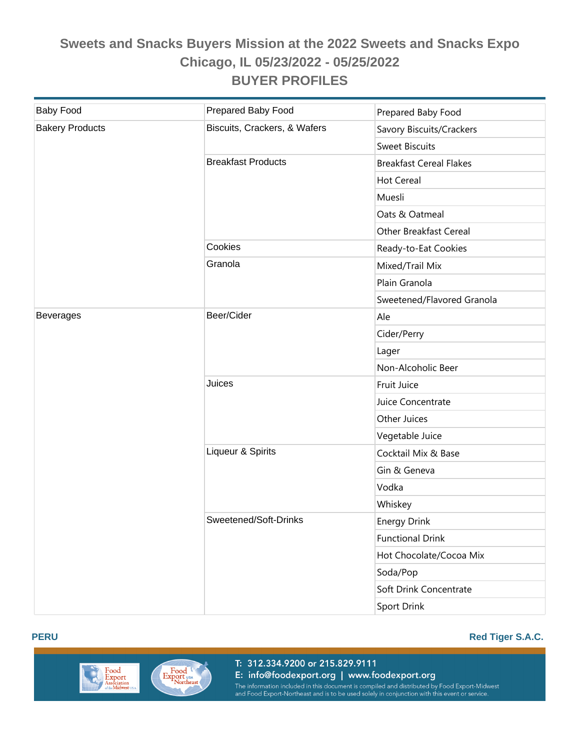| <b>Baby Food</b>       | Prepared Baby Food           | Prepared Baby Food             |
|------------------------|------------------------------|--------------------------------|
| <b>Bakery Products</b> | Biscuits, Crackers, & Wafers | Savory Biscuits/Crackers       |
|                        |                              | <b>Sweet Biscuits</b>          |
|                        | <b>Breakfast Products</b>    | <b>Breakfast Cereal Flakes</b> |
|                        |                              | <b>Hot Cereal</b>              |
|                        |                              | Muesli                         |
|                        |                              | Oats & Oatmeal                 |
|                        |                              | <b>Other Breakfast Cereal</b>  |
|                        | Cookies                      | Ready-to-Eat Cookies           |
|                        | Granola                      | Mixed/Trail Mix                |
|                        |                              | Plain Granola                  |
|                        |                              | Sweetened/Flavored Granola     |
| <b>Beverages</b>       | Beer/Cider                   | Ale                            |
|                        |                              | Cider/Perry                    |
|                        |                              | Lager                          |
|                        |                              | Non-Alcoholic Beer             |
|                        | Juices                       | Fruit Juice                    |
|                        |                              | Juice Concentrate              |
|                        |                              | Other Juices                   |
|                        |                              | Vegetable Juice                |
|                        | Liqueur & Spirits            | Cocktail Mix & Base            |
|                        |                              | Gin & Geneva                   |
|                        |                              | Vodka                          |
|                        |                              | Whiskey                        |
|                        | Sweetened/Soft-Drinks        | <b>Energy Drink</b>            |
|                        |                              | <b>Functional Drink</b>        |
|                        |                              | Hot Chocolate/Cocoa Mix        |
|                        |                              | Soda/Pop                       |
|                        |                              | Soft Drink Concentrate         |
|                        |                              | Sport Drink                    |





T: 312.334.9200 or 215.829.9111 E: info@foodexport.org | www.foodexport.org The information included in this document is compiled and distributed by Food Export-Midwest<br>and Food Export-Northeast and is to be used solely in conjunction with this event or service.

#### **PERU Red Tiger S.A.C.**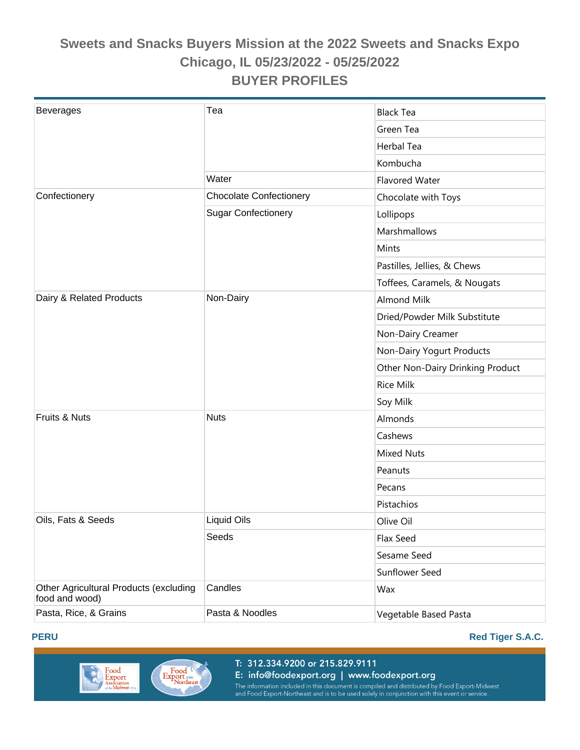| <b>Beverages</b>                                         | Tea                            | <b>Black Tea</b>                 |
|----------------------------------------------------------|--------------------------------|----------------------------------|
|                                                          |                                | Green Tea                        |
|                                                          |                                | Herbal Tea                       |
|                                                          |                                | Kombucha                         |
|                                                          | Water                          | Flavored Water                   |
| Confectionery                                            | <b>Chocolate Confectionery</b> | Chocolate with Toys              |
|                                                          | <b>Sugar Confectionery</b>     | Lollipops                        |
|                                                          |                                | Marshmallows                     |
|                                                          |                                | Mints                            |
|                                                          |                                | Pastilles, Jellies, & Chews      |
|                                                          |                                | Toffees, Caramels, & Nougats     |
| Dairy & Related Products                                 | Non-Dairy                      | <b>Almond Milk</b>               |
|                                                          |                                | Dried/Powder Milk Substitute     |
|                                                          |                                | Non-Dairy Creamer                |
|                                                          |                                | Non-Dairy Yogurt Products        |
|                                                          |                                | Other Non-Dairy Drinking Product |
|                                                          |                                | <b>Rice Milk</b>                 |
|                                                          |                                | Soy Milk                         |
| Fruits & Nuts                                            | <b>Nuts</b>                    | Almonds                          |
|                                                          |                                | Cashews                          |
|                                                          |                                | <b>Mixed Nuts</b>                |
|                                                          |                                | Peanuts                          |
|                                                          |                                | Pecans                           |
|                                                          |                                | Pistachios                       |
| Oils, Fats & Seeds                                       | Liquid Oils                    | Olive Oil                        |
|                                                          | Seeds                          | Flax Seed                        |
|                                                          |                                | Sesame Seed                      |
|                                                          |                                | Sunflower Seed                   |
| Other Agricultural Products (excluding<br>food and wood) | Candles                        | Wax                              |
| Pasta, Rice, & Grains                                    | Pasta & Noodles                | Vegetable Based Pasta            |





T: 312.334.9200 or 215.829.9111 E: info@foodexport.org | www.foodexport.org

## **PERU Red Tiger S.A.C.**

The information included in this document is compiled and distributed by Food Export-Midwest<br>and Food Export-Northeast and is to be used solely in conjunction with this event or service.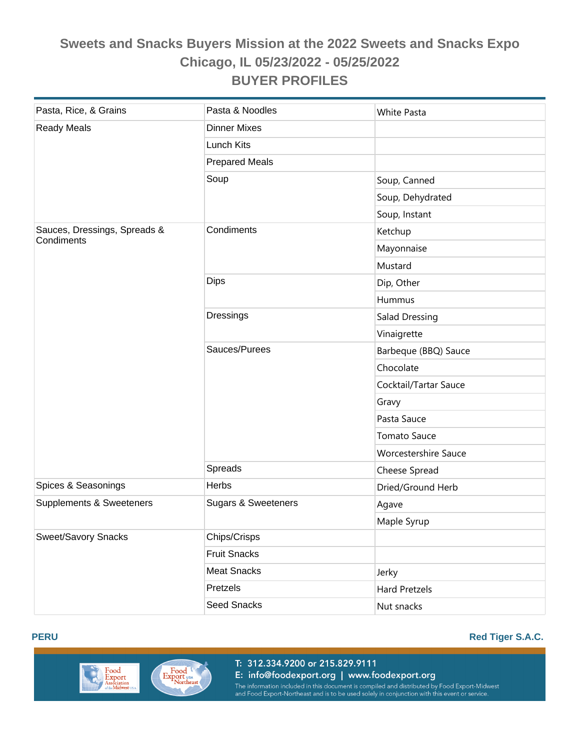| Pasta, Rice, & Grains                      | Pasta & Noodles                | <b>White Pasta</b>          |  |
|--------------------------------------------|--------------------------------|-----------------------------|--|
| <b>Ready Meals</b>                         | <b>Dinner Mixes</b>            |                             |  |
|                                            | Lunch Kits                     |                             |  |
|                                            | <b>Prepared Meals</b>          |                             |  |
|                                            | Soup                           | Soup, Canned                |  |
|                                            |                                | Soup, Dehydrated            |  |
|                                            |                                | Soup, Instant               |  |
| Sauces, Dressings, Spreads &<br>Condiments | Condiments                     | Ketchup                     |  |
|                                            |                                | Mayonnaise                  |  |
|                                            |                                | Mustard                     |  |
|                                            | <b>Dips</b>                    | Dip, Other                  |  |
|                                            |                                | Hummus                      |  |
|                                            | Dressings                      | Salad Dressing              |  |
|                                            |                                | Vinaigrette                 |  |
|                                            | Sauces/Purees                  | Barbeque (BBQ) Sauce        |  |
|                                            |                                | Chocolate                   |  |
|                                            |                                | Cocktail/Tartar Sauce       |  |
|                                            |                                | Gravy                       |  |
|                                            |                                | Pasta Sauce                 |  |
|                                            |                                | <b>Tomato Sauce</b>         |  |
|                                            |                                | <b>Worcestershire Sauce</b> |  |
|                                            | Spreads                        | Cheese Spread               |  |
| Spices & Seasonings                        | <b>Herbs</b>                   | Dried/Ground Herb           |  |
| Supplements & Sweeteners                   | <b>Sugars &amp; Sweeteners</b> | Agave                       |  |
|                                            |                                | Maple Syrup                 |  |
| <b>Sweet/Savory Snacks</b>                 | Chips/Crisps                   |                             |  |
|                                            | <b>Fruit Snacks</b>            |                             |  |
|                                            | <b>Meat Snacks</b>             | Jerky                       |  |
|                                            | Pretzels                       | <b>Hard Pretzels</b>        |  |
|                                            | Seed Snacks                    | Nut snacks                  |  |





T: 312.334.9200 or 215.829.9111 E: info@foodexport.org | www.foodexport.org The information included in this document is compiled and distributed by Food Export-Midwest<br>and Food Export-Northeast and is to be used solely in conjunction with this event or service.

#### **PERU Red Tiger S.A.C.**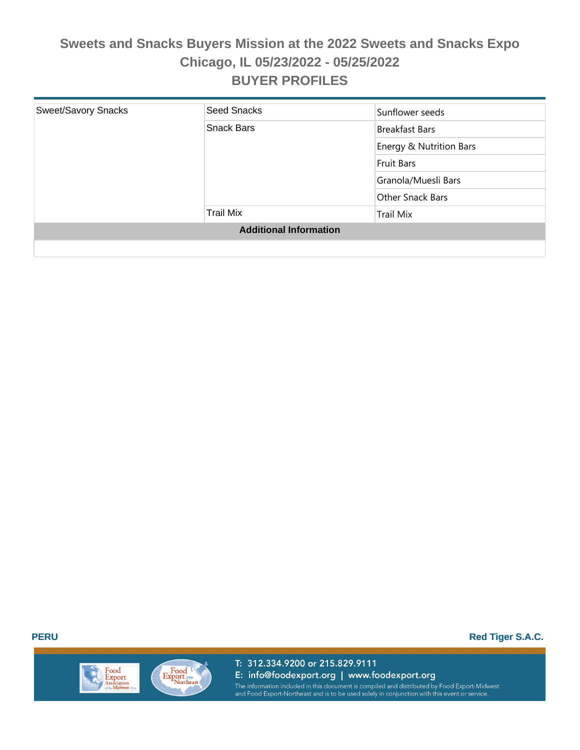| <b>Sweet/Savory Snacks</b>    | Seed Snacks      | Sunflower seeds         |
|-------------------------------|------------------|-------------------------|
|                               | Snack Bars       | <b>Breakfast Bars</b>   |
|                               |                  | Energy & Nutrition Bars |
|                               |                  | Fruit Bars              |
|                               |                  | Granola/Muesli Bars     |
|                               |                  | Other Snack Bars        |
|                               | <b>Trail Mix</b> | <b>Trail Mix</b>        |
| <b>Additional Information</b> |                  |                         |
|                               |                  |                         |

**PERU Red Tiger S.A.C.** 

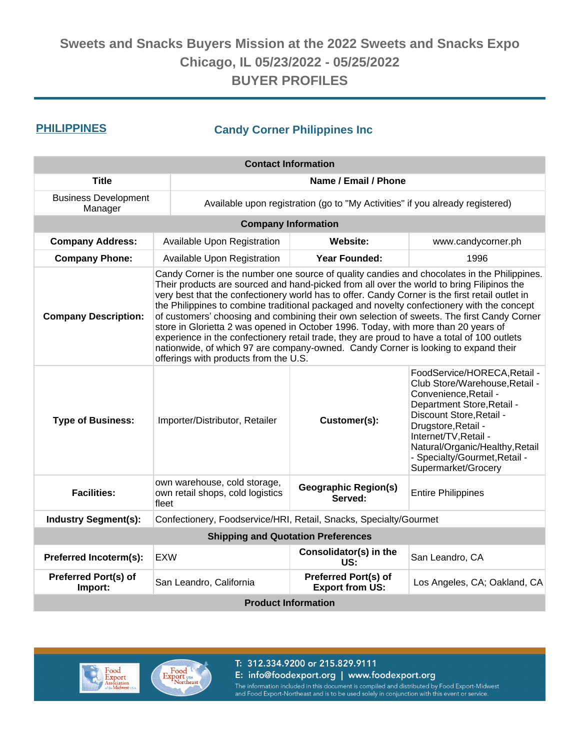### **PHILIPPINES Candy Corner Philippines Inc**

| <b>Contact Information</b>                                                                       |                                                                                                                                                                                                                                                                                                                                                                                                                                                                                                                                                                                                                                                                                                                                                                                                             |                                                                               |                                                                                                                                                                                                                                                                                              |  |  |
|--------------------------------------------------------------------------------------------------|-------------------------------------------------------------------------------------------------------------------------------------------------------------------------------------------------------------------------------------------------------------------------------------------------------------------------------------------------------------------------------------------------------------------------------------------------------------------------------------------------------------------------------------------------------------------------------------------------------------------------------------------------------------------------------------------------------------------------------------------------------------------------------------------------------------|-------------------------------------------------------------------------------|----------------------------------------------------------------------------------------------------------------------------------------------------------------------------------------------------------------------------------------------------------------------------------------------|--|--|
| <b>Title</b>                                                                                     | Name / Email / Phone                                                                                                                                                                                                                                                                                                                                                                                                                                                                                                                                                                                                                                                                                                                                                                                        |                                                                               |                                                                                                                                                                                                                                                                                              |  |  |
| <b>Business Development</b><br>Manager                                                           |                                                                                                                                                                                                                                                                                                                                                                                                                                                                                                                                                                                                                                                                                                                                                                                                             | Available upon registration (go to "My Activities" if you already registered) |                                                                                                                                                                                                                                                                                              |  |  |
|                                                                                                  |                                                                                                                                                                                                                                                                                                                                                                                                                                                                                                                                                                                                                                                                                                                                                                                                             | <b>Company Information</b>                                                    |                                                                                                                                                                                                                                                                                              |  |  |
| <b>Company Address:</b>                                                                          | Available Upon Registration                                                                                                                                                                                                                                                                                                                                                                                                                                                                                                                                                                                                                                                                                                                                                                                 | Website:                                                                      | www.candycorner.ph                                                                                                                                                                                                                                                                           |  |  |
| <b>Company Phone:</b>                                                                            | Available Upon Registration                                                                                                                                                                                                                                                                                                                                                                                                                                                                                                                                                                                                                                                                                                                                                                                 | <b>Year Founded:</b>                                                          | 1996                                                                                                                                                                                                                                                                                         |  |  |
| <b>Company Description:</b>                                                                      | Candy Corner is the number one source of quality candies and chocolates in the Philippines.<br>Their products are sourced and hand-picked from all over the world to bring Filipinos the<br>very best that the confectionery world has to offer. Candy Corner is the first retail outlet in<br>the Philippines to combine traditional packaged and novelty confectionery with the concept<br>of customers' choosing and combining their own selection of sweets. The first Candy Corner<br>store in Glorietta 2 was opened in October 1996. Today, with more than 20 years of<br>experience in the confectionery retail trade, they are proud to have a total of 100 outlets<br>nationwide, of which 97 are company-owned. Candy Corner is looking to expand their<br>offerings with products from the U.S. |                                                                               |                                                                                                                                                                                                                                                                                              |  |  |
| <b>Type of Business:</b>                                                                         | Importer/Distributor, Retailer                                                                                                                                                                                                                                                                                                                                                                                                                                                                                                                                                                                                                                                                                                                                                                              | Customer(s):                                                                  | FoodService/HORECA, Retail -<br>Club Store/Warehouse, Retail -<br>Convenience, Retail -<br>Department Store, Retail -<br>Discount Store, Retail -<br>Drugstore, Retail -<br>Internet/TV, Retail -<br>Natural/Organic/Healthy, Retail<br>- Specialty/Gourmet, Retail -<br>Supermarket/Grocery |  |  |
| <b>Facilities:</b>                                                                               | own warehouse, cold storage,<br>own retail shops, cold logistics<br>fleet                                                                                                                                                                                                                                                                                                                                                                                                                                                                                                                                                                                                                                                                                                                                   | <b>Geographic Region(s)</b><br>Served:                                        | <b>Entire Philippines</b>                                                                                                                                                                                                                                                                    |  |  |
| <b>Industry Segment(s):</b><br>Confectionery, Foodservice/HRI, Retail, Snacks, Specialty/Gourmet |                                                                                                                                                                                                                                                                                                                                                                                                                                                                                                                                                                                                                                                                                                                                                                                                             |                                                                               |                                                                                                                                                                                                                                                                                              |  |  |
|                                                                                                  |                                                                                                                                                                                                                                                                                                                                                                                                                                                                                                                                                                                                                                                                                                                                                                                                             | <b>Shipping and Quotation Preferences</b>                                     |                                                                                                                                                                                                                                                                                              |  |  |
| Preferred Incoterm(s):                                                                           | <b>EXW</b>                                                                                                                                                                                                                                                                                                                                                                                                                                                                                                                                                                                                                                                                                                                                                                                                  | Consolidator(s) in the<br>US:                                                 | San Leandro, CA                                                                                                                                                                                                                                                                              |  |  |
| Preferred Port(s) of<br>Import:                                                                  | San Leandro, California                                                                                                                                                                                                                                                                                                                                                                                                                                                                                                                                                                                                                                                                                                                                                                                     | Preferred Port(s) of<br><b>Export from US:</b>                                | Los Angeles, CA; Oakland, CA                                                                                                                                                                                                                                                                 |  |  |
| <b>Product Information</b>                                                                       |                                                                                                                                                                                                                                                                                                                                                                                                                                                                                                                                                                                                                                                                                                                                                                                                             |                                                                               |                                                                                                                                                                                                                                                                                              |  |  |

# Food<br>Export<br>Association<br><sub>of the</sub> Midwest u

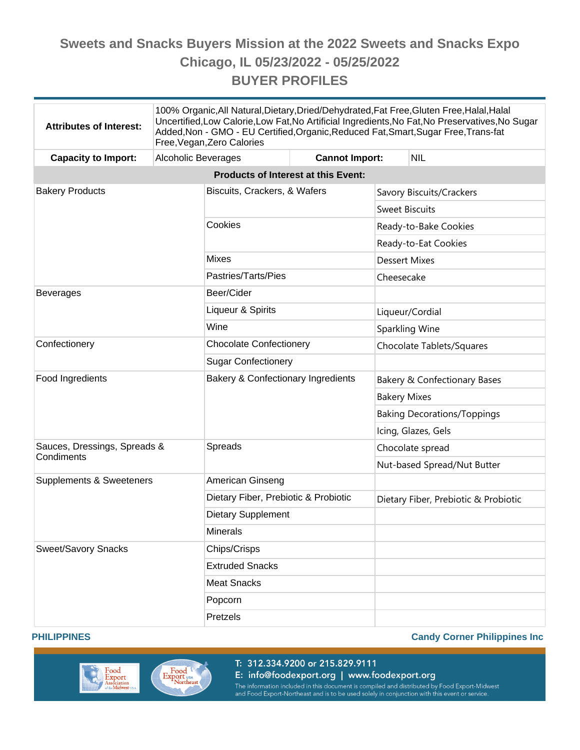| <b>Attributes of Interest:</b>             | 100% Organic, All Natural, Dietary, Dried/Dehydrated, Fat Free, Gluten Free, Halal, Halal<br>Uncertified, Low Calorie, Low Fat, No Artificial Ingredients, No Fat, No Preservatives, No Sugar<br>Added, Non - GMO - EU Certified, Organic, Reduced Fat, Smart, Sugar Free, Trans-fat<br>Free, Vegan, Zero Calories |                                               |                       |                       |                                      |  |
|--------------------------------------------|--------------------------------------------------------------------------------------------------------------------------------------------------------------------------------------------------------------------------------------------------------------------------------------------------------------------|-----------------------------------------------|-----------------------|-----------------------|--------------------------------------|--|
| <b>Capacity to Import:</b>                 | Alcoholic Beverages                                                                                                                                                                                                                                                                                                |                                               | <b>Cannot Import:</b> |                       | <b>NIL</b>                           |  |
| <b>Products of Interest at this Event:</b> |                                                                                                                                                                                                                                                                                                                    |                                               |                       |                       |                                      |  |
| <b>Bakery Products</b>                     |                                                                                                                                                                                                                                                                                                                    | Biscuits, Crackers, & Wafers                  |                       |                       | Savory Biscuits/Crackers             |  |
|                                            |                                                                                                                                                                                                                                                                                                                    |                                               |                       | <b>Sweet Biscuits</b> |                                      |  |
|                                            |                                                                                                                                                                                                                                                                                                                    | Cookies                                       |                       |                       | Ready-to-Bake Cookies                |  |
|                                            |                                                                                                                                                                                                                                                                                                                    |                                               |                       |                       | Ready-to-Eat Cookies                 |  |
|                                            |                                                                                                                                                                                                                                                                                                                    | <b>Mixes</b>                                  |                       | <b>Dessert Mixes</b>  |                                      |  |
|                                            |                                                                                                                                                                                                                                                                                                                    | Pastries/Tarts/Pies                           |                       | Cheesecake            |                                      |  |
| <b>Beverages</b>                           |                                                                                                                                                                                                                                                                                                                    | Beer/Cider                                    |                       |                       |                                      |  |
|                                            |                                                                                                                                                                                                                                                                                                                    | Liqueur & Spirits                             |                       |                       | Liqueur/Cordial                      |  |
|                                            |                                                                                                                                                                                                                                                                                                                    | Wine                                          |                       | Sparkling Wine        |                                      |  |
| Confectionery                              |                                                                                                                                                                                                                                                                                                                    | <b>Chocolate Confectionery</b>                |                       |                       | Chocolate Tablets/Squares            |  |
|                                            |                                                                                                                                                                                                                                                                                                                    | <b>Sugar Confectionery</b>                    |                       |                       |                                      |  |
| Food Ingredients                           |                                                                                                                                                                                                                                                                                                                    | <b>Bakery &amp; Confectionary Ingredients</b> |                       |                       | Bakery & Confectionary Bases         |  |
|                                            |                                                                                                                                                                                                                                                                                                                    |                                               |                       | <b>Bakery Mixes</b>   |                                      |  |
|                                            |                                                                                                                                                                                                                                                                                                                    |                                               |                       |                       | <b>Baking Decorations/Toppings</b>   |  |
|                                            |                                                                                                                                                                                                                                                                                                                    |                                               |                       |                       | Icing, Glazes, Gels                  |  |
| Sauces, Dressings, Spreads &               |                                                                                                                                                                                                                                                                                                                    | Spreads                                       |                       |                       | Chocolate spread                     |  |
| Condiments                                 |                                                                                                                                                                                                                                                                                                                    |                                               |                       |                       | Nut-based Spread/Nut Butter          |  |
| Supplements & Sweeteners                   |                                                                                                                                                                                                                                                                                                                    | American Ginseng                              |                       |                       |                                      |  |
|                                            |                                                                                                                                                                                                                                                                                                                    | Dietary Fiber, Prebiotic & Probiotic          |                       |                       | Dietary Fiber, Prebiotic & Probiotic |  |
|                                            |                                                                                                                                                                                                                                                                                                                    | <b>Dietary Supplement</b>                     |                       |                       |                                      |  |
|                                            |                                                                                                                                                                                                                                                                                                                    | <b>Minerals</b>                               |                       |                       |                                      |  |
| <b>Sweet/Savory Snacks</b>                 |                                                                                                                                                                                                                                                                                                                    | Chips/Crisps                                  |                       |                       |                                      |  |
|                                            |                                                                                                                                                                                                                                                                                                                    | <b>Extruded Snacks</b>                        |                       |                       |                                      |  |
|                                            |                                                                                                                                                                                                                                                                                                                    | <b>Meat Snacks</b>                            |                       |                       |                                      |  |
|                                            |                                                                                                                                                                                                                                                                                                                    | Popcorn                                       |                       |                       |                                      |  |
|                                            |                                                                                                                                                                                                                                                                                                                    | Pretzels                                      |                       |                       |                                      |  |

#### **PHILIPPINES Candy Corner Philippines Inc**



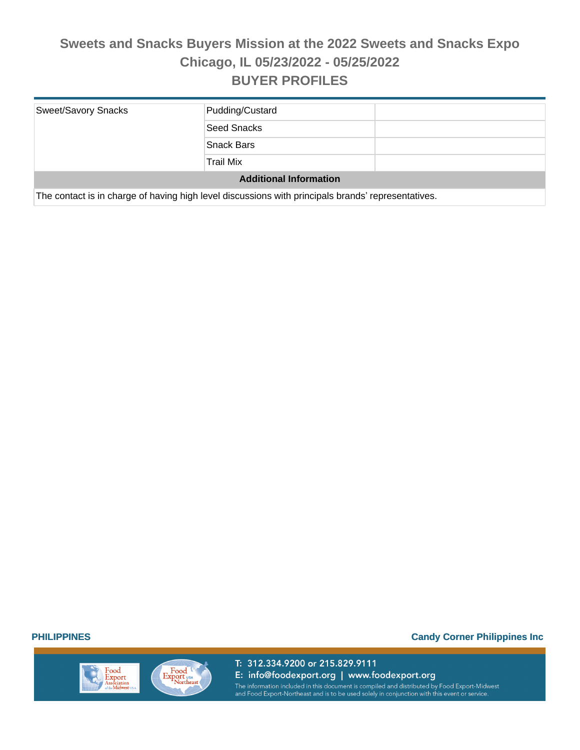| <b>Sweet/Savory Snacks</b>    | Pudding/Custard                                                                                    |  |  |  |
|-------------------------------|----------------------------------------------------------------------------------------------------|--|--|--|
|                               | Seed Snacks                                                                                        |  |  |  |
|                               | <b>Snack Bars</b>                                                                                  |  |  |  |
|                               | <b>Trail Mix</b>                                                                                   |  |  |  |
| <b>Additional Information</b> |                                                                                                    |  |  |  |
|                               | The contact is in charge of having high level discussions with principals brands' representatives. |  |  |  |



T: 312.334.9200 or 215.829.9111 E: info@foodexport.org | www.foodexport.org The information included in this document is compiled and distributed by Food Export-Midwest<br>and Food Export-Northeast and is to be used solely in conjunction with this event or service.

**PHILIPPINES Candy Corner Philippines Inc**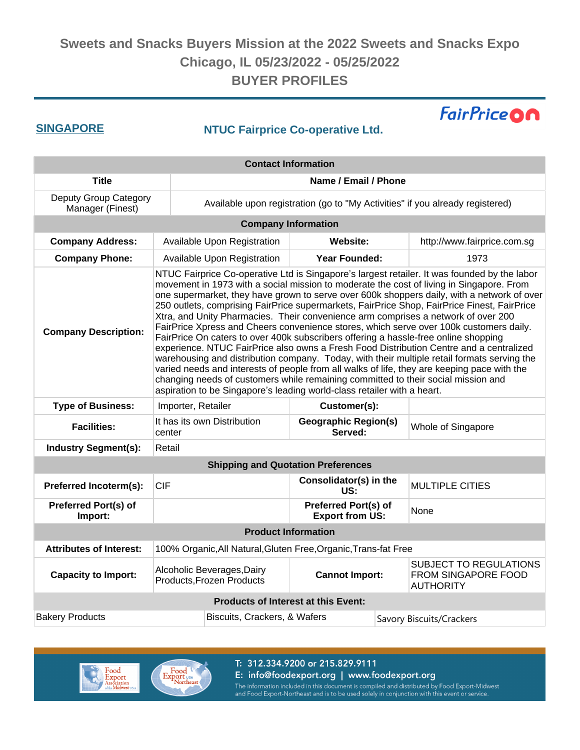### **SINGAPORE NTUC Fairprice Co-operative Ltd.**

**FairPriceON** 

| <b>Contact Information</b>                 |                                                                                                                                                                                                                                                                                                                                                                                                                                                                                                                                                                                                                                                                                                                                                                                                                                                                                                                                                                                                                                                                                                                      |                                                                                  |                                                       |                                                                          |                             |
|--------------------------------------------|----------------------------------------------------------------------------------------------------------------------------------------------------------------------------------------------------------------------------------------------------------------------------------------------------------------------------------------------------------------------------------------------------------------------------------------------------------------------------------------------------------------------------------------------------------------------------------------------------------------------------------------------------------------------------------------------------------------------------------------------------------------------------------------------------------------------------------------------------------------------------------------------------------------------------------------------------------------------------------------------------------------------------------------------------------------------------------------------------------------------|----------------------------------------------------------------------------------|-------------------------------------------------------|--------------------------------------------------------------------------|-----------------------------|
| <b>Title</b>                               | Name / Email / Phone                                                                                                                                                                                                                                                                                                                                                                                                                                                                                                                                                                                                                                                                                                                                                                                                                                                                                                                                                                                                                                                                                                 |                                                                                  |                                                       |                                                                          |                             |
| Deputy Group Category<br>Manager (Finest)  |                                                                                                                                                                                                                                                                                                                                                                                                                                                                                                                                                                                                                                                                                                                                                                                                                                                                                                                                                                                                                                                                                                                      | Available upon registration (go to "My Activities" if you already registered)    |                                                       |                                                                          |                             |
|                                            |                                                                                                                                                                                                                                                                                                                                                                                                                                                                                                                                                                                                                                                                                                                                                                                                                                                                                                                                                                                                                                                                                                                      |                                                                                  | <b>Company Information</b>                            |                                                                          |                             |
| <b>Company Address:</b>                    |                                                                                                                                                                                                                                                                                                                                                                                                                                                                                                                                                                                                                                                                                                                                                                                                                                                                                                                                                                                                                                                                                                                      | Available Upon Registration<br>Website:                                          |                                                       |                                                                          | http://www.fairprice.com.sg |
| <b>Company Phone:</b>                      |                                                                                                                                                                                                                                                                                                                                                                                                                                                                                                                                                                                                                                                                                                                                                                                                                                                                                                                                                                                                                                                                                                                      | Available Upon Registration                                                      | <b>Year Founded:</b>                                  |                                                                          | 1973                        |
| <b>Company Description:</b>                | NTUC Fairprice Co-operative Ltd is Singapore's largest retailer. It was founded by the labor<br>movement in 1973 with a social mission to moderate the cost of living in Singapore. From<br>one supermarket, they have grown to serve over 600k shoppers daily, with a network of over<br>250 outlets, comprising FairPrice supermarkets, FairPrice Shop, FairPrice Finest, FairPrice<br>Xtra, and Unity Pharmacies. Their convenience arm comprises a network of over 200<br>FairPrice Xpress and Cheers convenience stores, which serve over 100k customers daily.<br>FairPrice On caters to over 400k subscribers offering a hassle-free online shopping<br>experience. NTUC FairPrice also owns a Fresh Food Distribution Centre and a centralized<br>warehousing and distribution company. Today, with their multiple retail formats serving the<br>varied needs and interests of people from all walks of life, they are keeping pace with the<br>changing needs of customers while remaining committed to their social mission and<br>aspiration to be Singapore's leading world-class retailer with a heart. |                                                                                  |                                                       |                                                                          |                             |
| <b>Type of Business:</b>                   | Importer, Retailer                                                                                                                                                                                                                                                                                                                                                                                                                                                                                                                                                                                                                                                                                                                                                                                                                                                                                                                                                                                                                                                                                                   |                                                                                  | Customer(s):                                          |                                                                          |                             |
| <b>Facilities:</b>                         | center                                                                                                                                                                                                                                                                                                                                                                                                                                                                                                                                                                                                                                                                                                                                                                                                                                                                                                                                                                                                                                                                                                               | It has its own Distribution                                                      | <b>Geographic Region(s)</b><br>Served:                |                                                                          | Whole of Singapore          |
| <b>Industry Segment(s):</b>                | Retail                                                                                                                                                                                                                                                                                                                                                                                                                                                                                                                                                                                                                                                                                                                                                                                                                                                                                                                                                                                                                                                                                                               |                                                                                  |                                                       |                                                                          |                             |
|                                            |                                                                                                                                                                                                                                                                                                                                                                                                                                                                                                                                                                                                                                                                                                                                                                                                                                                                                                                                                                                                                                                                                                                      |                                                                                  | <b>Shipping and Quotation Preferences</b>             |                                                                          |                             |
| Preferred Incoterm(s):                     | <b>CIF</b>                                                                                                                                                                                                                                                                                                                                                                                                                                                                                                                                                                                                                                                                                                                                                                                                                                                                                                                                                                                                                                                                                                           |                                                                                  | Consolidator(s) in the<br>US:                         |                                                                          | <b>MULTIPLE CITIES</b>      |
| <b>Preferred Port(s) of</b><br>Import:     |                                                                                                                                                                                                                                                                                                                                                                                                                                                                                                                                                                                                                                                                                                                                                                                                                                                                                                                                                                                                                                                                                                                      |                                                                                  | <b>Preferred Port(s) of</b><br><b>Export from US:</b> |                                                                          | None                        |
| <b>Product Information</b>                 |                                                                                                                                                                                                                                                                                                                                                                                                                                                                                                                                                                                                                                                                                                                                                                                                                                                                                                                                                                                                                                                                                                                      |                                                                                  |                                                       |                                                                          |                             |
| <b>Attributes of Interest:</b>             |                                                                                                                                                                                                                                                                                                                                                                                                                                                                                                                                                                                                                                                                                                                                                                                                                                                                                                                                                                                                                                                                                                                      | 100% Organic, All Natural, Gluten Free, Organic, Trans-fat Free                  |                                                       |                                                                          |                             |
| <b>Capacity to Import:</b>                 |                                                                                                                                                                                                                                                                                                                                                                                                                                                                                                                                                                                                                                                                                                                                                                                                                                                                                                                                                                                                                                                                                                                      | Alcoholic Beverages, Dairy<br><b>Cannot Import:</b><br>Products, Frozen Products |                                                       | <b>SUBJECT TO REGULATIONS</b><br>FROM SINGAPORE FOOD<br><b>AUTHORITY</b> |                             |
| <b>Products of Interest at this Event:</b> |                                                                                                                                                                                                                                                                                                                                                                                                                                                                                                                                                                                                                                                                                                                                                                                                                                                                                                                                                                                                                                                                                                                      |                                                                                  |                                                       |                                                                          |                             |
| <b>Bakery Products</b>                     | Biscuits, Crackers, & Wafers                                                                                                                                                                                                                                                                                                                                                                                                                                                                                                                                                                                                                                                                                                                                                                                                                                                                                                                                                                                                                                                                                         |                                                                                  |                                                       | Savory Biscuits/Crackers                                                 |                             |





T: 312.334.9200 or 215.829.9111

E: info@foodexport.org | www.foodexport.org

The information included in this document is compiled and distributed by Food Export-Midwest<br>and Food Export-Northeast and is to be used solely in conjunction with this event or service.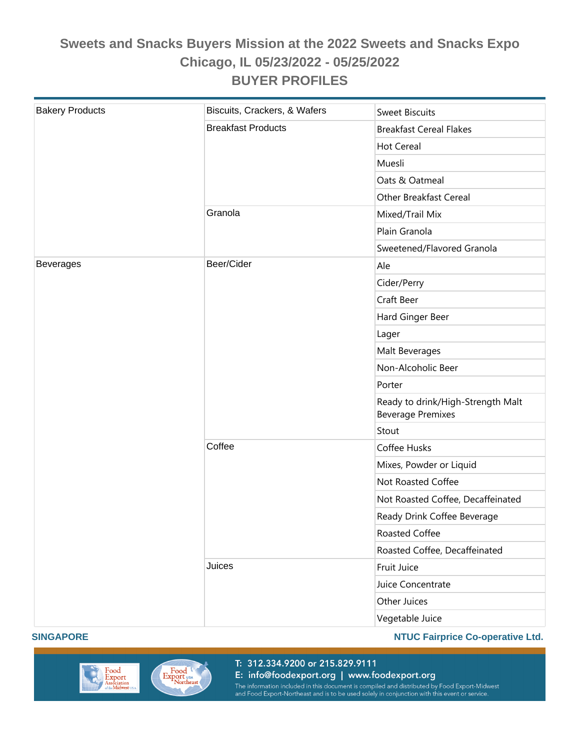| <b>Bakery Products</b> | Biscuits, Crackers, & Wafers | <b>Sweet Biscuits</b>                                         |
|------------------------|------------------------------|---------------------------------------------------------------|
|                        | <b>Breakfast Products</b>    | <b>Breakfast Cereal Flakes</b>                                |
|                        |                              | <b>Hot Cereal</b>                                             |
|                        |                              | Muesli                                                        |
|                        |                              | Oats & Oatmeal                                                |
|                        |                              | Other Breakfast Cereal                                        |
|                        | Granola                      | Mixed/Trail Mix                                               |
|                        |                              | Plain Granola                                                 |
|                        |                              | Sweetened/Flavored Granola                                    |
| <b>Beverages</b>       | Beer/Cider                   | Ale                                                           |
|                        |                              | Cider/Perry                                                   |
|                        |                              | Craft Beer                                                    |
|                        |                              | Hard Ginger Beer                                              |
|                        |                              | Lager                                                         |
|                        |                              | Malt Beverages                                                |
|                        |                              | Non-Alcoholic Beer                                            |
|                        |                              | Porter                                                        |
|                        |                              | Ready to drink/High-Strength Malt<br><b>Beverage Premixes</b> |
|                        |                              | Stout                                                         |
|                        | Coffee                       | Coffee Husks                                                  |
|                        |                              | Mixes, Powder or Liquid                                       |
|                        |                              | Not Roasted Coffee                                            |
|                        |                              | Not Roasted Coffee, Decaffeinated                             |
|                        |                              | Ready Drink Coffee Beverage                                   |
|                        |                              | Roasted Coffee                                                |
|                        |                              | Roasted Coffee, Decaffeinated                                 |
|                        | Juices                       | Fruit Juice                                                   |
|                        |                              | Juice Concentrate                                             |
|                        |                              | Other Juices                                                  |
|                        |                              | Vegetable Juice                                               |

#### **SINGAPORE NTUC Fairprice Co-operative Ltd.**



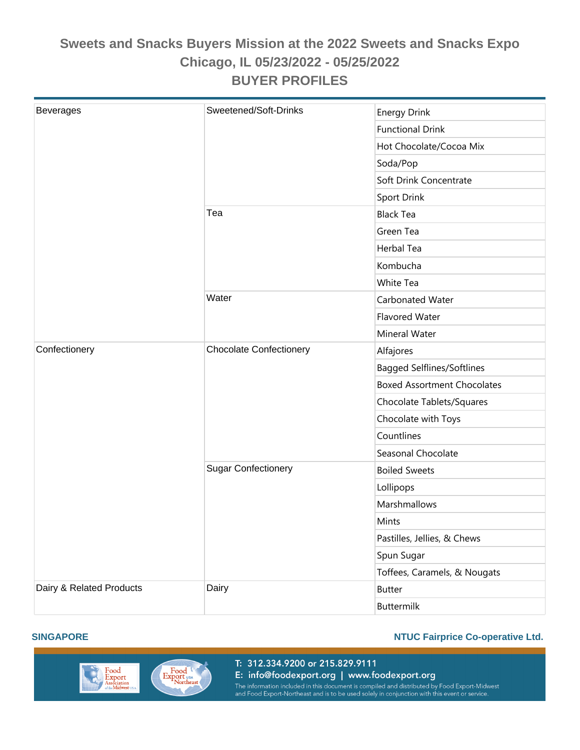| <b>Beverages</b>         | Sweetened/Soft-Drinks          | <b>Energy Drink</b>                |
|--------------------------|--------------------------------|------------------------------------|
|                          |                                | <b>Functional Drink</b>            |
|                          |                                | Hot Chocolate/Cocoa Mix            |
|                          |                                | Soda/Pop                           |
|                          |                                | Soft Drink Concentrate             |
|                          |                                | <b>Sport Drink</b>                 |
|                          | Tea                            | <b>Black Tea</b>                   |
|                          |                                | Green Tea                          |
|                          |                                | <b>Herbal Tea</b>                  |
|                          |                                | Kombucha                           |
|                          |                                | White Tea                          |
|                          | Water                          | Carbonated Water                   |
|                          |                                | <b>Flavored Water</b>              |
|                          |                                | Mineral Water                      |
| Confectionery            | <b>Chocolate Confectionery</b> | Alfajores                          |
|                          |                                | <b>Bagged Selflines/Softlines</b>  |
|                          |                                | <b>Boxed Assortment Chocolates</b> |
|                          |                                | Chocolate Tablets/Squares          |
|                          |                                | Chocolate with Toys                |
|                          |                                | Countlines                         |
|                          |                                | Seasonal Chocolate                 |
|                          | <b>Sugar Confectionery</b>     | <b>Boiled Sweets</b>               |
|                          |                                | Lollipops                          |
|                          |                                | Marshmallows                       |
|                          |                                | Mints                              |
|                          |                                | Pastilles, Jellies, & Chews        |
|                          |                                | Spun Sugar                         |
|                          |                                | Toffees, Caramels, & Nougats       |
| Dairy & Related Products | Dairy                          | <b>Butter</b>                      |
|                          |                                | Buttermilk                         |

#### **SINGAPORE NTUC Fairprice Co-operative Ltd.**



T: 312.334.9200 or 215.829.9111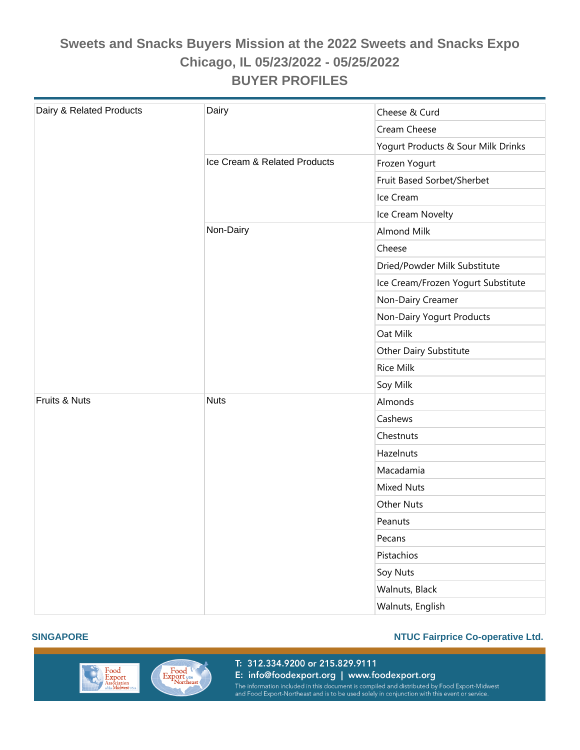| Dairy & Related Products | Dairy                        | Cheese & Curd                      |  |
|--------------------------|------------------------------|------------------------------------|--|
|                          |                              | Cream Cheese                       |  |
|                          |                              | Yogurt Products & Sour Milk Drinks |  |
|                          | Ice Cream & Related Products | Frozen Yogurt                      |  |
|                          |                              | Fruit Based Sorbet/Sherbet         |  |
|                          |                              | Ice Cream                          |  |
|                          |                              | Ice Cream Novelty                  |  |
|                          | Non-Dairy                    | <b>Almond Milk</b>                 |  |
|                          |                              | Cheese                             |  |
|                          |                              | Dried/Powder Milk Substitute       |  |
|                          |                              | Ice Cream/Frozen Yogurt Substitute |  |
|                          |                              | Non-Dairy Creamer                  |  |
|                          |                              | Non-Dairy Yogurt Products          |  |
|                          |                              | Oat Milk                           |  |
|                          |                              | Other Dairy Substitute             |  |
|                          |                              | <b>Rice Milk</b>                   |  |
|                          |                              | Soy Milk                           |  |
| Fruits & Nuts            | <b>Nuts</b>                  | Almonds                            |  |
|                          |                              | Cashews                            |  |
|                          |                              | Chestnuts                          |  |
|                          |                              | Hazelnuts                          |  |
|                          |                              | Macadamia                          |  |
|                          |                              | <b>Mixed Nuts</b>                  |  |
|                          |                              | Other Nuts                         |  |
|                          |                              | Peanuts                            |  |
|                          |                              | Pecans                             |  |
|                          |                              | Pistachios                         |  |
|                          |                              | Soy Nuts                           |  |
|                          |                              | Walnuts, Black                     |  |
|                          |                              | Walnuts, English                   |  |



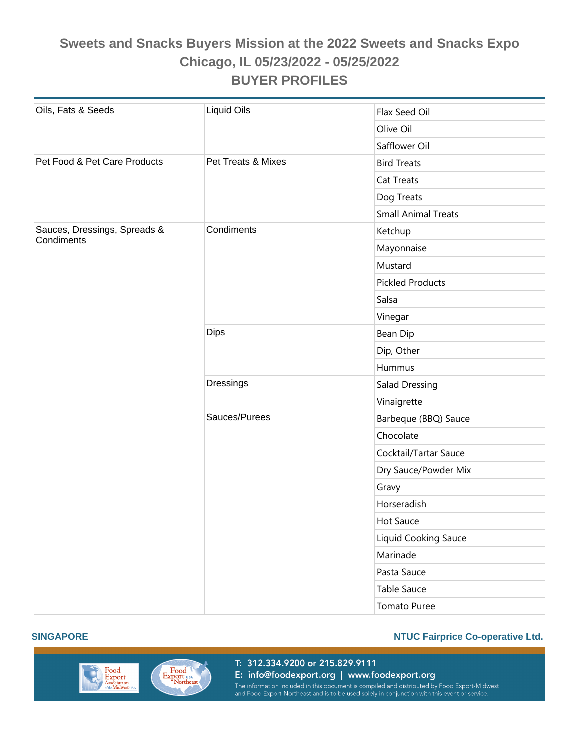| Oils, Fats & Seeds                         | Liquid Oils        | Flax Seed Oil              |
|--------------------------------------------|--------------------|----------------------------|
|                                            |                    | Olive Oil                  |
|                                            |                    | Safflower Oil              |
| Pet Food & Pet Care Products               | Pet Treats & Mixes | <b>Bird Treats</b>         |
|                                            |                    | Cat Treats                 |
|                                            |                    | Dog Treats                 |
|                                            |                    | <b>Small Animal Treats</b> |
| Sauces, Dressings, Spreads &<br>Condiments | Condiments         | Ketchup                    |
|                                            |                    | Mayonnaise                 |
|                                            |                    | Mustard                    |
|                                            |                    | <b>Pickled Products</b>    |
|                                            |                    | Salsa                      |
|                                            |                    | Vinegar                    |
|                                            | <b>Dips</b>        | Bean Dip                   |
|                                            |                    | Dip, Other                 |
|                                            |                    | Hummus                     |
|                                            | <b>Dressings</b>   | Salad Dressing             |
|                                            |                    | Vinaigrette                |
|                                            | Sauces/Purees      | Barbeque (BBQ) Sauce       |
|                                            |                    | Chocolate                  |
|                                            |                    | Cocktail/Tartar Sauce      |
|                                            |                    | Dry Sauce/Powder Mix       |
|                                            |                    | Gravy                      |
|                                            |                    | Horseradish                |
|                                            |                    | Hot Sauce                  |
|                                            |                    | Liquid Cooking Sauce       |
|                                            |                    | Marinade                   |
|                                            |                    | Pasta Sauce                |
|                                            |                    | Table Sauce                |
|                                            |                    | Tomato Puree               |



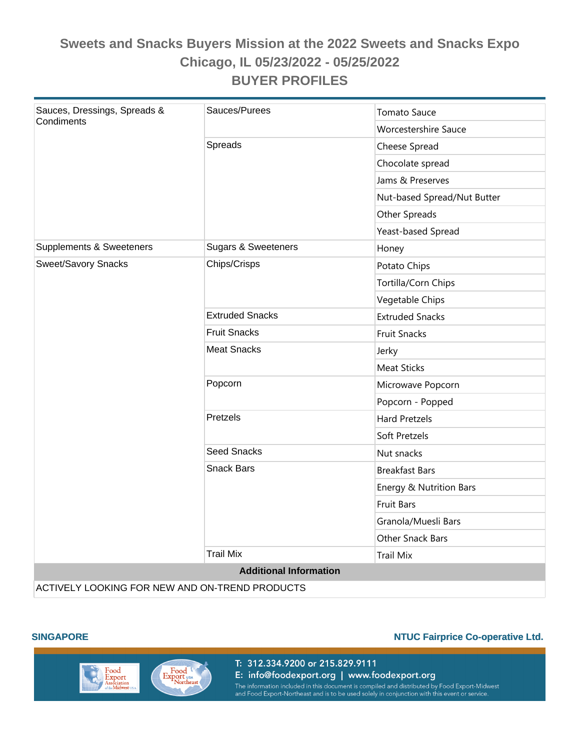| Sauces, Dressings, Spreads &<br>Condiments     | Sauces/Purees                  | <b>Tomato Sauce</b>         |  |
|------------------------------------------------|--------------------------------|-----------------------------|--|
|                                                |                                | <b>Worcestershire Sauce</b> |  |
|                                                | Spreads                        | Cheese Spread               |  |
|                                                |                                | Chocolate spread            |  |
|                                                |                                | Jams & Preserves            |  |
|                                                |                                | Nut-based Spread/Nut Butter |  |
|                                                |                                | Other Spreads               |  |
|                                                |                                | Yeast-based Spread          |  |
| Supplements & Sweeteners                       | <b>Sugars &amp; Sweeteners</b> | Honey                       |  |
| <b>Sweet/Savory Snacks</b>                     | Chips/Crisps                   | Potato Chips                |  |
|                                                |                                | Tortilla/Corn Chips         |  |
|                                                |                                | Vegetable Chips             |  |
|                                                | <b>Extruded Snacks</b>         | <b>Extruded Snacks</b>      |  |
|                                                | <b>Fruit Snacks</b>            | <b>Fruit Snacks</b>         |  |
|                                                | <b>Meat Snacks</b>             | Jerky                       |  |
|                                                |                                | <b>Meat Sticks</b>          |  |
|                                                | Popcorn                        | Microwave Popcorn           |  |
|                                                |                                | Popcorn - Popped            |  |
|                                                | Pretzels                       | <b>Hard Pretzels</b>        |  |
|                                                |                                | Soft Pretzels               |  |
|                                                | <b>Seed Snacks</b>             | Nut snacks                  |  |
|                                                | <b>Snack Bars</b>              | <b>Breakfast Bars</b>       |  |
|                                                |                                | Energy & Nutrition Bars     |  |
|                                                |                                | <b>Fruit Bars</b>           |  |
|                                                |                                | Granola/Muesli Bars         |  |
|                                                |                                | <b>Other Snack Bars</b>     |  |
|                                                | <b>Trail Mix</b>               | <b>Trail Mix</b>            |  |
| <b>Additional Information</b>                  |                                |                             |  |
| ACTIVELY LOOKING FOR NEW AND ON-TREND PRODUCTS |                                |                             |  |



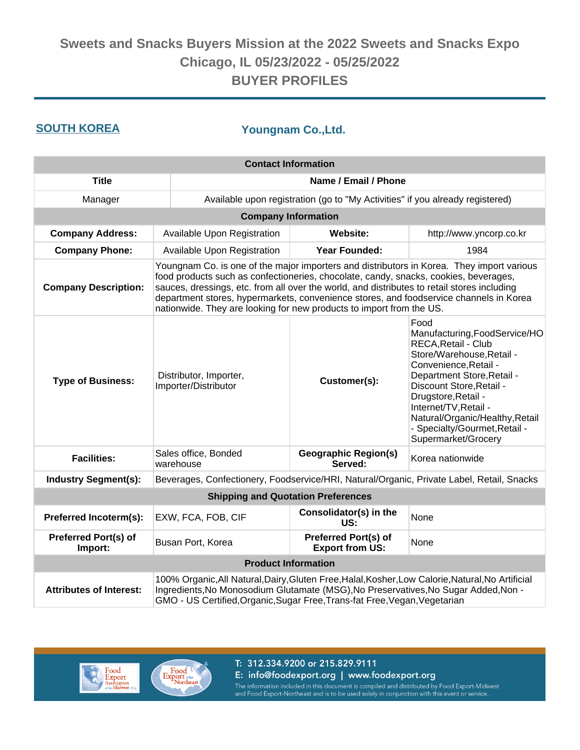**SOUTH KOREA Youngnam Co.,Ltd.**

| <b>Contact Information</b>                                                                                                                                                                                                                                                                               |                                                                                                                                                                                                                                                                                                                                                                                                                                                    |                                                |                                                                                                                                                                                                                                                                                                                         |  |
|----------------------------------------------------------------------------------------------------------------------------------------------------------------------------------------------------------------------------------------------------------------------------------------------------------|----------------------------------------------------------------------------------------------------------------------------------------------------------------------------------------------------------------------------------------------------------------------------------------------------------------------------------------------------------------------------------------------------------------------------------------------------|------------------------------------------------|-------------------------------------------------------------------------------------------------------------------------------------------------------------------------------------------------------------------------------------------------------------------------------------------------------------------------|--|
| <b>Title</b>                                                                                                                                                                                                                                                                                             | Name / Email / Phone                                                                                                                                                                                                                                                                                                                                                                                                                               |                                                |                                                                                                                                                                                                                                                                                                                         |  |
| Manager                                                                                                                                                                                                                                                                                                  | Available upon registration (go to "My Activities" if you already registered)                                                                                                                                                                                                                                                                                                                                                                      |                                                |                                                                                                                                                                                                                                                                                                                         |  |
|                                                                                                                                                                                                                                                                                                          |                                                                                                                                                                                                                                                                                                                                                                                                                                                    | <b>Company Information</b>                     |                                                                                                                                                                                                                                                                                                                         |  |
| <b>Company Address:</b>                                                                                                                                                                                                                                                                                  | Available Upon Registration                                                                                                                                                                                                                                                                                                                                                                                                                        | <b>Website:</b>                                | http://www.yncorp.co.kr                                                                                                                                                                                                                                                                                                 |  |
| <b>Company Phone:</b>                                                                                                                                                                                                                                                                                    | Available Upon Registration                                                                                                                                                                                                                                                                                                                                                                                                                        | <b>Year Founded:</b>                           | 1984                                                                                                                                                                                                                                                                                                                    |  |
| <b>Company Description:</b>                                                                                                                                                                                                                                                                              | Youngnam Co. is one of the major importers and distributors in Korea. They import various<br>food products such as confectioneries, chocolate, candy, snacks, cookies, beverages,<br>sauces, dressings, etc. from all over the world, and distributes to retail stores including<br>department stores, hypermarkets, convenience stores, and foodservice channels in Korea<br>nationwide. They are looking for new products to import from the US. |                                                |                                                                                                                                                                                                                                                                                                                         |  |
| <b>Type of Business:</b>                                                                                                                                                                                                                                                                                 | Distributor, Importer,<br>Customer(s):<br>Importer/Distributor                                                                                                                                                                                                                                                                                                                                                                                     |                                                | Food<br>Manufacturing, FoodService/HO<br>RECA, Retail - Club<br>Store/Warehouse, Retail -<br>Convenience, Retail -<br>Department Store, Retail -<br>Discount Store, Retail -<br>Drugstore, Retail -<br>Internet/TV, Retail -<br>Natural/Organic/Healthy, Retail<br>- Specialty/Gourmet, Retail -<br>Supermarket/Grocery |  |
| <b>Facilities:</b>                                                                                                                                                                                                                                                                                       | Sales office, Bonded<br>warehouse                                                                                                                                                                                                                                                                                                                                                                                                                  | <b>Geographic Region(s)</b><br>Served:         | Korea nationwide                                                                                                                                                                                                                                                                                                        |  |
| <b>Industry Segment(s):</b>                                                                                                                                                                                                                                                                              | Beverages, Confectionery, Foodservice/HRI, Natural/Organic, Private Label, Retail, Snacks                                                                                                                                                                                                                                                                                                                                                          |                                                |                                                                                                                                                                                                                                                                                                                         |  |
|                                                                                                                                                                                                                                                                                                          |                                                                                                                                                                                                                                                                                                                                                                                                                                                    | <b>Shipping and Quotation Preferences</b>      |                                                                                                                                                                                                                                                                                                                         |  |
| Preferred Incoterm(s):                                                                                                                                                                                                                                                                                   | EXW, FCA, FOB, CIF                                                                                                                                                                                                                                                                                                                                                                                                                                 | Consolidator(s) in the<br>US:                  | None                                                                                                                                                                                                                                                                                                                    |  |
| <b>Preferred Port(s) of</b><br>Import:                                                                                                                                                                                                                                                                   | Busan Port, Korea                                                                                                                                                                                                                                                                                                                                                                                                                                  | Preferred Port(s) of<br><b>Export from US:</b> | None                                                                                                                                                                                                                                                                                                                    |  |
| <b>Product Information</b>                                                                                                                                                                                                                                                                               |                                                                                                                                                                                                                                                                                                                                                                                                                                                    |                                                |                                                                                                                                                                                                                                                                                                                         |  |
| 100% Organic, All Natural, Dairy, Gluten Free, Halal, Kosher, Low Calorie, Natural, No Artificial<br><b>Attributes of Interest:</b><br>Ingredients, No Monosodium Glutamate (MSG), No Preservatives, No Sugar Added, Non -<br>GMO - US Certified, Organic, Sugar Free, Trans-fat Free, Vegan, Vegetarian |                                                                                                                                                                                                                                                                                                                                                                                                                                                    |                                                |                                                                                                                                                                                                                                                                                                                         |  |



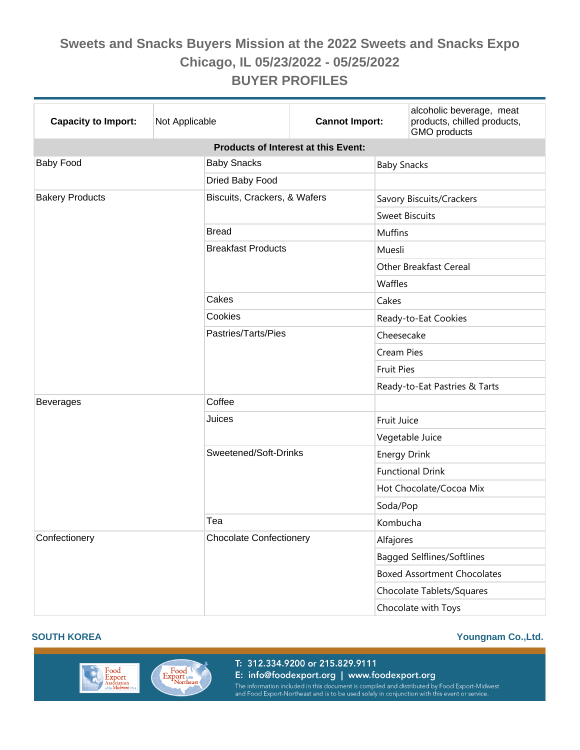| <b>Capacity to Import:</b>                 | Not Applicable |                                | <b>Cannot Import:</b> |                               | alcoholic beverage, meat<br>products, chilled products,<br>GMO products |  |
|--------------------------------------------|----------------|--------------------------------|-----------------------|-------------------------------|-------------------------------------------------------------------------|--|
| <b>Products of Interest at this Event:</b> |                |                                |                       |                               |                                                                         |  |
| <b>Baby Food</b>                           |                | <b>Baby Snacks</b>             |                       |                               | <b>Baby Snacks</b>                                                      |  |
|                                            |                | Dried Baby Food                |                       |                               |                                                                         |  |
| <b>Bakery Products</b>                     |                | Biscuits, Crackers, & Wafers   |                       |                               | Savory Biscuits/Crackers                                                |  |
|                                            |                |                                |                       | <b>Sweet Biscuits</b>         |                                                                         |  |
|                                            |                | <b>Bread</b>                   |                       | <b>Muffins</b>                |                                                                         |  |
|                                            |                | <b>Breakfast Products</b>      |                       | Muesli                        |                                                                         |  |
|                                            |                |                                |                       | <b>Other Breakfast Cereal</b> |                                                                         |  |
|                                            |                |                                |                       | Waffles                       |                                                                         |  |
|                                            |                | Cakes                          |                       | Cakes                         |                                                                         |  |
|                                            |                | Cookies                        |                       | Ready-to-Eat Cookies          |                                                                         |  |
|                                            |                | Pastries/Tarts/Pies            |                       | Cheesecake                    |                                                                         |  |
|                                            |                |                                |                       | <b>Cream Pies</b>             |                                                                         |  |
|                                            |                |                                |                       | <b>Fruit Pies</b>             |                                                                         |  |
|                                            |                |                                |                       |                               | Ready-to-Eat Pastries & Tarts                                           |  |
| <b>Beverages</b>                           |                | Coffee                         |                       |                               |                                                                         |  |
|                                            |                | Juices                         |                       | Fruit Juice                   |                                                                         |  |
|                                            |                |                                |                       | Vegetable Juice               |                                                                         |  |
|                                            |                | Sweetened/Soft-Drinks          |                       | <b>Energy Drink</b>           |                                                                         |  |
|                                            |                |                                |                       | <b>Functional Drink</b>       |                                                                         |  |
|                                            |                |                                |                       | Hot Chocolate/Cocoa Mix       |                                                                         |  |
|                                            |                |                                |                       | Soda/Pop                      |                                                                         |  |
|                                            |                | Tea                            |                       | Kombucha                      |                                                                         |  |
| Confectionery                              |                | <b>Chocolate Confectionery</b> |                       | Alfajores                     |                                                                         |  |
|                                            |                |                                |                       |                               | <b>Bagged Selflines/Softlines</b>                                       |  |
|                                            |                |                                |                       |                               | <b>Boxed Assortment Chocolates</b>                                      |  |
|                                            |                |                                |                       |                               | Chocolate Tablets/Squares                                               |  |
|                                            |                |                                |                       | Chocolate with Toys           |                                                                         |  |

#### **SOUTH KOREA Youngnam Co.,Ltd.**

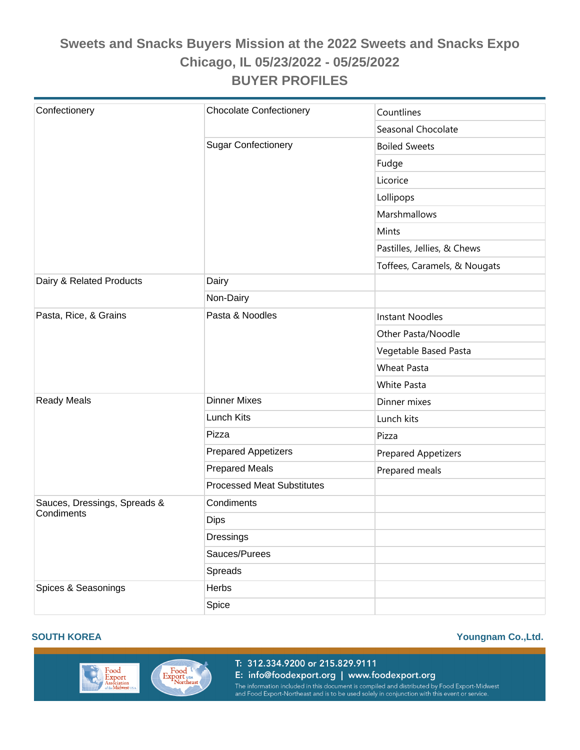|                              | <b>Chocolate Confectionery</b>    |                              |  |
|------------------------------|-----------------------------------|------------------------------|--|
| Confectionery                |                                   | Countlines                   |  |
|                              |                                   | Seasonal Chocolate           |  |
|                              | <b>Sugar Confectionery</b>        | <b>Boiled Sweets</b>         |  |
|                              |                                   | Fudge                        |  |
|                              |                                   | Licorice                     |  |
|                              |                                   | Lollipops                    |  |
|                              |                                   | Marshmallows                 |  |
|                              |                                   | Mints                        |  |
|                              |                                   | Pastilles, Jellies, & Chews  |  |
|                              |                                   | Toffees, Caramels, & Nougats |  |
| Dairy & Related Products     | Dairy                             |                              |  |
|                              | Non-Dairy                         |                              |  |
| Pasta, Rice, & Grains        | Pasta & Noodles                   | <b>Instant Noodles</b>       |  |
|                              |                                   | Other Pasta/Noodle           |  |
|                              |                                   | Vegetable Based Pasta        |  |
|                              |                                   | <b>Wheat Pasta</b>           |  |
|                              |                                   | <b>White Pasta</b>           |  |
| <b>Ready Meals</b>           | <b>Dinner Mixes</b>               | Dinner mixes                 |  |
|                              | Lunch Kits                        | Lunch kits                   |  |
|                              | Pizza                             | Pizza                        |  |
|                              | <b>Prepared Appetizers</b>        | <b>Prepared Appetizers</b>   |  |
|                              | <b>Prepared Meals</b>             | Prepared meals               |  |
|                              | <b>Processed Meat Substitutes</b> |                              |  |
| Sauces, Dressings, Spreads & | Condiments                        |                              |  |
| Condiments                   | Dips                              |                              |  |
|                              | Dressings                         |                              |  |
|                              | Sauces/Purees                     |                              |  |
|                              | Spreads                           |                              |  |
| Spices & Seasonings          | Herbs                             |                              |  |
|                              | Spice                             |                              |  |



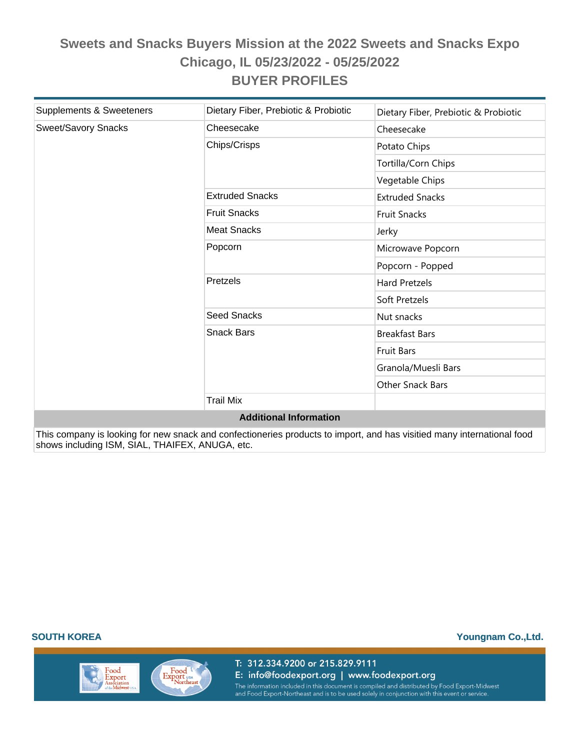| Supplements & Sweeteners      | Dietary Fiber, Prebiotic & Probiotic | Dietary Fiber, Prebiotic & Probiotic |  |  |
|-------------------------------|--------------------------------------|--------------------------------------|--|--|
| Sweet/Savory Snacks           | Cheesecake                           | Cheesecake                           |  |  |
|                               | Chips/Crisps                         | Potato Chips                         |  |  |
|                               |                                      | Tortilla/Corn Chips                  |  |  |
|                               |                                      | Vegetable Chips                      |  |  |
|                               | <b>Extruded Snacks</b>               | <b>Extruded Snacks</b>               |  |  |
|                               | <b>Fruit Snacks</b>                  | <b>Fruit Snacks</b>                  |  |  |
|                               | <b>Meat Snacks</b>                   | Jerky                                |  |  |
|                               | Popcorn                              | Microwave Popcorn                    |  |  |
|                               |                                      | Popcorn - Popped                     |  |  |
|                               | Pretzels                             | <b>Hard Pretzels</b>                 |  |  |
|                               |                                      | Soft Pretzels                        |  |  |
|                               | <b>Seed Snacks</b>                   | Nut snacks                           |  |  |
|                               | <b>Snack Bars</b>                    | <b>Breakfast Bars</b>                |  |  |
|                               |                                      | <b>Fruit Bars</b>                    |  |  |
|                               |                                      | Granola/Muesli Bars                  |  |  |
|                               |                                      | Other Snack Bars                     |  |  |
|                               | <b>Trail Mix</b>                     |                                      |  |  |
| <b>Additional Information</b> |                                      |                                      |  |  |

This company is looking for new snack and confectioneries products to import, and has visitied many international food shows including ISM, SIAL, THAIFEX, ANUGA, etc.

Food

Export

ociation<br>Miduset

Export USA

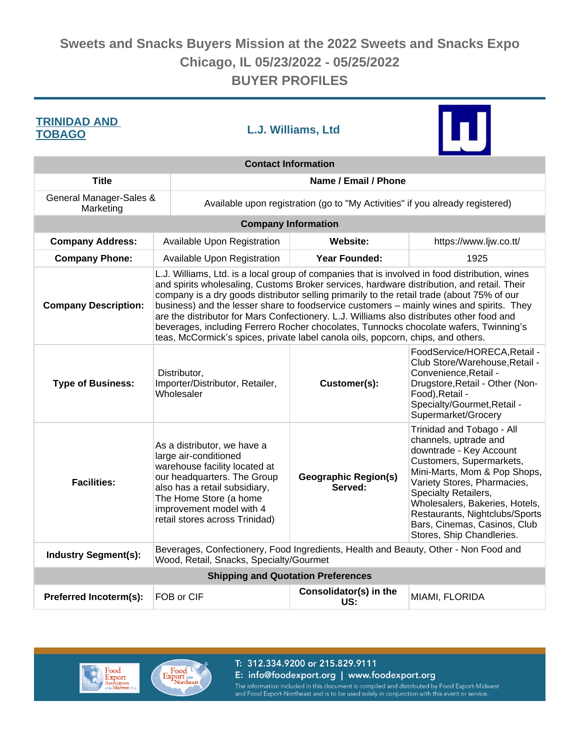| <b>TRINIDAD AND</b><br><b>TOBAGO</b> |                                                                                                                                                                                                                                                                                                                                                                                                                                                                                                                                                                                                                                                                  | L.J. Williams, Ltd                                                            |                                        |                                                                                                                                                                                                                                                                                                                                   |  |
|--------------------------------------|------------------------------------------------------------------------------------------------------------------------------------------------------------------------------------------------------------------------------------------------------------------------------------------------------------------------------------------------------------------------------------------------------------------------------------------------------------------------------------------------------------------------------------------------------------------------------------------------------------------------------------------------------------------|-------------------------------------------------------------------------------|----------------------------------------|-----------------------------------------------------------------------------------------------------------------------------------------------------------------------------------------------------------------------------------------------------------------------------------------------------------------------------------|--|
|                                      |                                                                                                                                                                                                                                                                                                                                                                                                                                                                                                                                                                                                                                                                  |                                                                               | <b>Contact Information</b>             |                                                                                                                                                                                                                                                                                                                                   |  |
| <b>Title</b>                         | Name / Email / Phone                                                                                                                                                                                                                                                                                                                                                                                                                                                                                                                                                                                                                                             |                                                                               |                                        |                                                                                                                                                                                                                                                                                                                                   |  |
| General Manager-Sales &<br>Marketing |                                                                                                                                                                                                                                                                                                                                                                                                                                                                                                                                                                                                                                                                  | Available upon registration (go to "My Activities" if you already registered) |                                        |                                                                                                                                                                                                                                                                                                                                   |  |
|                                      |                                                                                                                                                                                                                                                                                                                                                                                                                                                                                                                                                                                                                                                                  | <b>Company Information</b>                                                    |                                        |                                                                                                                                                                                                                                                                                                                                   |  |
| <b>Company Address:</b>              |                                                                                                                                                                                                                                                                                                                                                                                                                                                                                                                                                                                                                                                                  | Available Upon Registration                                                   | <b>Website:</b>                        | https://www.ljw.co.tt/                                                                                                                                                                                                                                                                                                            |  |
| <b>Company Phone:</b>                |                                                                                                                                                                                                                                                                                                                                                                                                                                                                                                                                                                                                                                                                  | Available Upon Registration                                                   | <b>Year Founded:</b>                   | 1925                                                                                                                                                                                                                                                                                                                              |  |
| <b>Company Description:</b>          | L.J. Williams, Ltd. is a local group of companies that is involved in food distribution, wines<br>and spirits wholesaling, Customs Broker services, hardware distribution, and retail. Their<br>company is a dry goods distributor selling primarily to the retail trade (about 75% of our<br>business) and the lesser share to foodservice customers - mainly wines and spirits. They<br>are the distributor for Mars Confectionery. L.J. Williams also distributes other food and<br>beverages, including Ferrero Rocher chocolates, Tunnocks chocolate wafers, Twinning's<br>teas, McCormick's spices, private label canola oils, popcorn, chips, and others. |                                                                               |                                        |                                                                                                                                                                                                                                                                                                                                   |  |
| <b>Type of Business:</b>             |                                                                                                                                                                                                                                                                                                                                                                                                                                                                                                                                                                                                                                                                  | Distributor,<br>Importer/Distributor, Retailer,<br>Wholesaler                 | Customer(s):                           | FoodService/HORECA, Retail -<br>Club Store/Warehouse, Retail -<br>Convenience, Retail -<br>Drugstore, Retail - Other (Non-<br>Food), Retail -<br>Specialty/Gourmet, Retail -<br>Supermarket/Grocery                                                                                                                               |  |
| <b>Facilities:</b>                   | As a distributor, we have a<br>large air-conditioned<br>warehouse facility located at<br>our headquarters. The Group<br>also has a retail subsidiary,<br>The Home Store (a home<br>improvement model with 4<br>retail stores across Trinidad)                                                                                                                                                                                                                                                                                                                                                                                                                    |                                                                               | <b>Geographic Region(s)</b><br>Served: | Trinidad and Tobago - All<br>channels, uptrade and<br>downtrade - Key Account<br>Customers, Supermarkets,<br>Mini-Marts, Mom & Pop Shops,<br>Variety Stores, Pharmacies,<br>Specialty Retailers,<br>Wholesalers, Bakeries, Hotels,<br>Restaurants, Nightclubs/Sports<br>Bars, Cinemas, Casinos, Club<br>Stores, Ship Chandleries. |  |
| <b>Industry Segment(s):</b>          | Beverages, Confectionery, Food Ingredients, Health and Beauty, Other - Non Food and<br>Wood, Retail, Snacks, Specialty/Gourmet                                                                                                                                                                                                                                                                                                                                                                                                                                                                                                                                   |                                                                               |                                        |                                                                                                                                                                                                                                                                                                                                   |  |
|                                      |                                                                                                                                                                                                                                                                                                                                                                                                                                                                                                                                                                                                                                                                  | <b>Shipping and Quotation Preferences</b>                                     |                                        |                                                                                                                                                                                                                                                                                                                                   |  |
| <b>Preferred Incoterm(s):</b>        |                                                                                                                                                                                                                                                                                                                                                                                                                                                                                                                                                                                                                                                                  | FOB or CIF                                                                    | Consolidator(s) in the<br>US:          | MIAMI, FLORIDA                                                                                                                                                                                                                                                                                                                    |  |



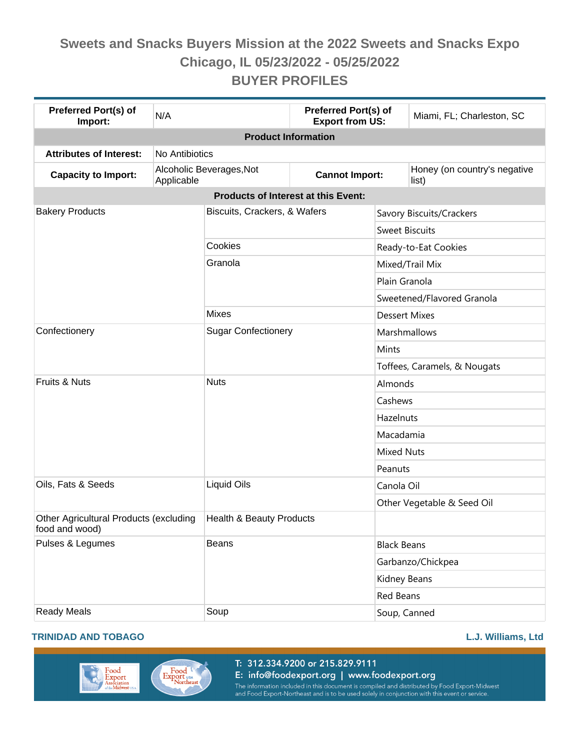| <b>Preferred Port(s) of</b><br>Import:                   | N/A                                    |                              | Preferred Port(s) of<br><b>Export from US:</b> | Miami, FL; Charleston, SC             |  |  |
|----------------------------------------------------------|----------------------------------------|------------------------------|------------------------------------------------|---------------------------------------|--|--|
| <b>Product Information</b>                               |                                        |                              |                                                |                                       |  |  |
| <b>Attributes of Interest:</b>                           | No Antibiotics                         |                              |                                                |                                       |  |  |
| <b>Capacity to Import:</b>                               | Alcoholic Beverages, Not<br>Applicable |                              | <b>Cannot Import:</b>                          | Honey (on country's negative<br>list) |  |  |
| Products of Interest at this Event:                      |                                        |                              |                                                |                                       |  |  |
| <b>Bakery Products</b>                                   |                                        | Biscuits, Crackers, & Wafers |                                                | Savory Biscuits/Crackers              |  |  |
|                                                          |                                        |                              |                                                | <b>Sweet Biscuits</b>                 |  |  |
|                                                          | Cookies                                |                              |                                                | Ready-to-Eat Cookies                  |  |  |
|                                                          | Granola                                |                              |                                                | Mixed/Trail Mix                       |  |  |
|                                                          |                                        |                              |                                                | Plain Granola                         |  |  |
|                                                          |                                        |                              |                                                | Sweetened/Flavored Granola            |  |  |
|                                                          | <b>Mixes</b>                           |                              |                                                | <b>Dessert Mixes</b>                  |  |  |
| Confectionery                                            |                                        | <b>Sugar Confectionery</b>   |                                                | Marshmallows                          |  |  |
|                                                          |                                        |                              |                                                | Mints                                 |  |  |
|                                                          |                                        |                              |                                                | Toffees, Caramels, & Nougats          |  |  |
| Fruits & Nuts                                            | <b>Nuts</b>                            |                              |                                                | Almonds                               |  |  |
|                                                          |                                        |                              |                                                | Cashews                               |  |  |
|                                                          |                                        |                              |                                                | Hazelnuts                             |  |  |
|                                                          |                                        |                              |                                                | Macadamia                             |  |  |
|                                                          |                                        |                              |                                                | <b>Mixed Nuts</b>                     |  |  |
|                                                          |                                        |                              |                                                | Peanuts                               |  |  |
| Oils, Fats & Seeds                                       | <b>Liquid Oils</b>                     |                              |                                                | Canola Oil                            |  |  |
|                                                          |                                        |                              | Other Vegetable & Seed Oil                     |                                       |  |  |
| Other Agricultural Products (excluding<br>food and wood) |                                        | Health & Beauty Products     |                                                |                                       |  |  |
| Pulses & Legumes                                         | <b>Beans</b>                           |                              |                                                | <b>Black Beans</b>                    |  |  |
|                                                          |                                        |                              |                                                | Garbanzo/Chickpea                     |  |  |
|                                                          |                                        |                              |                                                | <b>Kidney Beans</b>                   |  |  |
|                                                          |                                        |                              |                                                | Red Beans                             |  |  |
| <b>Ready Meals</b>                                       | Soup                                   |                              | Soup, Canned                                   |                                       |  |  |

#### **TRINIDAD AND TOBAGO L.J. Williams, Ltd**

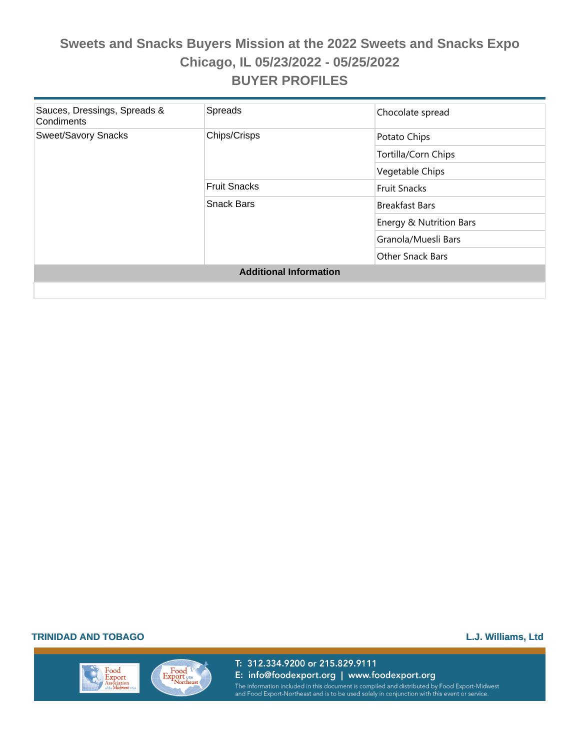| Sauces, Dressings, Spreads &<br>Condiments | Spreads             | Chocolate spread        |  |  |
|--------------------------------------------|---------------------|-------------------------|--|--|
| <b>Sweet/Savory Snacks</b>                 | Chips/Crisps        | Potato Chips            |  |  |
|                                            |                     | Tortilla/Corn Chips     |  |  |
|                                            |                     | Vegetable Chips         |  |  |
|                                            | <b>Fruit Snacks</b> | <b>Fruit Snacks</b>     |  |  |
|                                            | <b>Snack Bars</b>   | <b>Breakfast Bars</b>   |  |  |
|                                            |                     | Energy & Nutrition Bars |  |  |
|                                            |                     | Granola/Muesli Bars     |  |  |
|                                            |                     | <b>Other Snack Bars</b> |  |  |
| <b>Additional Information</b>              |                     |                         |  |  |
|                                            |                     |                         |  |  |

#### **TRINIDAD AND TOBAGO L.J. Williams, Ltd**

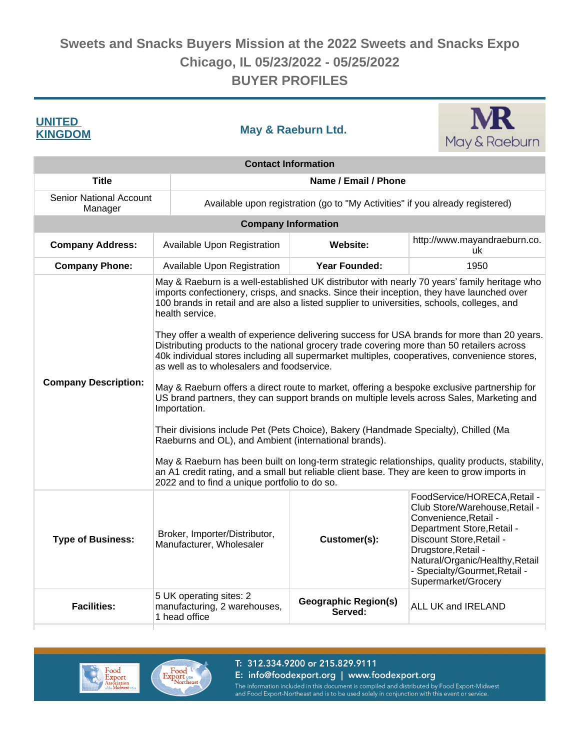| <b>UNITED</b><br><b>KINGDOM</b>           |                                                                          | May & Raeburn Ltd.                                                                                                                                                                                                                                                                                                                                                                                                                                                                                                                                                                                                                                                                                                                                                                                                                                                                                                                                                                                                                                                                                                                                                                                                                                                    | May & Raeburn                          |                                    |                                                                                                                                                                                                                                                                     |  |
|-------------------------------------------|--------------------------------------------------------------------------|-----------------------------------------------------------------------------------------------------------------------------------------------------------------------------------------------------------------------------------------------------------------------------------------------------------------------------------------------------------------------------------------------------------------------------------------------------------------------------------------------------------------------------------------------------------------------------------------------------------------------------------------------------------------------------------------------------------------------------------------------------------------------------------------------------------------------------------------------------------------------------------------------------------------------------------------------------------------------------------------------------------------------------------------------------------------------------------------------------------------------------------------------------------------------------------------------------------------------------------------------------------------------|----------------------------------------|------------------------------------|---------------------------------------------------------------------------------------------------------------------------------------------------------------------------------------------------------------------------------------------------------------------|--|
| <b>Contact Information</b>                |                                                                          |                                                                                                                                                                                                                                                                                                                                                                                                                                                                                                                                                                                                                                                                                                                                                                                                                                                                                                                                                                                                                                                                                                                                                                                                                                                                       |                                        |                                    |                                                                                                                                                                                                                                                                     |  |
| <b>Title</b>                              |                                                                          | Name / Email / Phone                                                                                                                                                                                                                                                                                                                                                                                                                                                                                                                                                                                                                                                                                                                                                                                                                                                                                                                                                                                                                                                                                                                                                                                                                                                  |                                        |                                    |                                                                                                                                                                                                                                                                     |  |
| <b>Senior National Account</b><br>Manager |                                                                          | Available upon registration (go to "My Activities" if you already registered)                                                                                                                                                                                                                                                                                                                                                                                                                                                                                                                                                                                                                                                                                                                                                                                                                                                                                                                                                                                                                                                                                                                                                                                         |                                        |                                    |                                                                                                                                                                                                                                                                     |  |
|                                           |                                                                          | <b>Company Information</b>                                                                                                                                                                                                                                                                                                                                                                                                                                                                                                                                                                                                                                                                                                                                                                                                                                                                                                                                                                                                                                                                                                                                                                                                                                            |                                        |                                    |                                                                                                                                                                                                                                                                     |  |
| <b>Company Address:</b>                   |                                                                          | Available Upon Registration                                                                                                                                                                                                                                                                                                                                                                                                                                                                                                                                                                                                                                                                                                                                                                                                                                                                                                                                                                                                                                                                                                                                                                                                                                           | Website:                               | http://www.mayandraeburn.co.<br>uk |                                                                                                                                                                                                                                                                     |  |
| <b>Company Phone:</b>                     |                                                                          | Available Upon Registration                                                                                                                                                                                                                                                                                                                                                                                                                                                                                                                                                                                                                                                                                                                                                                                                                                                                                                                                                                                                                                                                                                                                                                                                                                           | <b>Year Founded:</b>                   |                                    | 1950                                                                                                                                                                                                                                                                |  |
| <b>Company Description:</b>               |                                                                          | May & Raeburn is a well-established UK distributor with nearly 70 years' family heritage who<br>imports confectionery, crisps, and snacks. Since their inception, they have launched over<br>100 brands in retail and are also a listed supplier to universities, schools, colleges, and<br>health service.<br>They offer a wealth of experience delivering success for USA brands for more than 20 years.<br>Distributing products to the national grocery trade covering more than 50 retailers across<br>40k individual stores including all supermarket multiples, cooperatives, convenience stores,<br>as well as to wholesalers and foodservice.<br>May & Raeburn offers a direct route to market, offering a bespoke exclusive partnership for<br>US brand partners, they can support brands on multiple levels across Sales, Marketing and<br>Importation.<br>Their divisions include Pet (Pets Choice), Bakery (Handmade Specialty), Chilled (Ma<br>Raeburns and OL), and Ambient (international brands).<br>May & Raeburn has been built on long-term strategic relationships, quality products, stability,<br>an A1 credit rating, and a small but reliable client base. They are keen to grow imports in<br>2022 and to find a unique portfolio to do so. |                                        |                                    |                                                                                                                                                                                                                                                                     |  |
| <b>Type of Business:</b>                  |                                                                          | Broker, Importer/Distributor,<br>Customer(s):<br>Manufacturer, Wholesaler                                                                                                                                                                                                                                                                                                                                                                                                                                                                                                                                                                                                                                                                                                                                                                                                                                                                                                                                                                                                                                                                                                                                                                                             |                                        |                                    | FoodService/HORECA, Retail -<br>Club Store/Warehouse, Retail -<br>Convenience, Retail -<br>Department Store, Retail -<br>Discount Store, Retail -<br>Drugstore, Retail -<br>Natural/Organic/Healthy, Retail<br>- Specialty/Gourmet, Retail -<br>Supermarket/Grocery |  |
| <b>Facilities:</b>                        | 5 UK operating sites: 2<br>manufacturing, 2 warehouses,<br>1 head office |                                                                                                                                                                                                                                                                                                                                                                                                                                                                                                                                                                                                                                                                                                                                                                                                                                                                                                                                                                                                                                                                                                                                                                                                                                                                       | <b>Geographic Region(s)</b><br>Served: |                                    | ALL UK and IRELAND                                                                                                                                                                                                                                                  |  |





#### T: 312.334.9200 or 215.829.9111 E: info@foodexport.org | www.foodexport.org

The information included in this document is compiled and distributed by Food Export-Midwest<br>and Food Export-Northeast and is to be used solely in conjunction with this event or service.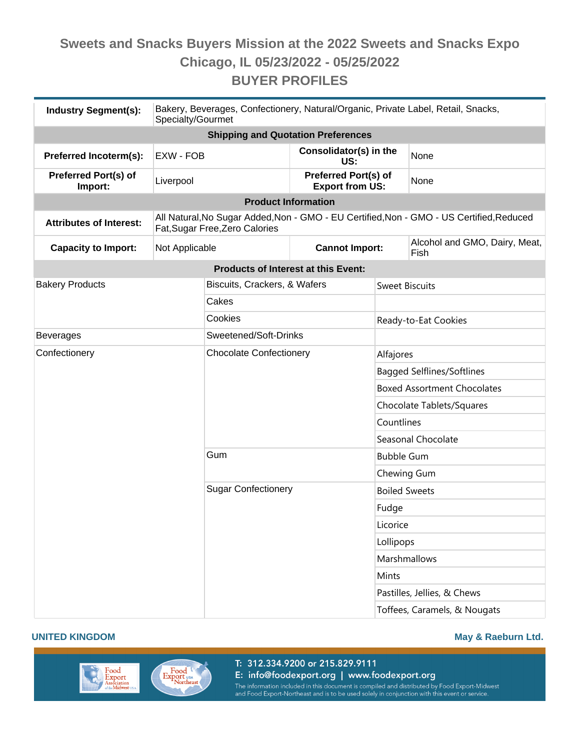| <b>Industry Segment(s):</b>               | Bakery, Beverages, Confectionery, Natural/Organic, Private Label, Retail, Snacks,<br>Specialty/Gourmet                     |                                            |                                                |                                    |                                       |  |
|-------------------------------------------|----------------------------------------------------------------------------------------------------------------------------|--------------------------------------------|------------------------------------------------|------------------------------------|---------------------------------------|--|
| <b>Shipping and Quotation Preferences</b> |                                                                                                                            |                                            |                                                |                                    |                                       |  |
| Preferred Incoterm(s):                    | EXW - FOB                                                                                                                  |                                            | Consolidator(s) in the<br>US:                  |                                    | None                                  |  |
| <b>Preferred Port(s) of</b><br>Import:    | Liverpool                                                                                                                  |                                            | Preferred Port(s) of<br><b>Export from US:</b> |                                    | None                                  |  |
|                                           | <b>Product Information</b>                                                                                                 |                                            |                                                |                                    |                                       |  |
| <b>Attributes of Interest:</b>            | All Natural, No Sugar Added, Non - GMO - EU Certified, Non - GMO - US Certified, Reduced<br>Fat, Sugar Free, Zero Calories |                                            |                                                |                                    |                                       |  |
| <b>Capacity to Import:</b>                | Not Applicable                                                                                                             |                                            | <b>Cannot Import:</b>                          |                                    | Alcohol and GMO, Dairy, Meat,<br>Fish |  |
|                                           |                                                                                                                            | <b>Products of Interest at this Event:</b> |                                                |                                    |                                       |  |
| <b>Bakery Products</b>                    |                                                                                                                            | Biscuits, Crackers, & Wafers               |                                                | <b>Sweet Biscuits</b>              |                                       |  |
|                                           |                                                                                                                            | Cakes                                      |                                                |                                    |                                       |  |
|                                           |                                                                                                                            | Cookies                                    |                                                | Ready-to-Eat Cookies               |                                       |  |
| <b>Beverages</b>                          | Sweetened/Soft-Drinks                                                                                                      |                                            |                                                |                                    |                                       |  |
| Confectionery                             |                                                                                                                            | <b>Chocolate Confectionery</b>             |                                                | Alfajores                          |                                       |  |
|                                           |                                                                                                                            |                                            |                                                | <b>Bagged Selflines/Softlines</b>  |                                       |  |
|                                           |                                                                                                                            |                                            |                                                | <b>Boxed Assortment Chocolates</b> |                                       |  |
|                                           |                                                                                                                            |                                            |                                                | Chocolate Tablets/Squares          |                                       |  |
|                                           |                                                                                                                            |                                            |                                                | Countlines                         |                                       |  |
|                                           |                                                                                                                            |                                            |                                                | Seasonal Chocolate                 |                                       |  |
|                                           |                                                                                                                            | Gum                                        |                                                | <b>Bubble Gum</b>                  |                                       |  |
|                                           |                                                                                                                            |                                            |                                                | Chewing Gum                        |                                       |  |
|                                           |                                                                                                                            | <b>Sugar Confectionery</b>                 |                                                | <b>Boiled Sweets</b>               |                                       |  |
|                                           |                                                                                                                            |                                            |                                                | Fudge                              |                                       |  |
|                                           |                                                                                                                            |                                            |                                                | Licorice                           |                                       |  |
|                                           |                                                                                                                            |                                            |                                                | Lollipops                          |                                       |  |
|                                           |                                                                                                                            |                                            |                                                | <b>Marshmallows</b>                |                                       |  |
|                                           |                                                                                                                            |                                            |                                                | Mints                              |                                       |  |
|                                           |                                                                                                                            |                                            |                                                | Pastilles, Jellies, & Chews        |                                       |  |
|                                           |                                                                                                                            |                                            |                                                | Toffees, Caramels, & Nougats       |                                       |  |





T: 312.334.9200 or 215.829.9111 E: info@foodexport.org | www.foodexport.org The information included in this document is compiled and distributed by Food Export-Midwest<br>and Food Export-Northeast and is to be used solely in conjunction with this event or service.

#### **UNITED KINGDOM May & Raeburn Ltd.**